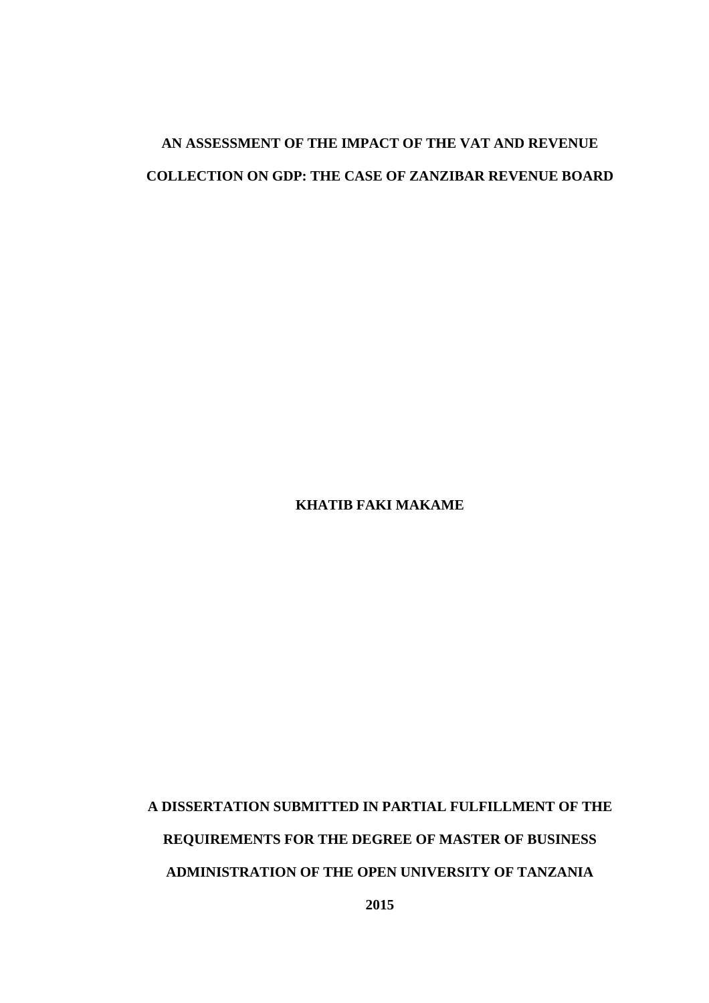# **AN ASSESSMENT OF THE IMPACT OF THE VAT AND REVENUE COLLECTION ON GDP: THE CASE OF ZANZIBAR REVENUE BOARD**

**KHATIB FAKI MAKAME** 

**A DISSERTATION SUBMITTED IN PARTIAL FULFILLMENT OF THE REQUIREMENTS FOR THE DEGREE OF MASTER OF BUSINESS ADMINISTRATION OF THE OPEN UNIVERSITY OF TANZANIA**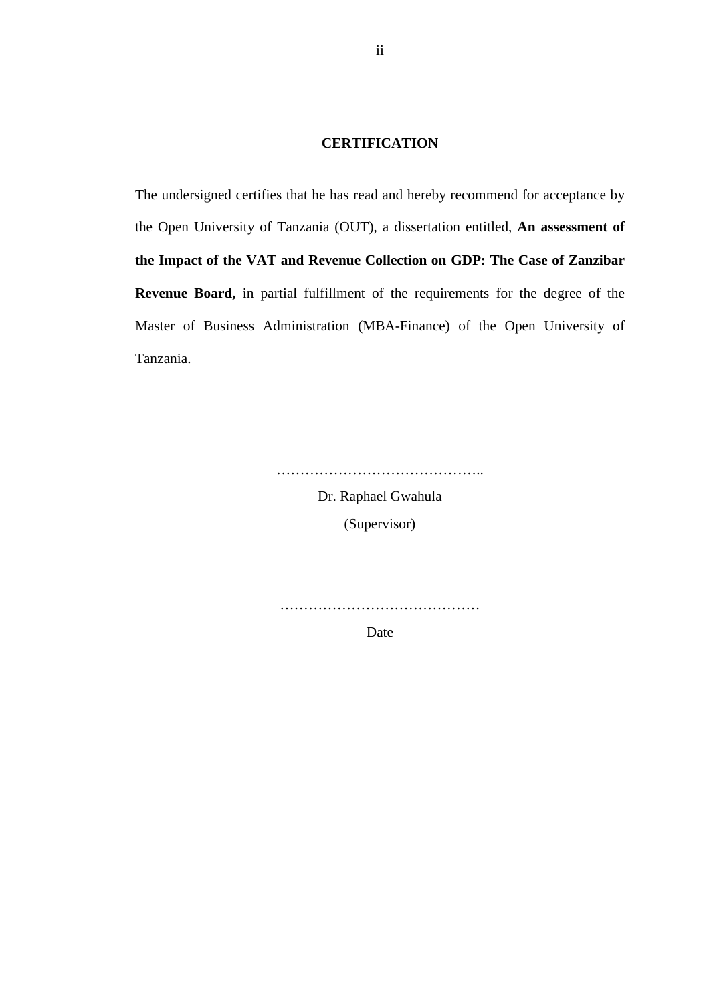# **CERTIFICATION**

The undersigned certifies that he has read and hereby recommend for acceptance by the Open University of Tanzania (OUT), a dissertation entitled, **An assessment of the Impact of the VAT and Revenue Collection on GDP: The Case of Zanzibar Revenue Board,** in partial fulfillment of the requirements for the degree of the Master of Business Administration (MBA-Finance) of the Open University of Tanzania.

> Dr. Raphael Gwahula (Supervisor)

……………………………………..

……………………………………

Date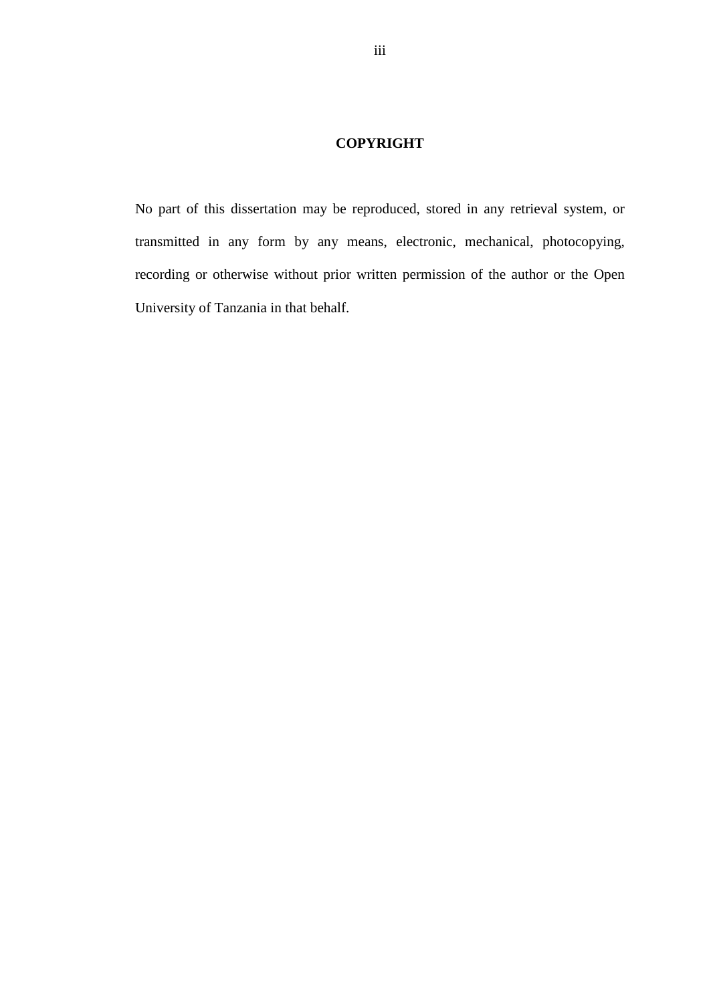# **COPYRIGHT**

No part of this dissertation may be reproduced, stored in any retrieval system, or transmitted in any form by any means, electronic, mechanical, photocopying, recording or otherwise without prior written permission of the author or the Open University of Tanzania in that behalf.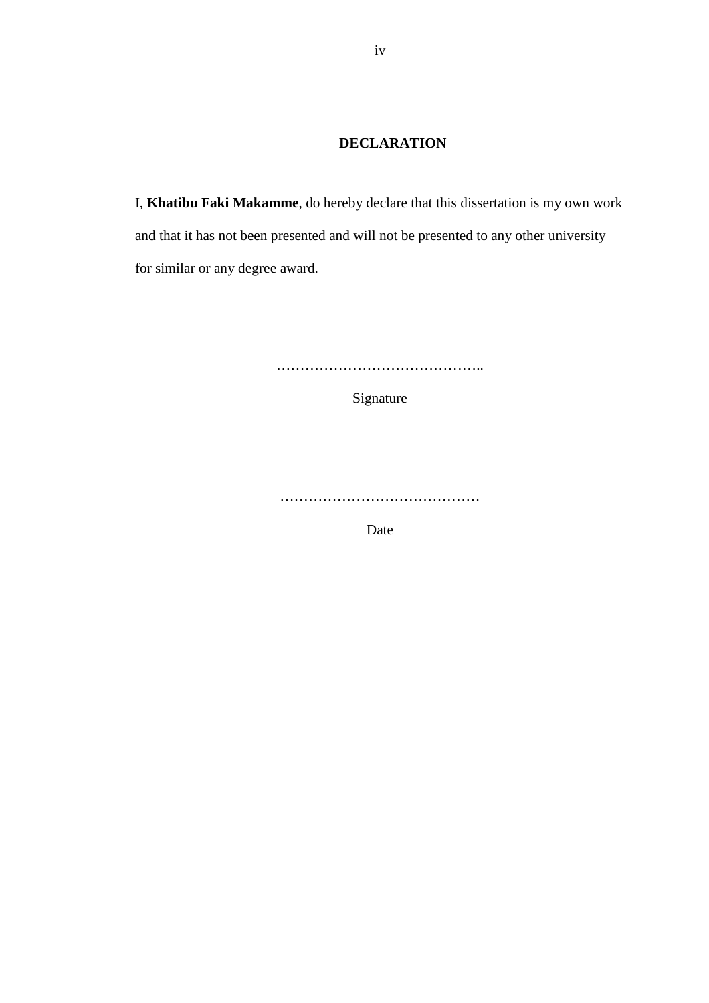# **DECLARATION**

I, **Khatibu Faki Makamme**, do hereby declare that this dissertation is my own work and that it has not been presented and will not be presented to any other university for similar or any degree award.

……………………………………..

Signature

……………………………………

Date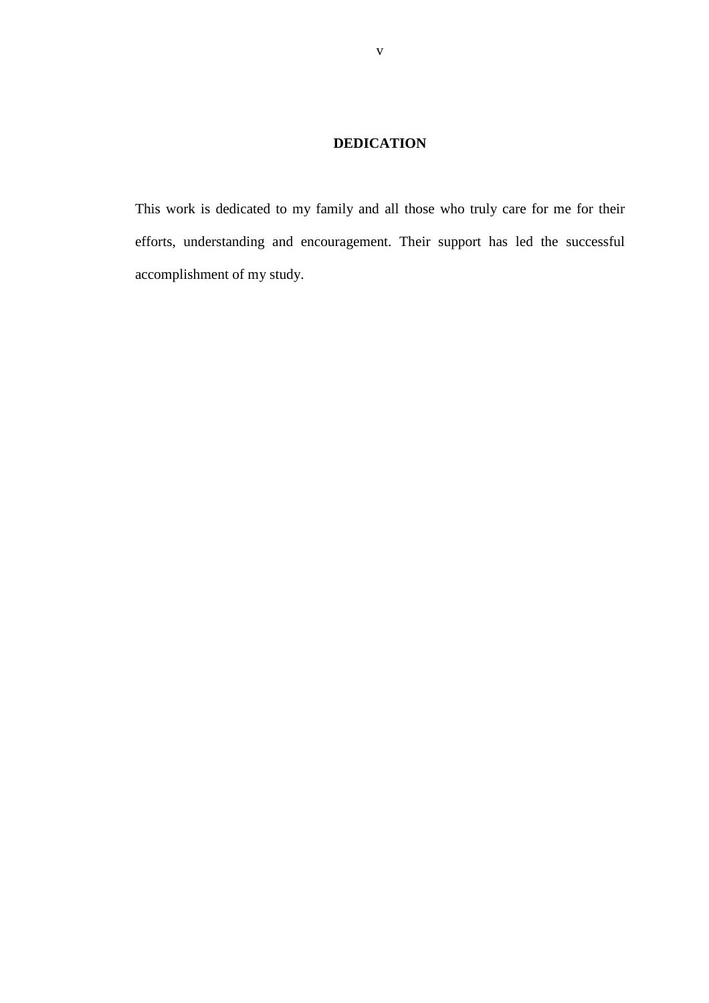# **DEDICATION**

This work is dedicated to my family and all those who truly care for me for their efforts, understanding and encouragement. Their support has led the successful accomplishment of my study.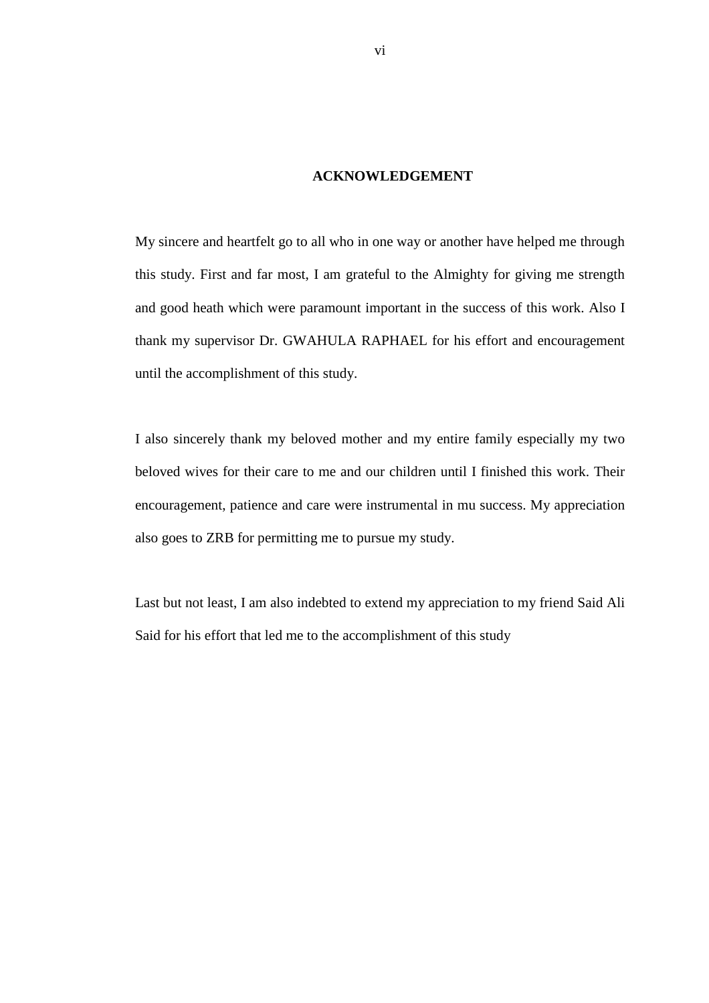# **ACKNOWLEDGEMENT**

My sincere and heartfelt go to all who in one way or another have helped me through this study. First and far most, I am grateful to the Almighty for giving me strength and good heath which were paramount important in the success of this work. Also I thank my supervisor Dr. GWAHULA RAPHAEL for his effort and encouragement until the accomplishment of this study.

I also sincerely thank my beloved mother and my entire family especially my two beloved wives for their care to me and our children until I finished this work. Their encouragement, patience and care were instrumental in mu success. My appreciation also goes to ZRB for permitting me to pursue my study.

Last but not least, I am also indebted to extend my appreciation to my friend Said Ali Said for his effort that led me to the accomplishment of this study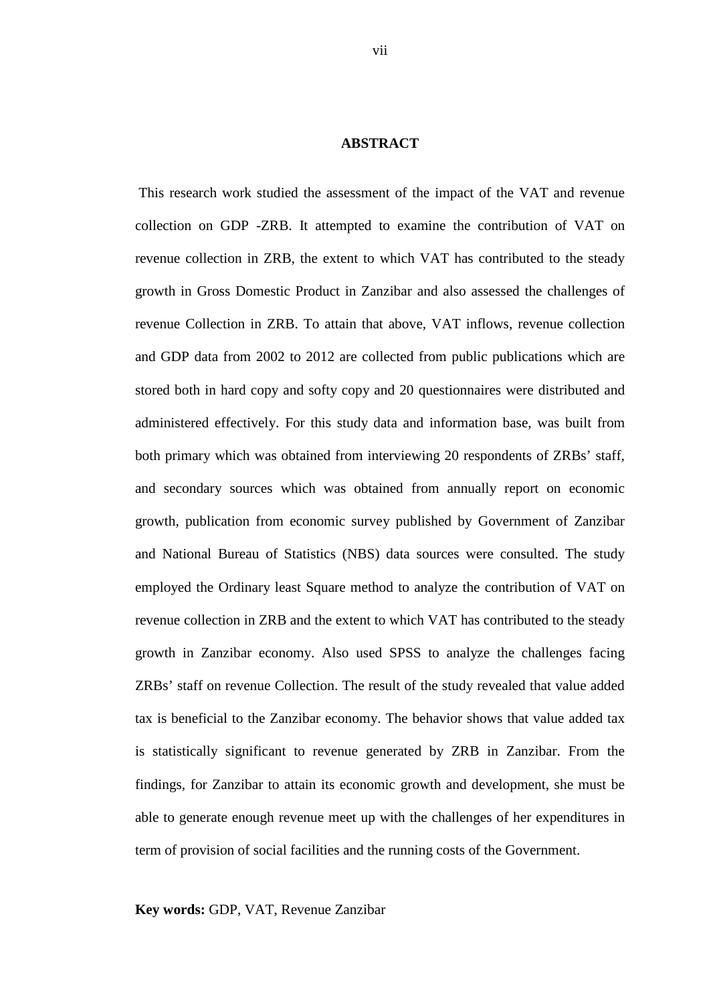#### **ABSTRACT**

 This research work studied the assessment of the impact of the VAT and revenue collection on GDP -ZRB. It attempted to examine the contribution of VAT on revenue collection in ZRB, the extent to which VAT has contributed to the steady growth in Gross Domestic Product in Zanzibar and also assessed the challenges of revenue Collection in ZRB. To attain that above, VAT inflows, revenue collection and GDP data from 2002 to 2012 are collected from public publications which are stored both in hard copy and softy copy and 20 questionnaires were distributed and administered effectively. For this study data and information base, was built from both primary which was obtained from interviewing 20 respondents of ZRBs' staff, and secondary sources which was obtained from annually report on economic growth, publication from economic survey published by Government of Zanzibar and National Bureau of Statistics (NBS) data sources were consulted. The study employed the Ordinary least Square method to analyze the contribution of VAT on revenue collection in ZRB and the extent to which VAT has contributed to the steady growth in Zanzibar economy. Also used SPSS to analyze the challenges facing ZRBs' staff on revenue Collection. The result of the study revealed that value added tax is beneficial to the Zanzibar economy. The behavior shows that value added tax is statistically significant to revenue generated by ZRB in Zanzibar. From the findings, for Zanzibar to attain its economic growth and development, she must be able to generate enough revenue meet up with the challenges of her expenditures in term of provision of social facilities and the running costs of the Government.

**Key words:** GDP, VAT, Revenue Zanzibar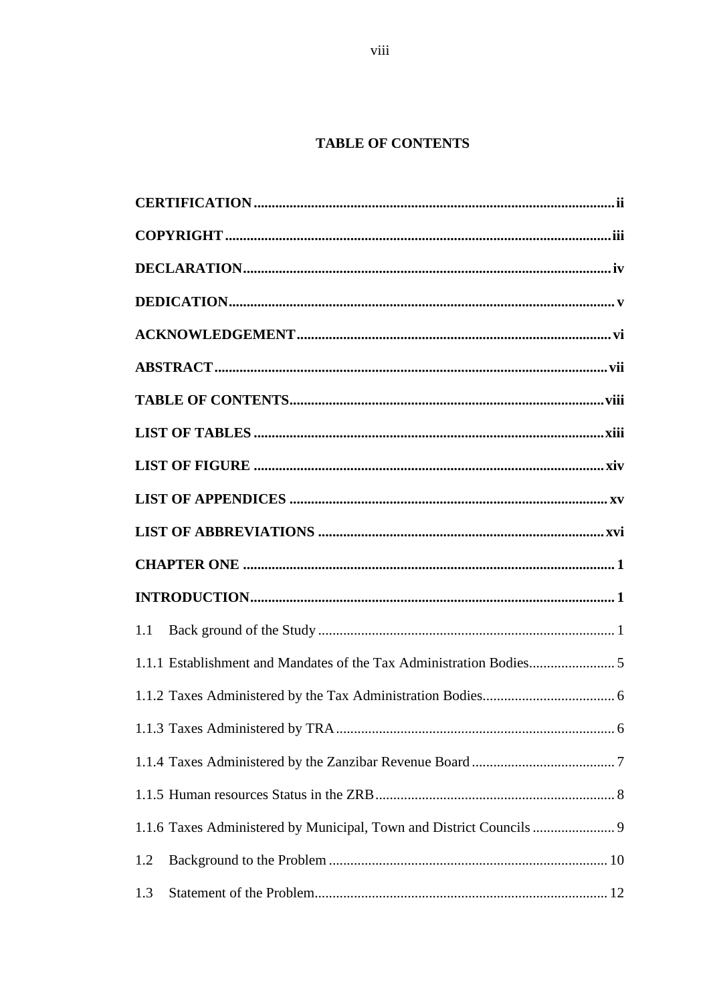# **TABLE OF CONTENTS**

| 1.1 |  |
|-----|--|
|     |  |
|     |  |
|     |  |
|     |  |
|     |  |
|     |  |
|     |  |
| 1.2 |  |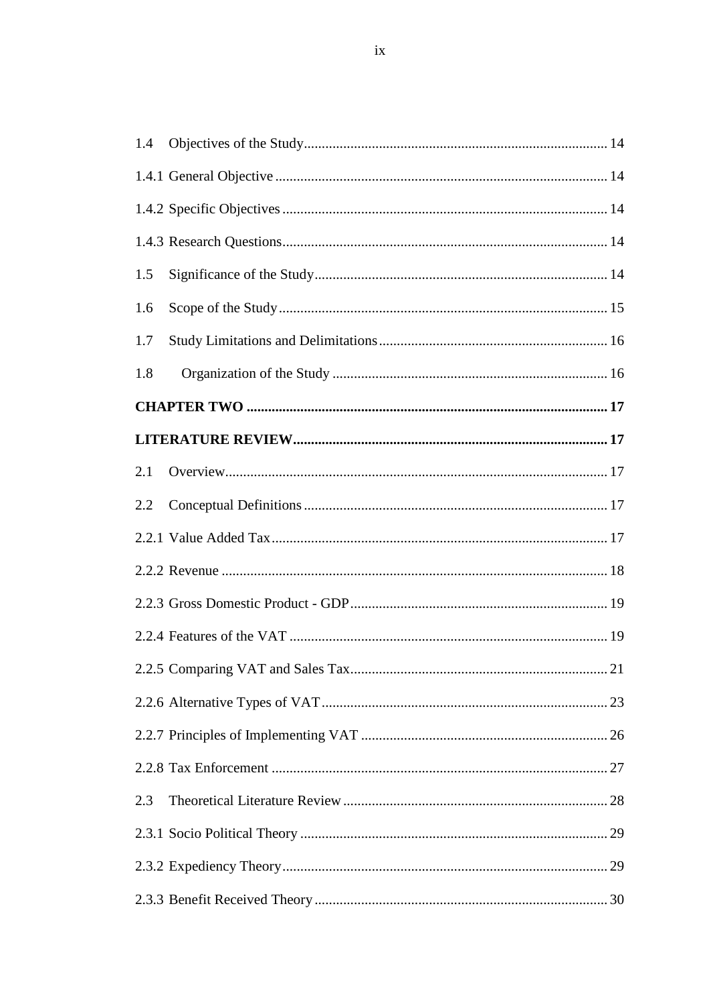| 1.4 |  |
|-----|--|
|     |  |
|     |  |
|     |  |
| 1.5 |  |
| 1.6 |  |
| 1.7 |  |
| 1.8 |  |
|     |  |
|     |  |
| 2.1 |  |
| 2.2 |  |
|     |  |
|     |  |
|     |  |
|     |  |
|     |  |
|     |  |
|     |  |
|     |  |
| 2.3 |  |
|     |  |
|     |  |
|     |  |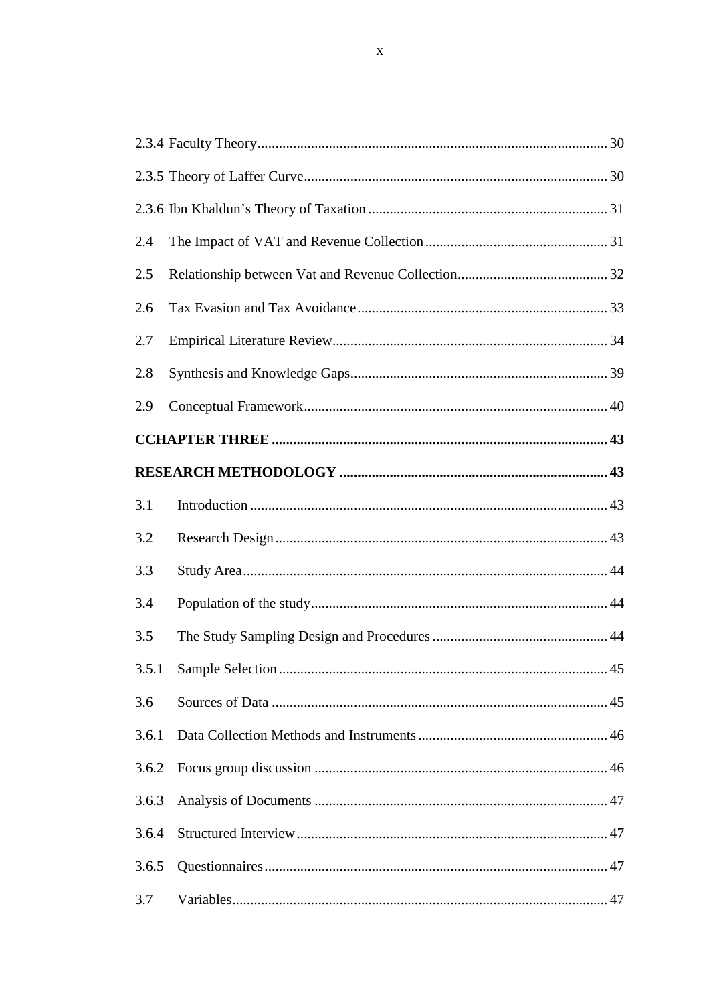| 2.4   |  |
|-------|--|
| 2.5   |  |
| 2.6   |  |
| 2.7   |  |
| 2.8   |  |
| 2.9   |  |
|       |  |
|       |  |
| 3.1   |  |
| 3.2   |  |
| 3.3   |  |
| 3.4   |  |
| 3.5   |  |
| 3.5.1 |  |
| 3.6   |  |
| 3.6.1 |  |
| 3.6.2 |  |
| 3.6.3 |  |
| 3.6.4 |  |
| 3.6.5 |  |
| 3.7   |  |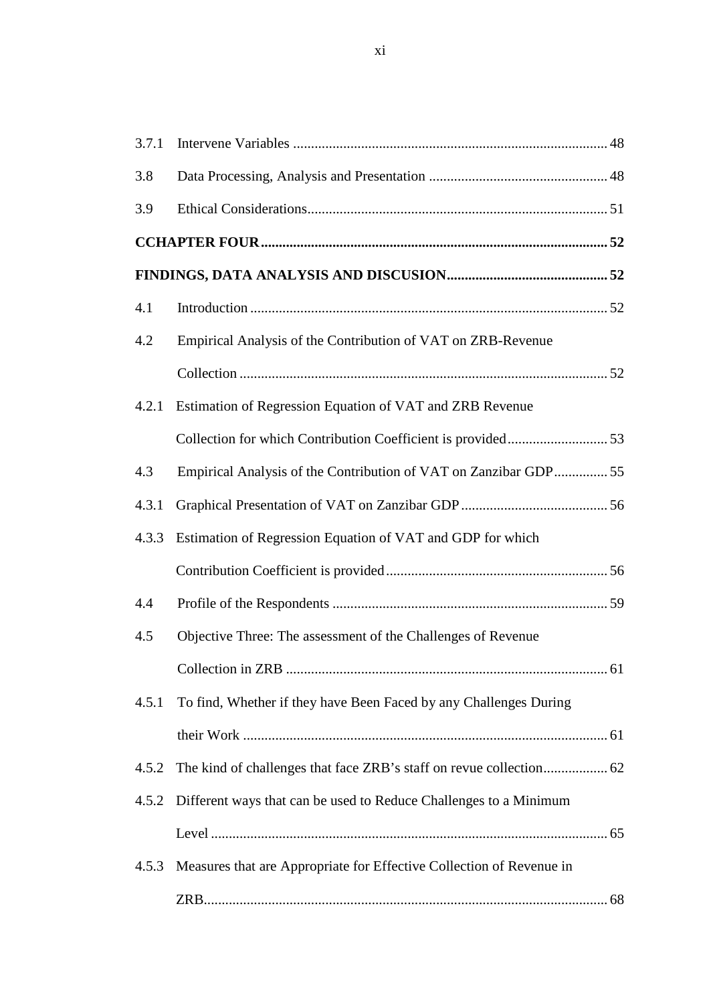| 3.7.1 |                                                                      |
|-------|----------------------------------------------------------------------|
| 3.8   |                                                                      |
| 3.9   |                                                                      |
|       |                                                                      |
|       |                                                                      |
| 4.1   |                                                                      |
| 4.2   | Empirical Analysis of the Contribution of VAT on ZRB-Revenue         |
|       |                                                                      |
| 4.2.1 | Estimation of Regression Equation of VAT and ZRB Revenue             |
|       |                                                                      |
| 4.3   | Empirical Analysis of the Contribution of VAT on Zanzibar GDP 55     |
| 4.3.1 |                                                                      |
| 4.3.3 | Estimation of Regression Equation of VAT and GDP for which           |
|       |                                                                      |
| 4.4   |                                                                      |
| 4.5   | Objective Three: The assessment of the Challenges of Revenue         |
|       |                                                                      |
| 4.5.1 | To find, Whether if they have Been Faced by any Challenges During    |
|       |                                                                      |
| 4.5.2 |                                                                      |
| 4.5.2 | Different ways that can be used to Reduce Challenges to a Minimum    |
|       |                                                                      |
| 4.5.3 | Measures that are Appropriate for Effective Collection of Revenue in |
|       |                                                                      |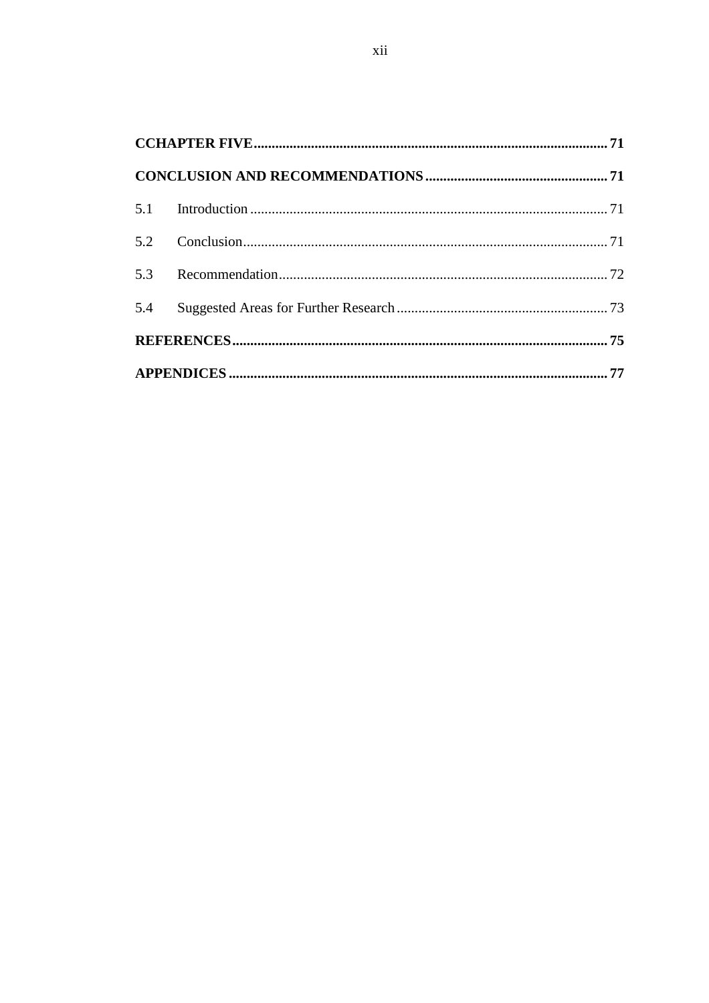| 5.4 |  |
|-----|--|
|     |  |
|     |  |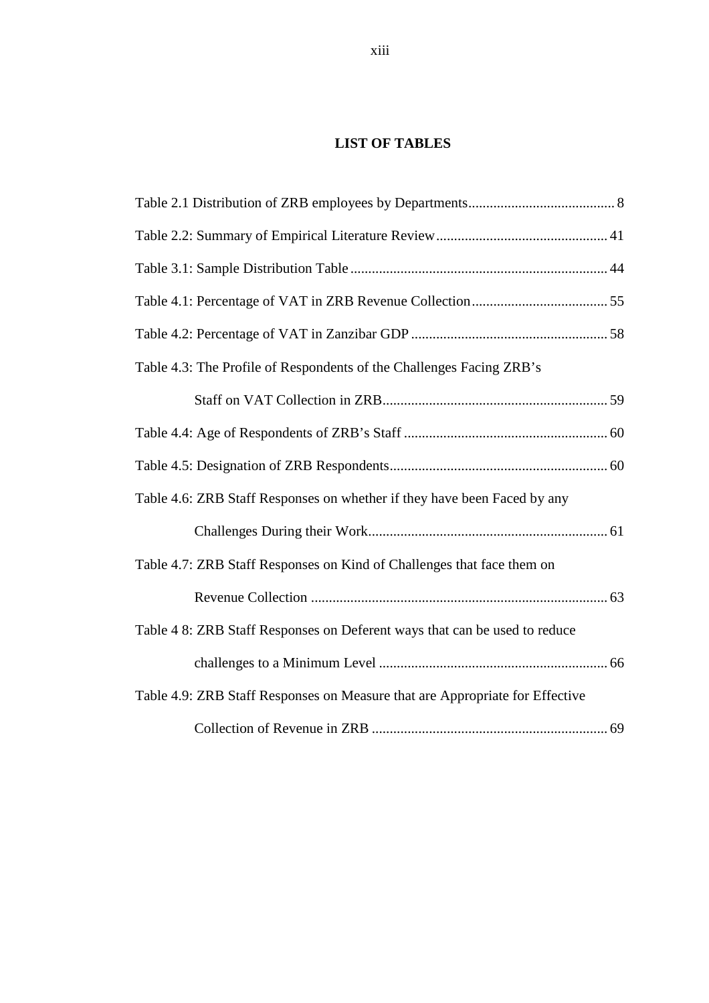# **LIST OF TABLES**

| Table 4.3: The Profile of Respondents of the Challenges Facing ZRB's         |  |
|------------------------------------------------------------------------------|--|
|                                                                              |  |
|                                                                              |  |
|                                                                              |  |
| Table 4.6: ZRB Staff Responses on whether if they have been Faced by any     |  |
|                                                                              |  |
| Table 4.7: ZRB Staff Responses on Kind of Challenges that face them on       |  |
|                                                                              |  |
| Table 4 8: ZRB Staff Responses on Deferent ways that can be used to reduce   |  |
|                                                                              |  |
| Table 4.9: ZRB Staff Responses on Measure that are Appropriate for Effective |  |
|                                                                              |  |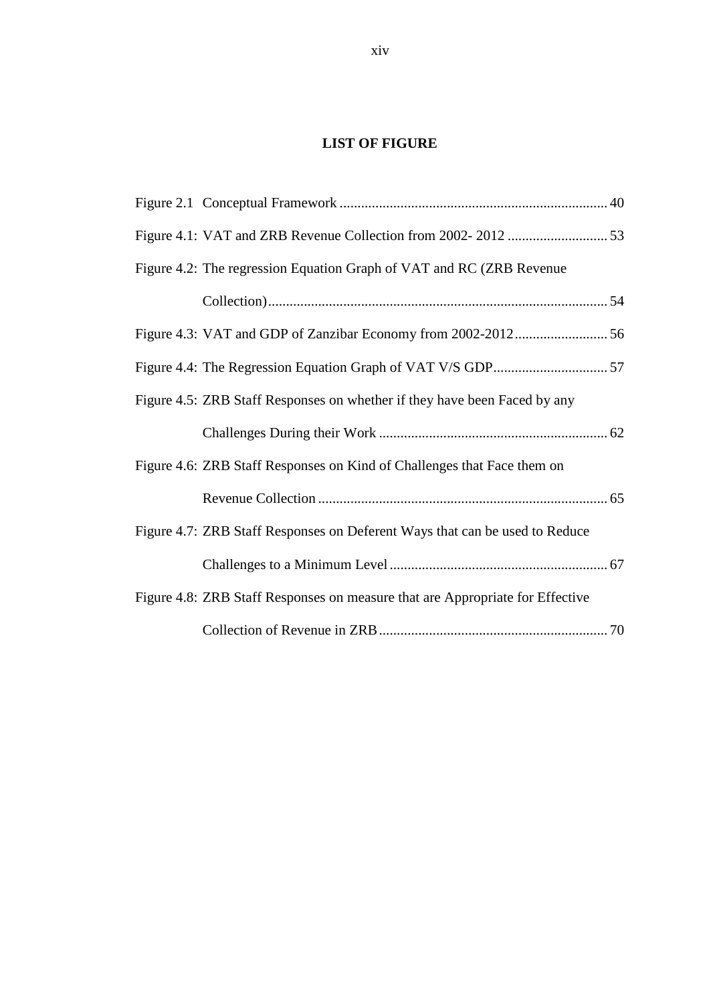# **LIST OF FIGURE**

| Figure 4.2: The regression Equation Graph of VAT and RC (ZRB Revenue)         |  |
|-------------------------------------------------------------------------------|--|
|                                                                               |  |
|                                                                               |  |
|                                                                               |  |
| Figure 4.5: ZRB Staff Responses on whether if they have been Faced by any     |  |
|                                                                               |  |
| Figure 4.6: ZRB Staff Responses on Kind of Challenges that Face them on       |  |
|                                                                               |  |
| Figure 4.7: ZRB Staff Responses on Deferent Ways that can be used to Reduce   |  |
|                                                                               |  |
| Figure 4.8: ZRB Staff Responses on measure that are Appropriate for Effective |  |
|                                                                               |  |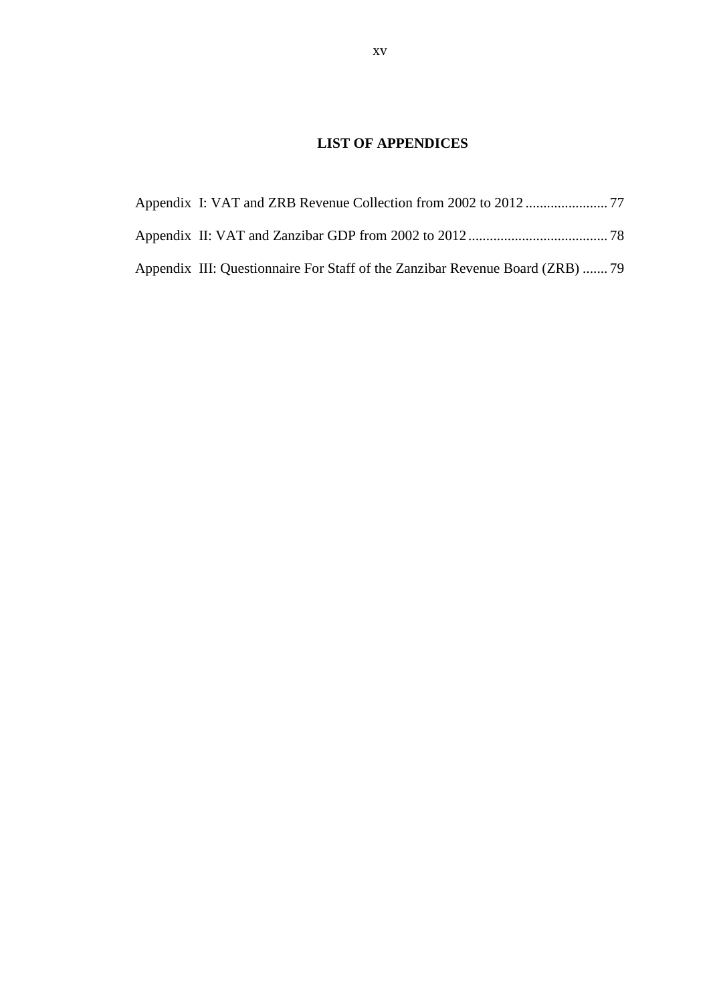# **LIST OF APPENDICES**

| Appendix III: Questionnaire For Staff of the Zanzibar Revenue Board (ZRB)  79 |  |
|-------------------------------------------------------------------------------|--|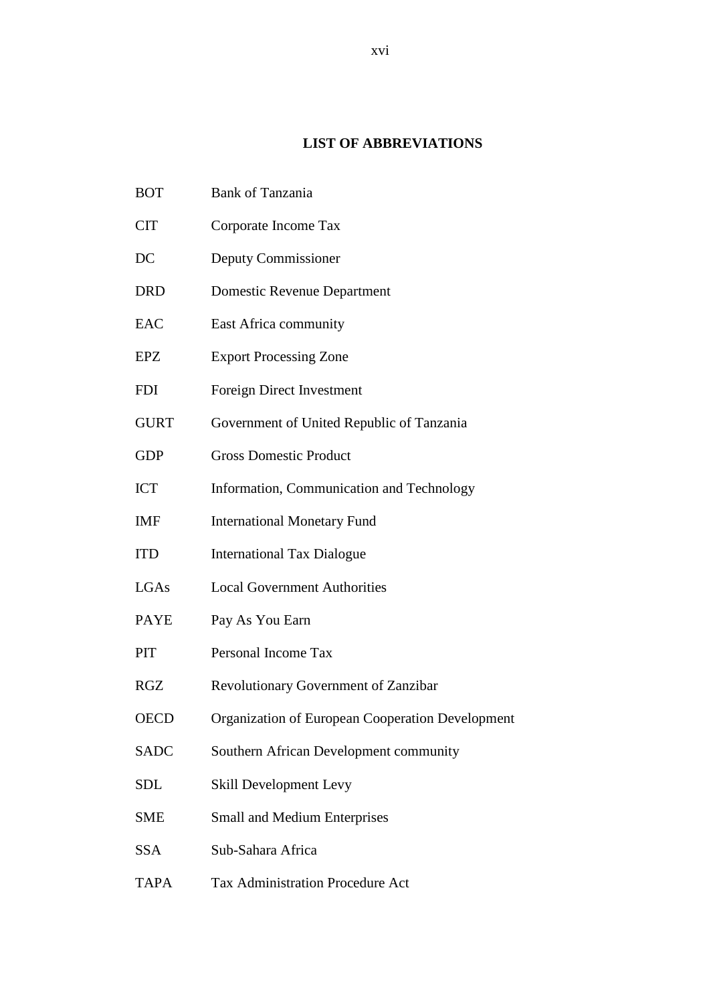# **LIST OF ABBREVIATIONS**

- BOT Bank of Tanzania
- CIT Corporate Income Tax
- DC Deputy Commissioner
- DRD Domestic Revenue Department
- EAC East Africa community
- EPZ Export Processing Zone
- FDI Foreign Direct Investment
- GURT Government of United Republic of Tanzania
- GDP Gross Domestic Product
- ICT Information, Communication and Technology
- IMF International Monetary Fund
- ITD International Tax Dialogue
- LGAs Local Government Authorities
- PAYE Pay As You Earn
- PIT Personal Income Tax
- RGZ Revolutionary Government of Zanzibar
- OECD Organization of European Cooperation Development
- SADC Southern African Development community
- SDL Skill Development Levy
- SME Small and Medium Enterprises
- SSA Sub-Sahara Africa
- TAPA Tax Administration Procedure Act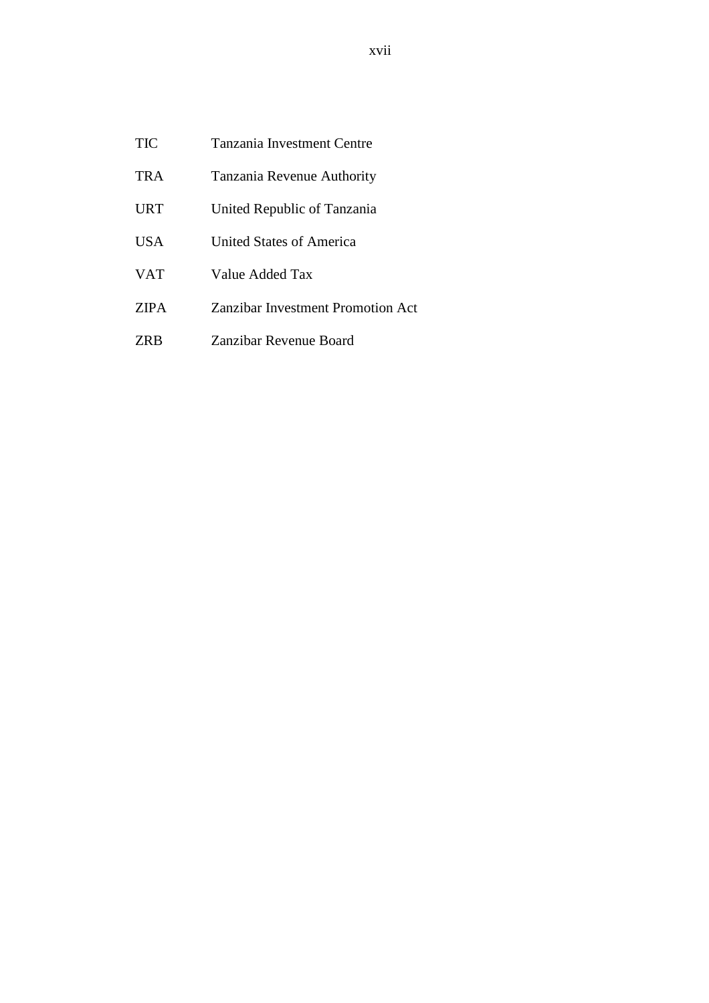| TIC | Tanzania Investment Centre |
|-----|----------------------------|
|     |                            |

- TRA Tanzania Revenue Authority
- URT United Republic of Tanzania
- USA United States of America
- VAT Value Added Tax
- ZIPA Zanzibar Investment Promotion Act
- ZRB Zanzibar Revenue Board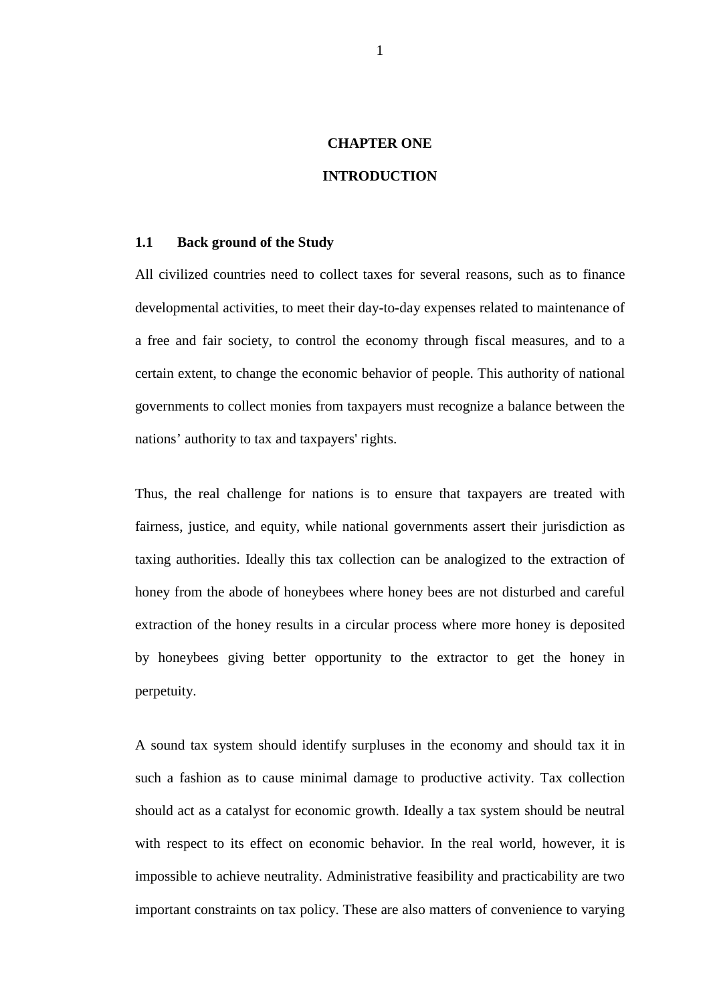# **CHAPTER ONE**

# **INTRODUCTION**

### **1.1 Back ground of the Study**

All civilized countries need to collect taxes for several reasons, such as to finance developmental activities, to meet their day-to-day expenses related to maintenance of a free and fair society, to control the economy through fiscal measures, and to a certain extent, to change the economic behavior of people. This authority of national governments to collect monies from taxpayers must recognize a balance between the nations' authority to tax and taxpayers' rights.

Thus, the real challenge for nations is to ensure that taxpayers are treated with fairness, justice, and equity, while national governments assert their jurisdiction as taxing authorities. Ideally this tax collection can be analogized to the extraction of honey from the abode of honeybees where honey bees are not disturbed and careful extraction of the honey results in a circular process where more honey is deposited by honeybees giving better opportunity to the extractor to get the honey in perpetuity.

A sound tax system should identify surpluses in the economy and should tax it in such a fashion as to cause minimal damage to productive activity. Tax collection should act as a catalyst for economic growth. Ideally a tax system should be neutral with respect to its effect on economic behavior. In the real world, however, it is impossible to achieve neutrality. Administrative feasibility and practicability are two important constraints on tax policy. These are also matters of convenience to varying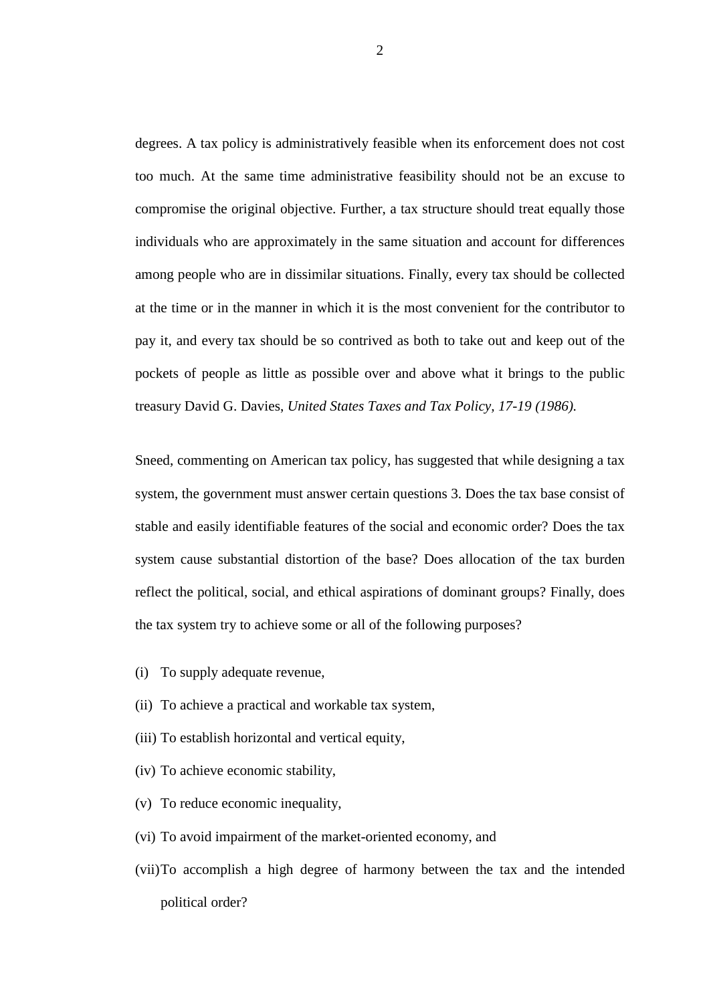degrees. A tax policy is administratively feasible when its enforcement does not cost too much. At the same time administrative feasibility should not be an excuse to compromise the original objective. Further, a tax structure should treat equally those individuals who are approximately in the same situation and account for differences among people who are in dissimilar situations. Finally, every tax should be collected at the time or in the manner in which it is the most convenient for the contributor to pay it, and every tax should be so contrived as both to take out and keep out of the pockets of people as little as possible over and above what it brings to the public treasury David G. Davies, *United States Taxes and Tax Policy, 17-19 (1986).*

Sneed, commenting on American tax policy, has suggested that while designing a tax system, the government must answer certain questions 3. Does the tax base consist of stable and easily identifiable features of the social and economic order? Does the tax system cause substantial distortion of the base? Does allocation of the tax burden reflect the political, social, and ethical aspirations of dominant groups? Finally, does the tax system try to achieve some or all of the following purposes?

- (i) To supply adequate revenue,
- (ii) To achieve a practical and workable tax system,
- (iii) To establish horizontal and vertical equity,
- (iv) To achieve economic stability,
- (v) To reduce economic inequality,
- (vi) To avoid impairment of the market-oriented economy, and
- (vii)To accomplish a high degree of harmony between the tax and the intended political order?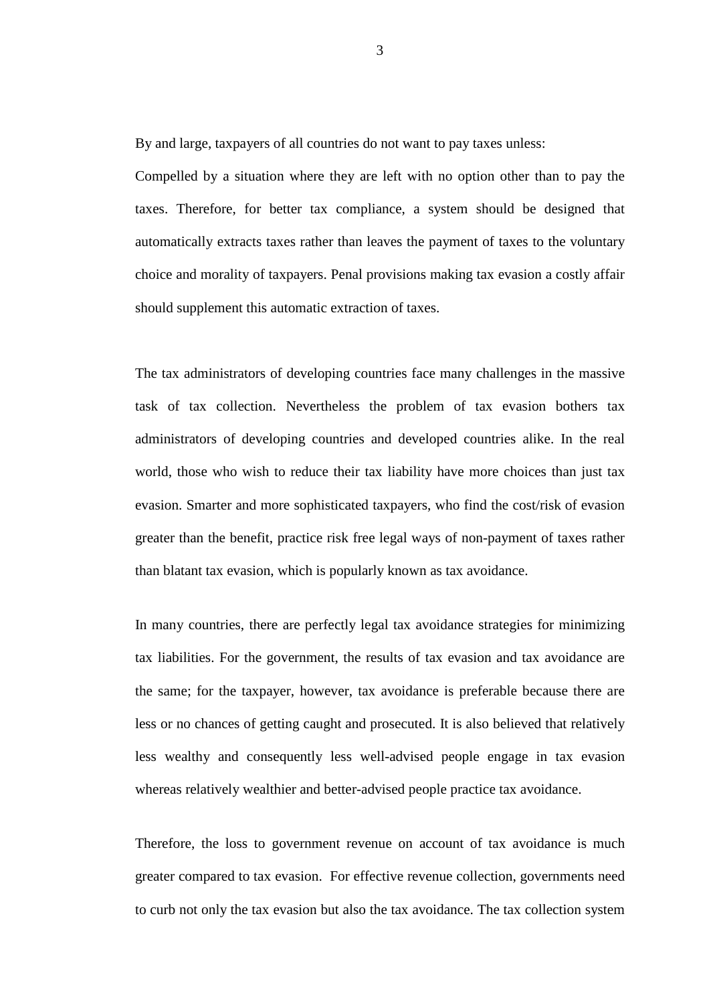By and large, taxpayers of all countries do not want to pay taxes unless:

Compelled by a situation where they are left with no option other than to pay the taxes. Therefore, for better tax compliance, a system should be designed that automatically extracts taxes rather than leaves the payment of taxes to the voluntary choice and morality of taxpayers. Penal provisions making tax evasion a costly affair should supplement this automatic extraction of taxes.

The tax administrators of developing countries face many challenges in the massive task of tax collection. Nevertheless the problem of tax evasion bothers tax administrators of developing countries and developed countries alike. In the real world, those who wish to reduce their tax liability have more choices than just tax evasion. Smarter and more sophisticated taxpayers, who find the cost/risk of evasion greater than the benefit, practice risk free legal ways of non-payment of taxes rather than blatant tax evasion, which is popularly known as tax avoidance.

In many countries, there are perfectly legal tax avoidance strategies for minimizing tax liabilities. For the government, the results of tax evasion and tax avoidance are the same; for the taxpayer, however, tax avoidance is preferable because there are less or no chances of getting caught and prosecuted. It is also believed that relatively less wealthy and consequently less well-advised people engage in tax evasion whereas relatively wealthier and better-advised people practice tax avoidance.

Therefore, the loss to government revenue on account of tax avoidance is much greater compared to tax evasion. For effective revenue collection, governments need to curb not only the tax evasion but also the tax avoidance. The tax collection system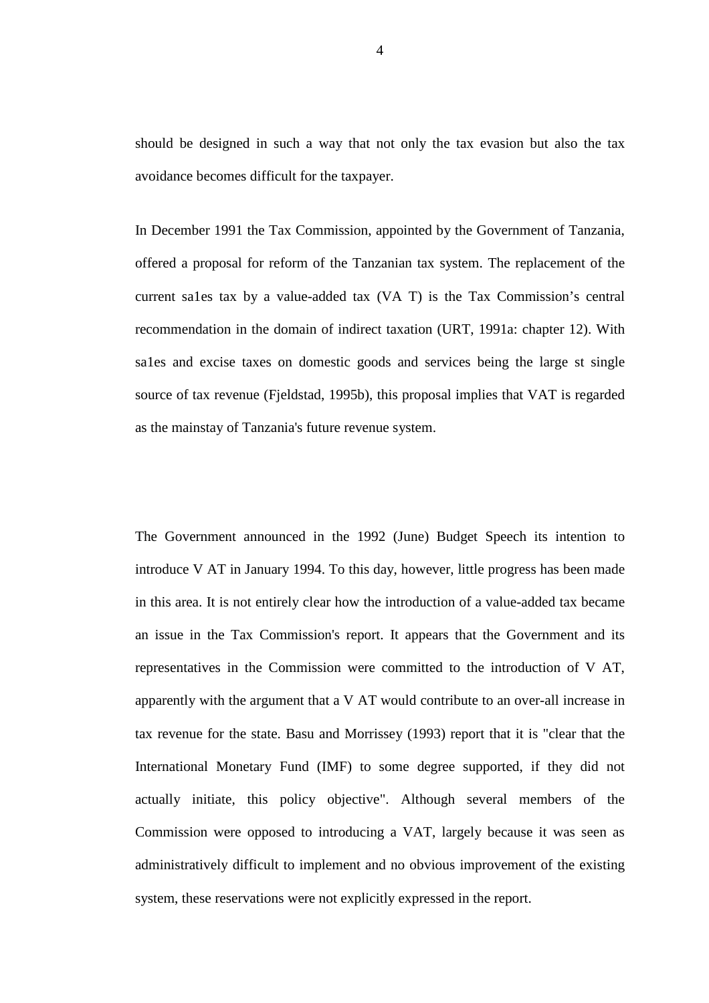should be designed in such a way that not only the tax evasion but also the tax avoidance becomes difficult for the taxpayer.

In December 1991 the Tax Commission, appointed by the Government of Tanzania, offered a proposal for reform of the Tanzanian tax system. The replacement of the current sa1es tax by a value-added tax (VA T) is the Tax Commission's central recommendation in the domain of indirect taxation (URT, 1991a: chapter 12). With sa1es and excise taxes on domestic goods and services being the large st single source of tax revenue (Fjeldstad, 1995b), this proposal implies that VAT is regarded as the mainstay of Tanzania's future revenue system.

The Government announced in the 1992 (June) Budget Speech its intention to introduce V AT in January 1994. To this day, however, little progress has been made in this area. It is not entirely clear how the introduction of a value-added tax became an issue in the Tax Commission's report. It appears that the Government and its representatives in the Commission were committed to the introduction of V AT, apparently with the argument that a V AT would contribute to an over-all increase in tax revenue for the state. Basu and Morrissey (1993) report that it is "clear that the International Monetary Fund (IMF) to some degree supported, if they did not actually initiate, this policy objective". Although several members of the Commission were opposed to introducing a VAT, largely because it was seen as administratively difficult to implement and no obvious improvement of the existing system, these reservations were not explicitly expressed in the report.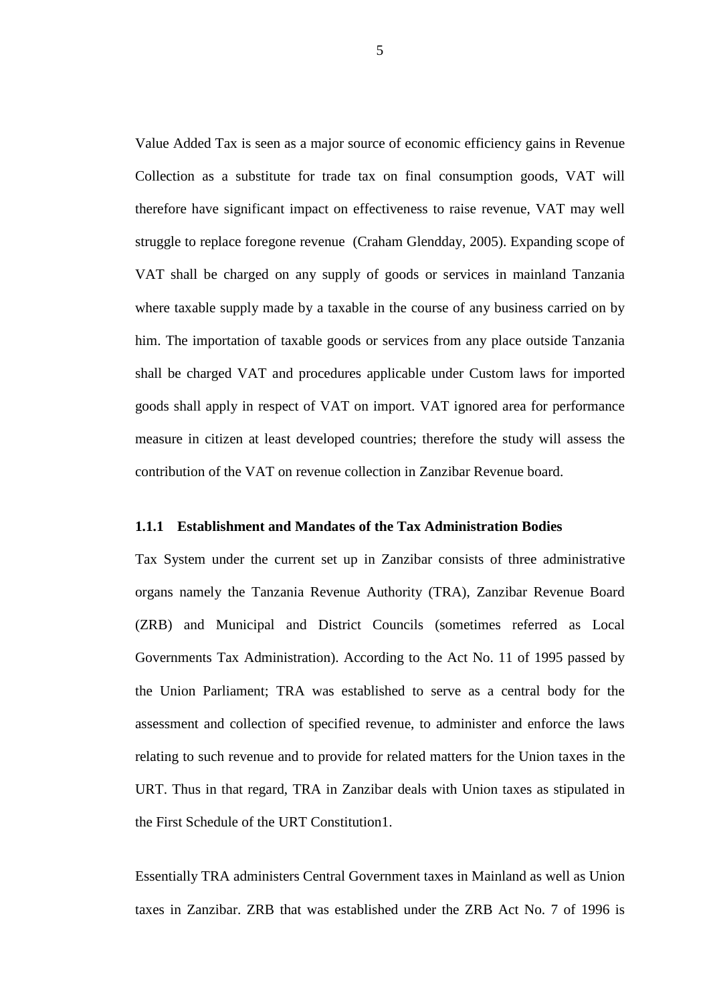Value Added Tax is seen as a major source of economic efficiency gains in Revenue Collection as a substitute for trade tax on final consumption goods, VAT will therefore have significant impact on effectiveness to raise revenue, VAT may well struggle to replace foregone revenue (Craham Glendday, 2005). Expanding scope of VAT shall be charged on any supply of goods or services in mainland Tanzania where taxable supply made by a taxable in the course of any business carried on by him. The importation of taxable goods or services from any place outside Tanzania shall be charged VAT and procedures applicable under Custom laws for imported goods shall apply in respect of VAT on import. VAT ignored area for performance measure in citizen at least developed countries; therefore the study will assess the contribution of the VAT on revenue collection in Zanzibar Revenue board.

### **1.1.1 Establishment and Mandates of the Tax Administration Bodies**

Tax System under the current set up in Zanzibar consists of three administrative organs namely the Tanzania Revenue Authority (TRA), Zanzibar Revenue Board (ZRB) and Municipal and District Councils (sometimes referred as Local Governments Tax Administration). According to the Act No. 11 of 1995 passed by the Union Parliament; TRA was established to serve as a central body for the assessment and collection of specified revenue, to administer and enforce the laws relating to such revenue and to provide for related matters for the Union taxes in the URT. Thus in that regard, TRA in Zanzibar deals with Union taxes as stipulated in the First Schedule of the URT Constitution1.

Essentially TRA administers Central Government taxes in Mainland as well as Union taxes in Zanzibar. ZRB that was established under the ZRB Act No. 7 of 1996 is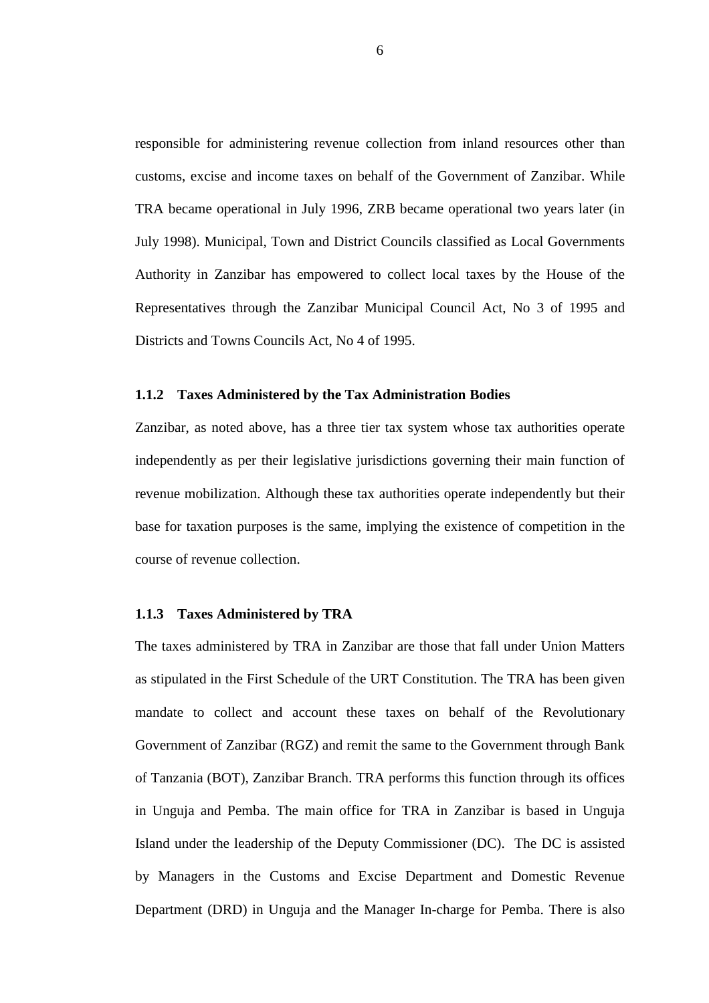responsible for administering revenue collection from inland resources other than customs, excise and income taxes on behalf of the Government of Zanzibar. While TRA became operational in July 1996, ZRB became operational two years later (in July 1998). Municipal, Town and District Councils classified as Local Governments Authority in Zanzibar has empowered to collect local taxes by the House of the Representatives through the Zanzibar Municipal Council Act, No 3 of 1995 and Districts and Towns Councils Act, No 4 of 1995.

#### **1.1.2 Taxes Administered by the Tax Administration Bodies**

Zanzibar, as noted above, has a three tier tax system whose tax authorities operate independently as per their legislative jurisdictions governing their main function of revenue mobilization. Although these tax authorities operate independently but their base for taxation purposes is the same, implying the existence of competition in the course of revenue collection.

#### **1.1.3 Taxes Administered by TRA**

The taxes administered by TRA in Zanzibar are those that fall under Union Matters as stipulated in the First Schedule of the URT Constitution. The TRA has been given mandate to collect and account these taxes on behalf of the Revolutionary Government of Zanzibar (RGZ) and remit the same to the Government through Bank of Tanzania (BOT), Zanzibar Branch. TRA performs this function through its offices in Unguja and Pemba. The main office for TRA in Zanzibar is based in Unguja Island under the leadership of the Deputy Commissioner (DC). The DC is assisted by Managers in the Customs and Excise Department and Domestic Revenue Department (DRD) in Unguja and the Manager In-charge for Pemba. There is also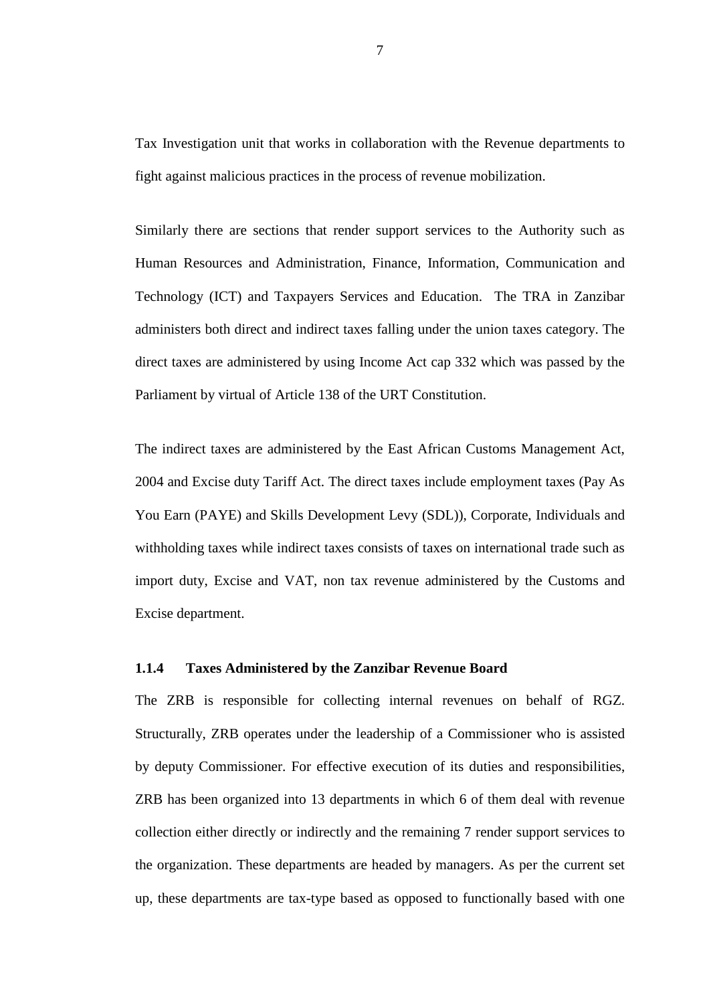Tax Investigation unit that works in collaboration with the Revenue departments to fight against malicious practices in the process of revenue mobilization.

Similarly there are sections that render support services to the Authority such as Human Resources and Administration, Finance, Information, Communication and Technology (ICT) and Taxpayers Services and Education. The TRA in Zanzibar administers both direct and indirect taxes falling under the union taxes category. The direct taxes are administered by using Income Act cap 332 which was passed by the Parliament by virtual of Article 138 of the URT Constitution.

The indirect taxes are administered by the East African Customs Management Act, 2004 and Excise duty Tariff Act. The direct taxes include employment taxes (Pay As You Earn (PAYE) and Skills Development Levy (SDL)), Corporate, Individuals and withholding taxes while indirect taxes consists of taxes on international trade such as import duty, Excise and VAT, non tax revenue administered by the Customs and Excise department.

#### **1.1.4 Taxes Administered by the Zanzibar Revenue Board**

The ZRB is responsible for collecting internal revenues on behalf of RGZ. Structurally, ZRB operates under the leadership of a Commissioner who is assisted by deputy Commissioner. For effective execution of its duties and responsibilities, ZRB has been organized into 13 departments in which 6 of them deal with revenue collection either directly or indirectly and the remaining 7 render support services to the organization. These departments are headed by managers. As per the current set up, these departments are tax-type based as opposed to functionally based with one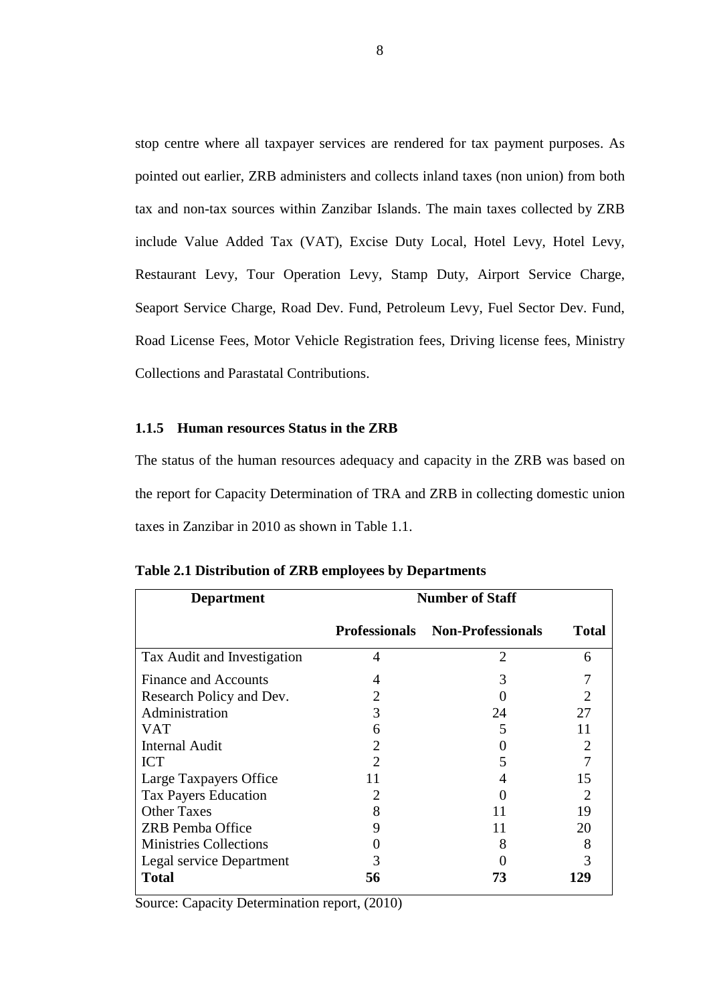stop centre where all taxpayer services are rendered for tax payment purposes. As pointed out earlier, ZRB administers and collects inland taxes (non union) from both tax and non-tax sources within Zanzibar Islands. The main taxes collected by ZRB include Value Added Tax (VAT), Excise Duty Local, Hotel Levy, Hotel Levy, Restaurant Levy, Tour Operation Levy, Stamp Duty, Airport Service Charge, Seaport Service Charge, Road Dev. Fund, Petroleum Levy, Fuel Sector Dev. Fund, Road License Fees, Motor Vehicle Registration fees, Driving license fees, Ministry Collections and Parastatal Contributions.

#### **1.1.5 Human resources Status in the ZRB**

The status of the human resources adequacy and capacity in the ZRB was based on the report for Capacity Determination of TRA and ZRB in collecting domestic union taxes in Zanzibar in 2010 as shown in Table 1.1.

| <b>Department</b>             | <b>Number of Staff</b> |                                        |              |  |
|-------------------------------|------------------------|----------------------------------------|--------------|--|
|                               |                        | <b>Professionals Non-Professionals</b> | <b>Total</b> |  |
| Tax Audit and Investigation   | 4                      | $\overline{2}$                         | 6            |  |
| <b>Finance and Accounts</b>   |                        | 3                                      |              |  |
| Research Policy and Dev.      |                        |                                        |              |  |
| Administration                | 3                      | 24                                     | 27           |  |
| <b>VAT</b>                    | 6                      | 5                                      | 11           |  |
| <b>Internal Audit</b>         |                        |                                        |              |  |
| <b>ICT</b>                    |                        |                                        |              |  |
| Large Taxpayers Office        |                        |                                        | 15           |  |
| <b>Tax Payers Education</b>   |                        |                                        | 2            |  |
| <b>Other Taxes</b>            | 8                      | 11                                     | 19           |  |
| <b>ZRB</b> Pemba Office       | 9                      | 11                                     | 20           |  |
| <b>Ministries Collections</b> |                        | 8                                      | 8            |  |
| Legal service Department      |                        |                                        | 3            |  |
| <b>Total</b>                  | 56                     | 73                                     | 129          |  |

| Table 2.1 Distribution of ZRB employees by Departments |  |  |
|--------------------------------------------------------|--|--|
|                                                        |  |  |

Source: Capacity Determination report, (2010)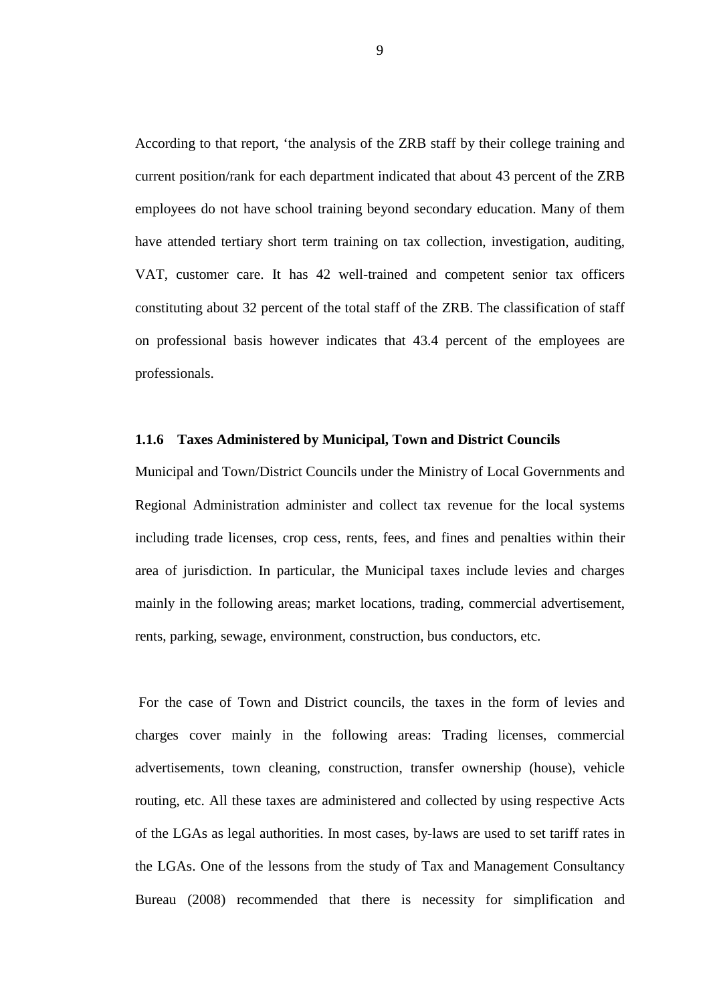According to that report, 'the analysis of the ZRB staff by their college training and current position/rank for each department indicated that about 43 percent of the ZRB employees do not have school training beyond secondary education. Many of them have attended tertiary short term training on tax collection, investigation, auditing, VAT, customer care. It has 42 well-trained and competent senior tax officers constituting about 32 percent of the total staff of the ZRB. The classification of staff on professional basis however indicates that 43.4 percent of the employees are professionals.

#### **1.1.6 Taxes Administered by Municipal, Town and District Councils**

Municipal and Town/District Councils under the Ministry of Local Governments and Regional Administration administer and collect tax revenue for the local systems including trade licenses, crop cess, rents, fees, and fines and penalties within their area of jurisdiction. In particular, the Municipal taxes include levies and charges mainly in the following areas; market locations, trading, commercial advertisement, rents, parking, sewage, environment, construction, bus conductors, etc.

 For the case of Town and District councils, the taxes in the form of levies and charges cover mainly in the following areas: Trading licenses, commercial advertisements, town cleaning, construction, transfer ownership (house), vehicle routing, etc. All these taxes are administered and collected by using respective Acts of the LGAs as legal authorities. In most cases, by-laws are used to set tariff rates in the LGAs. One of the lessons from the study of Tax and Management Consultancy Bureau (2008) recommended that there is necessity for simplification and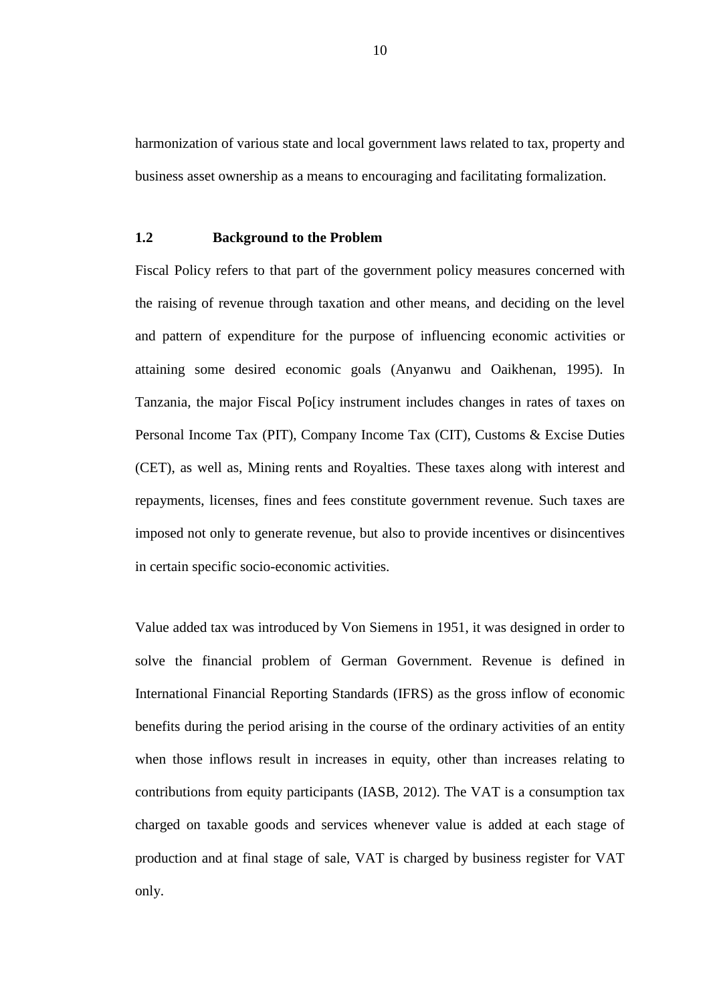harmonization of various state and local government laws related to tax, property and business asset ownership as a means to encouraging and facilitating formalization.

#### **1.2 Background to the Problem**

Fiscal Policy refers to that part of the government policy measures concerned with the raising of revenue through taxation and other means, and deciding on the level and pattern of expenditure for the purpose of influencing economic activities or attaining some desired economic goals (Anyanwu and Oaikhenan, 1995). In Tanzania, the major Fiscal Po[icy instrument includes changes in rates of taxes on Personal Income Tax (PIT), Company Income Tax (CIT), Customs & Excise Duties (CET), as well as, Mining rents and Royalties. These taxes along with interest and repayments, licenses, fines and fees constitute government revenue. Such taxes are imposed not only to generate revenue, but also to provide incentives or disincentives in certain specific socio-economic activities.

Value added tax was introduced by Von Siemens in 1951, it was designed in order to solve the financial problem of German Government. Revenue is defined in International Financial Reporting Standards (IFRS) as the gross inflow of economic benefits during the period arising in the course of the ordinary activities of an entity when those inflows result in increases in equity, other than increases relating to contributions from equity participants (IASB, 2012). The VAT is a consumption tax charged on taxable goods and services whenever value is added at each stage of production and at final stage of sale, VAT is charged by business register for VAT only.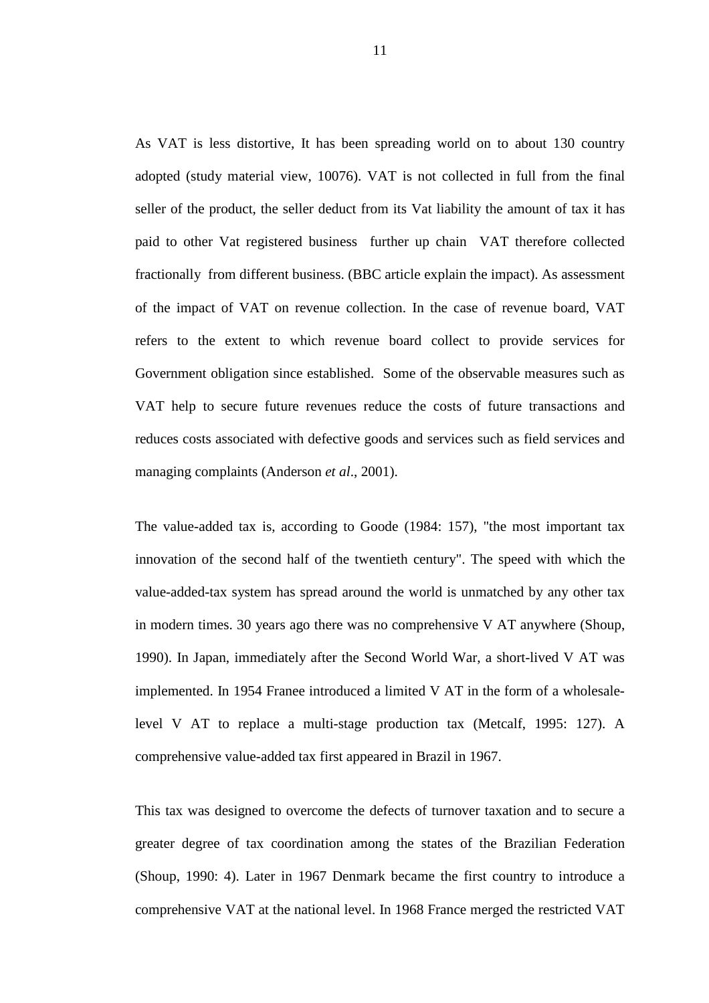As VAT is less distortive, It has been spreading world on to about 130 country adopted (study material view, 10076). VAT is not collected in full from the final seller of the product, the seller deduct from its Vat liability the amount of tax it has paid to other Vat registered business further up chain VAT therefore collected fractionally from different business. (BBC article explain the impact). As assessment of the impact of VAT on revenue collection. In the case of revenue board, VAT refers to the extent to which revenue board collect to provide services for Government obligation since established. Some of the observable measures such as VAT help to secure future revenues reduce the costs of future transactions and reduces costs associated with defective goods and services such as field services and managing complaints (Anderson *et al*., 2001).

The value-added tax is, according to Goode (1984: 157), "the most important tax innovation of the second half of the twentieth century". The speed with which the value-added-tax system has spread around the world is unmatched by any other tax in modern times. 30 years ago there was no comprehensive V AT anywhere (Shoup, 1990). In Japan, immediately after the Second World War, a short-lived V AT was implemented. In 1954 Franee introduced a limited V AT in the form of a wholesalelevel V AT to replace a multi-stage production tax (Metcalf, 1995: 127). A comprehensive value-added tax first appeared in Brazil in 1967.

This tax was designed to overcome the defects of turnover taxation and to secure a greater degree of tax coordination among the states of the Brazilian Federation (Shoup, 1990: 4). Later in 1967 Denmark became the first country to introduce a comprehensive VAT at the national level. In 1968 France merged the restricted VAT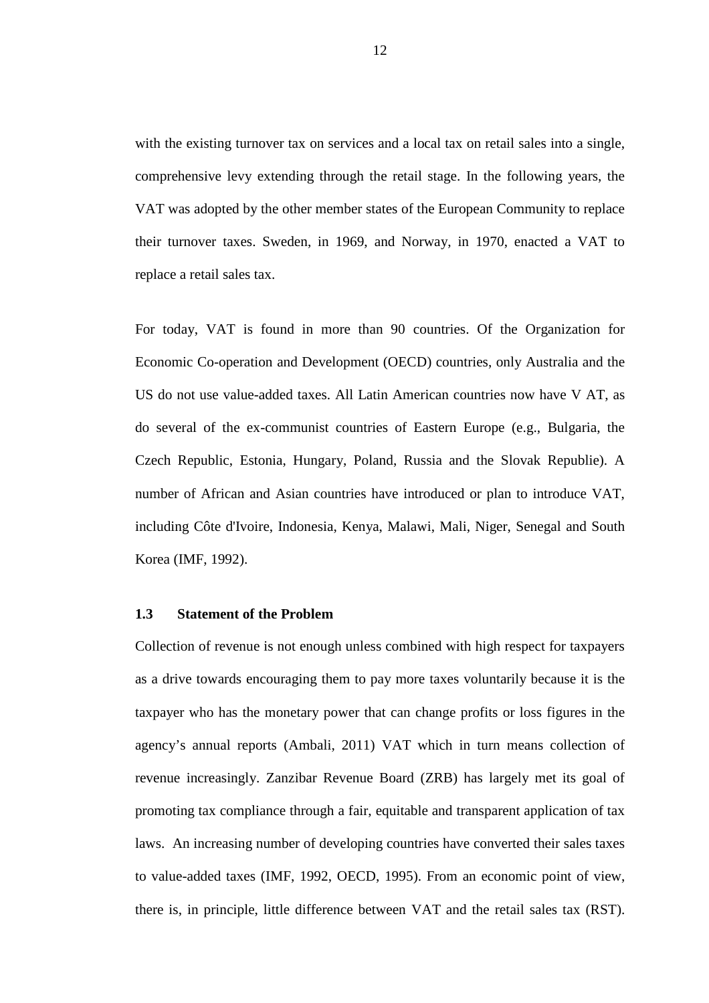with the existing turnover tax on services and a local tax on retail sales into a single, comprehensive levy extending through the retail stage. In the following years, the VAT was adopted by the other member states of the European Community to replace their turnover taxes. Sweden, in 1969, and Norway, in 1970, enacted a VAT to replace a retail sales tax.

For today, VAT is found in more than 90 countries. Of the Organization for Economic Co-operation and Development (OECD) countries, only Australia and the US do not use value-added taxes. All Latin American countries now have V AT, as do several of the ex-communist countries of Eastern Europe (e.g., Bulgaria, the Czech Republic, Estonia, Hungary, Poland, Russia and the Slovak Republie). A number of African and Asian countries have introduced or plan to introduce VAT, including Côte d'Ivoire, Indonesia, Kenya, Malawi, Mali, Niger, Senegal and South Korea (IMF, 1992).

### **1.3 Statement of the Problem**

Collection of revenue is not enough unless combined with high respect for taxpayers as a drive towards encouraging them to pay more taxes voluntarily because it is the taxpayer who has the monetary power that can change profits or loss figures in the agency's annual reports (Ambali, 2011) VAT which in turn means collection of revenue increasingly. Zanzibar Revenue Board (ZRB) has largely met its goal of promoting tax compliance through a fair, equitable and transparent application of tax laws. An increasing number of developing countries have converted their sales taxes to value-added taxes (IMF, 1992, OECD, 1995). From an economic point of view, there is, in principle, little difference between VAT and the retail sales tax (RST).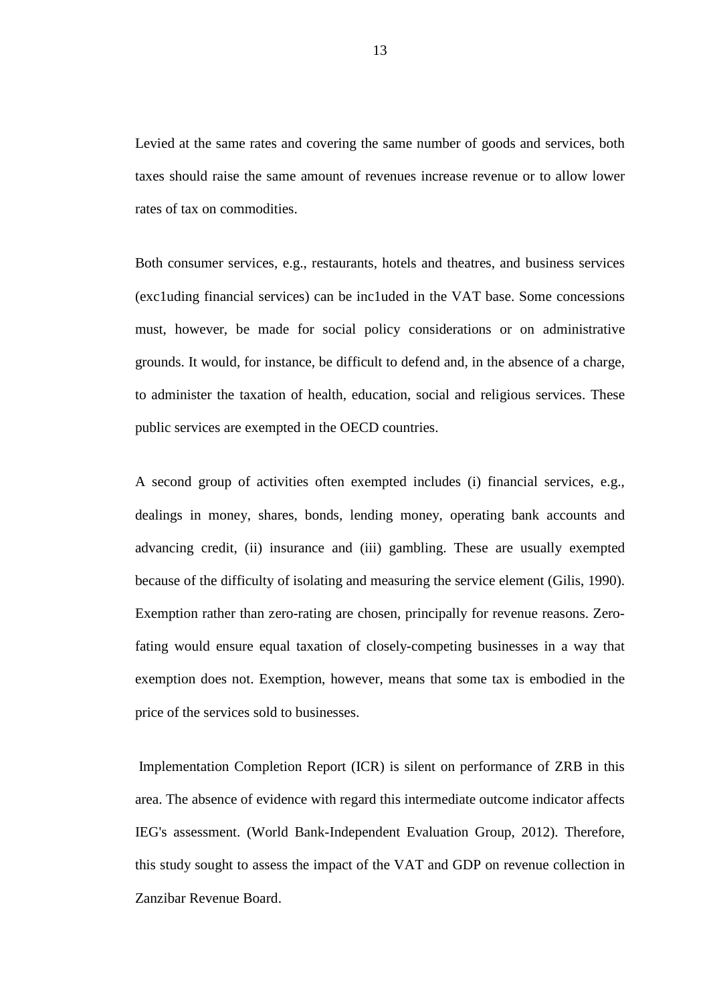Levied at the same rates and covering the same number of goods and services, both taxes should raise the same amount of revenues increase revenue or to allow lower rates of tax on commodities.

Both consumer services, e.g., restaurants, hotels and theatres, and business services (exc1uding financial services) can be inc1uded in the VAT base. Some concessions must, however, be made for social policy considerations or on administrative grounds. It would, for instance, be difficult to defend and, in the absence of a charge, to administer the taxation of health, education, social and religious services. These public services are exempted in the OECD countries.

A second group of activities often exempted includes (i) financial services, e.g., dealings in money, shares, bonds, lending money, operating bank accounts and advancing credit, (ii) insurance and (iii) gambling. These are usually exempted because of the difficulty of isolating and measuring the service element (Gilis, 1990). Exemption rather than zero-rating are chosen, principally for revenue reasons. Zerofating would ensure equal taxation of closely-competing businesses in a way that exemption does not. Exemption, however, means that some tax is embodied in the price of the services sold to businesses.

 Implementation Completion Report (ICR) is silent on performance of ZRB in this area. The absence of evidence with regard this intermediate outcome indicator affects IEG's assessment. (World Bank-Independent Evaluation Group, 2012). Therefore, this study sought to assess the impact of the VAT and GDP on revenue collection in Zanzibar Revenue Board.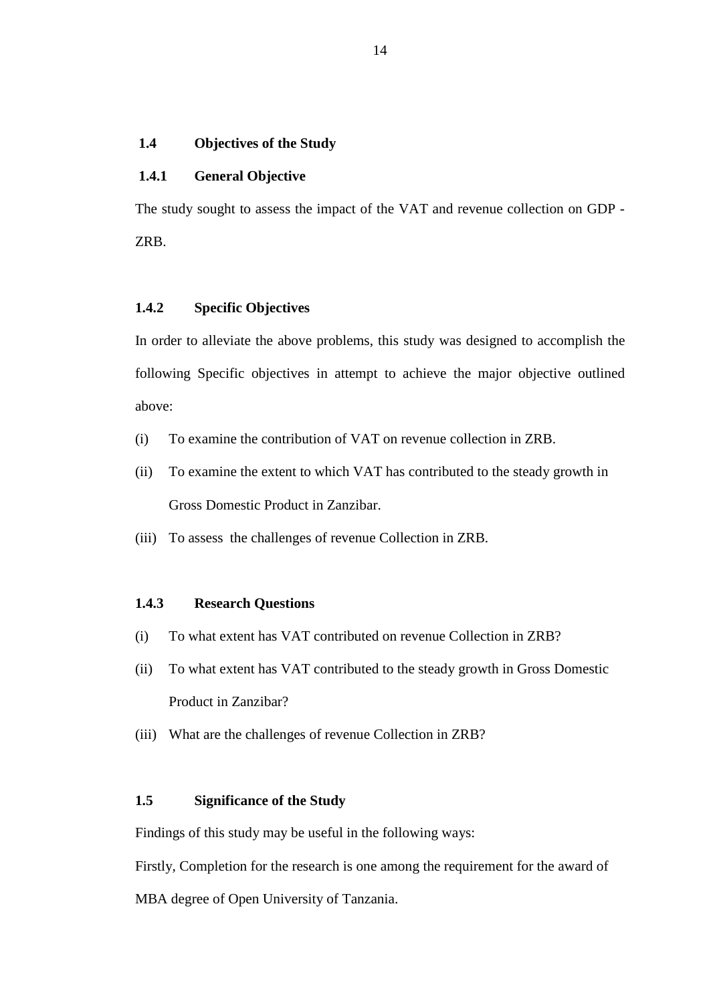# **1.4 Objectives of the Study**

# **1.4.1 General Objective**

The study sought to assess the impact of the VAT and revenue collection on GDP - ZRB.

# **1.4.2 Specific Objectives**

In order to alleviate the above problems, this study was designed to accomplish the following Specific objectives in attempt to achieve the major objective outlined above:

- (i) To examine the contribution of VAT on revenue collection in ZRB.
- (ii) To examine the extent to which VAT has contributed to the steady growth in Gross Domestic Product in Zanzibar.
- (iii) To assess the challenges of revenue Collection in ZRB.

### **1.4.3 Research Questions**

- (i) To what extent has VAT contributed on revenue Collection in ZRB?
- (ii) To what extent has VAT contributed to the steady growth in Gross Domestic Product in Zanzibar?
- (iii) What are the challenges of revenue Collection in ZRB?

# **1.5 Significance of the Study**

Findings of this study may be useful in the following ways:

Firstly, Completion for the research is one among the requirement for the award of

MBA degree of Open University of Tanzania.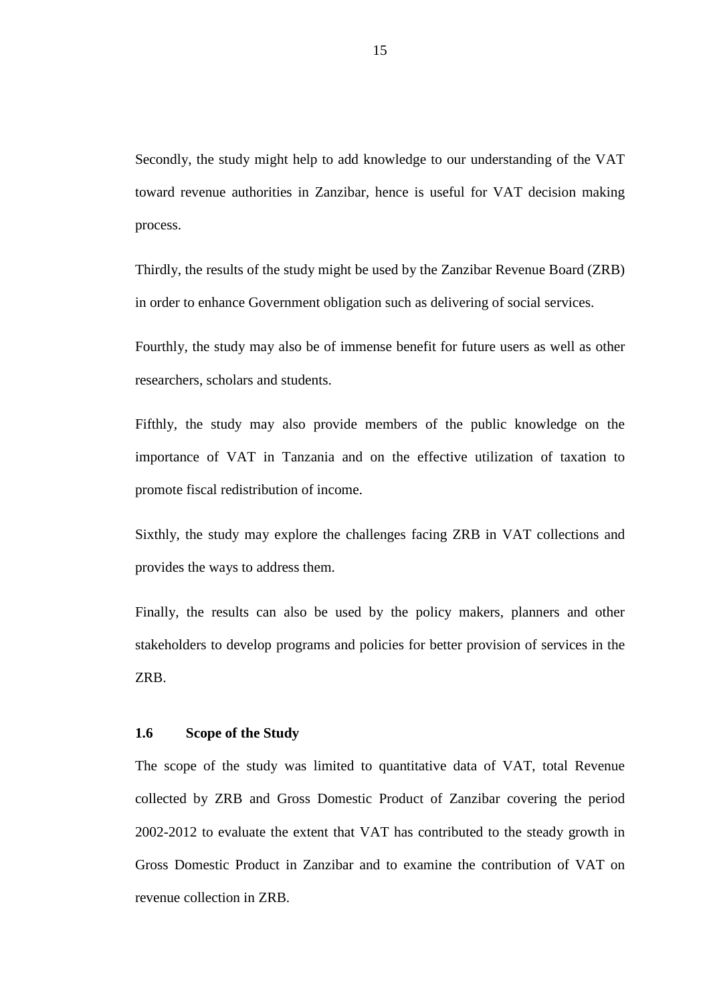Secondly, the study might help to add knowledge to our understanding of the VAT toward revenue authorities in Zanzibar, hence is useful for VAT decision making process.

Thirdly, the results of the study might be used by the Zanzibar Revenue Board (ZRB) in order to enhance Government obligation such as delivering of social services.

Fourthly, the study may also be of immense benefit for future users as well as other researchers, scholars and students.

Fifthly, the study may also provide members of the public knowledge on the importance of VAT in Tanzania and on the effective utilization of taxation to promote fiscal redistribution of income.

Sixthly, the study may explore the challenges facing ZRB in VAT collections and provides the ways to address them.

Finally, the results can also be used by the policy makers, planners and other stakeholders to develop programs and policies for better provision of services in the ZRB.

#### **1.6 Scope of the Study**

The scope of the study was limited to quantitative data of VAT, total Revenue collected by ZRB and Gross Domestic Product of Zanzibar covering the period 2002-2012 to evaluate the extent that VAT has contributed to the steady growth in Gross Domestic Product in Zanzibar and to examine the contribution of VAT on revenue collection in ZRB.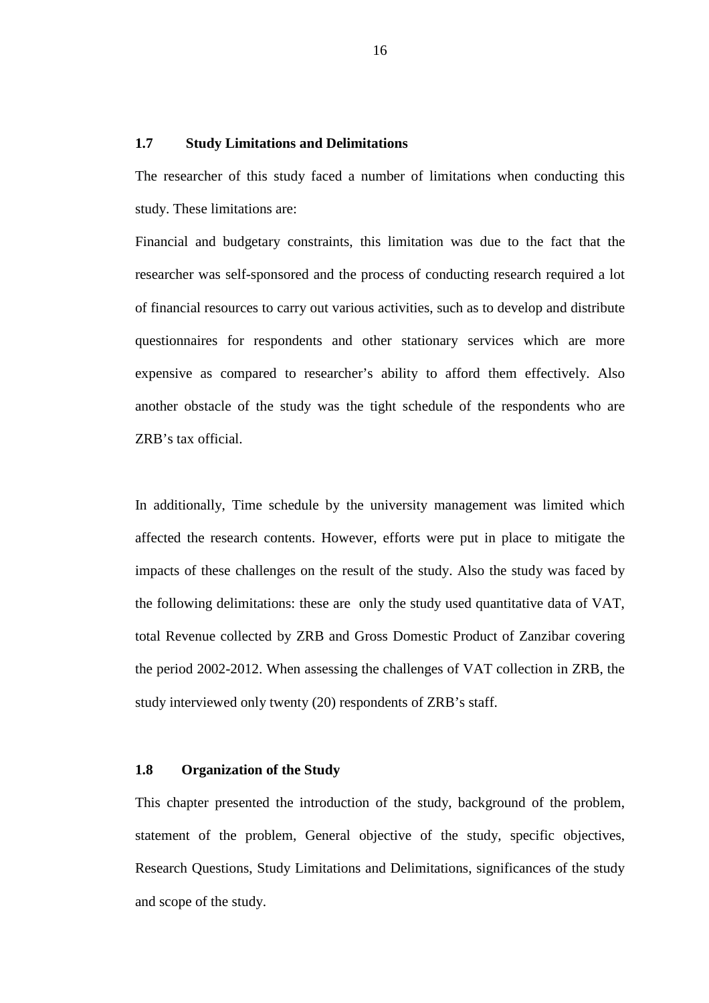# **1.7 Study Limitations and Delimitations**

The researcher of this study faced a number of limitations when conducting this study. These limitations are:

Financial and budgetary constraints, this limitation was due to the fact that the researcher was self-sponsored and the process of conducting research required a lot of financial resources to carry out various activities, such as to develop and distribute questionnaires for respondents and other stationary services which are more expensive as compared to researcher's ability to afford them effectively. Also another obstacle of the study was the tight schedule of the respondents who are ZRB's tax official.

In additionally, Time schedule by the university management was limited which affected the research contents. However, efforts were put in place to mitigate the impacts of these challenges on the result of the study. Also the study was faced by the following delimitations: these are only the study used quantitative data of VAT, total Revenue collected by ZRB and Gross Domestic Product of Zanzibar covering the period 2002-2012. When assessing the challenges of VAT collection in ZRB, the study interviewed only twenty (20) respondents of ZRB's staff.

### **1.8 Organization of the Study**

This chapter presented the introduction of the study, background of the problem, statement of the problem, General objective of the study, specific objectives, Research Questions, Study Limitations and Delimitations, significances of the study and scope of the study.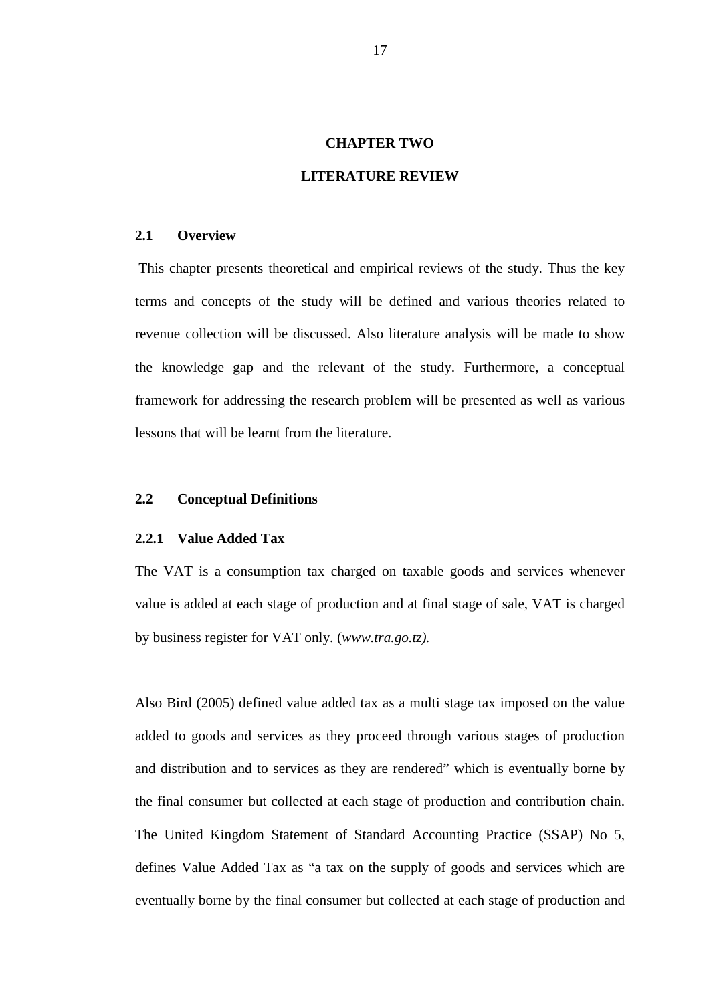### **CHAPTER TWO**

### **LITERATURE REVIEW**

#### **2.1 Overview**

 This chapter presents theoretical and empirical reviews of the study. Thus the key terms and concepts of the study will be defined and various theories related to revenue collection will be discussed. Also literature analysis will be made to show the knowledge gap and the relevant of the study. Furthermore, a conceptual framework for addressing the research problem will be presented as well as various lessons that will be learnt from the literature.

#### **2.2 Conceptual Definitions**

#### **2.2.1 Value Added Tax**

The VAT is a consumption tax charged on taxable goods and services whenever value is added at each stage of production and at final stage of sale, VAT is charged by business register for VAT only. (*www.tra.go.tz).* 

Also Bird (2005) defined value added tax as a multi stage tax imposed on the value added to goods and services as they proceed through various stages of production and distribution and to services as they are rendered" which is eventually borne by the final consumer but collected at each stage of production and contribution chain. The United Kingdom Statement of Standard Accounting Practice (SSAP) No 5, defines Value Added Tax as "a tax on the supply of goods and services which are eventually borne by the final consumer but collected at each stage of production and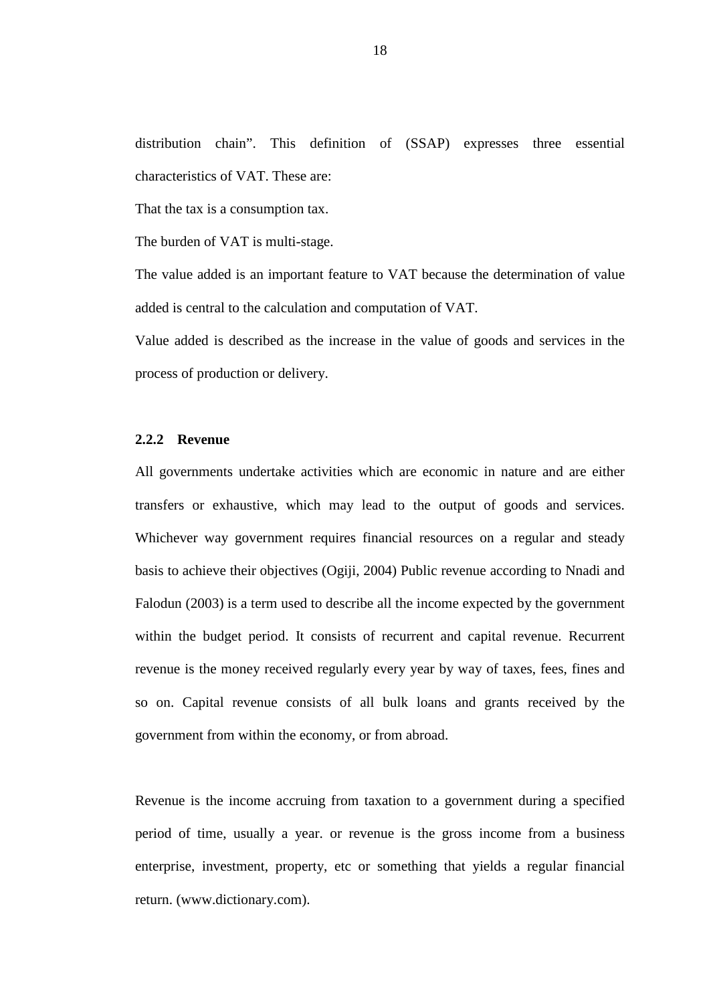distribution chain". This definition of (SSAP) expresses three essential characteristics of VAT. These are:

That the tax is a consumption tax.

The burden of VAT is multi-stage.

The value added is an important feature to VAT because the determination of value added is central to the calculation and computation of VAT.

Value added is described as the increase in the value of goods and services in the process of production or delivery.

# **2.2.2 Revenue**

All governments undertake activities which are economic in nature and are either transfers or exhaustive, which may lead to the output of goods and services. Whichever way government requires financial resources on a regular and steady basis to achieve their objectives (Ogiji, 2004) Public revenue according to Nnadi and Falodun (2003) is a term used to describe all the income expected by the government within the budget period. It consists of recurrent and capital revenue. Recurrent revenue is the money received regularly every year by way of taxes, fees, fines and so on. Capital revenue consists of all bulk loans and grants received by the government from within the economy, or from abroad.

Revenue is the income accruing from taxation to a government during a specified period of time, usually a year. or revenue is the gross income from a business enterprise, investment, property, etc or something that yields a regular financial return. (www.dictionary.com).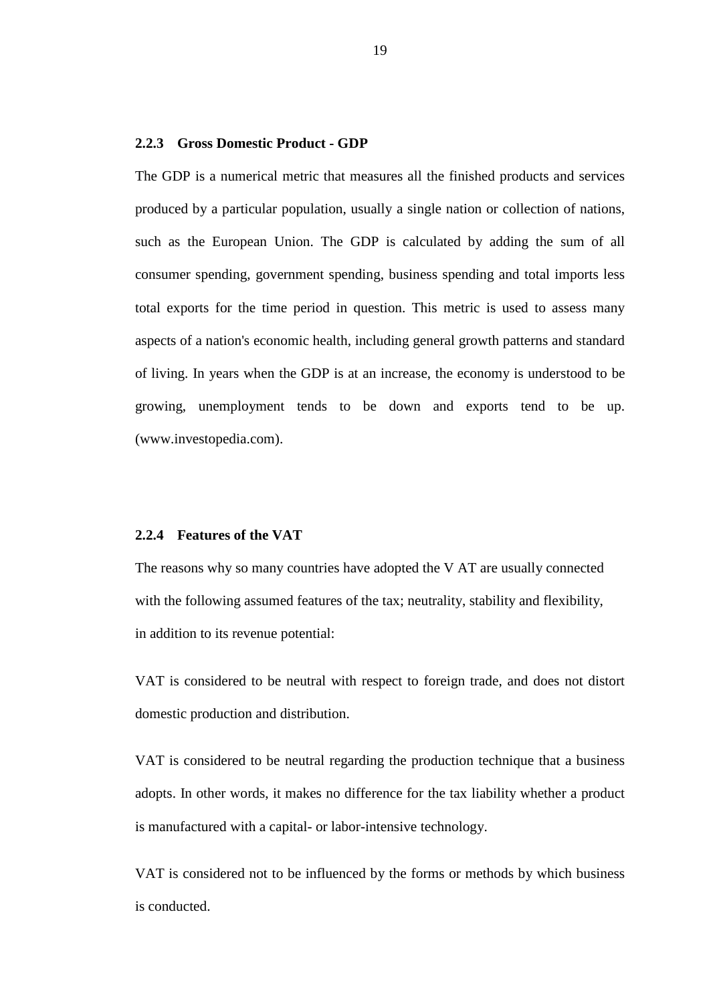#### **2.2.3 Gross Domestic Product - GDP**

The GDP is a numerical metric that measures all the finished products and services produced by a particular population, usually a single nation or collection of nations, such as the European Union. The GDP is calculated by adding the sum of all consumer spending, government spending, business spending and total imports less total exports for the time period in question. This metric is used to assess many aspects of a nation's economic health, including general growth patterns and standard of living. In years when the GDP is at an increase, the economy is understood to be growing, unemployment tends to be down and exports tend to be up. (www.investopedia.com).

#### **2.2.4 Features of the VAT**

The reasons why so many countries have adopted the V AT are usually connected with the following assumed features of the tax; neutrality, stability and flexibility, in addition to its revenue potential:

VAT is considered to be neutral with respect to foreign trade, and does not distort domestic production and distribution.

VAT is considered to be neutral regarding the production technique that a business adopts. In other words, it makes no difference for the tax liability whether a product is manufactured with a capital- or labor-intensive technology.

VAT is considered not to be influenced by the forms or methods by which business is conducted.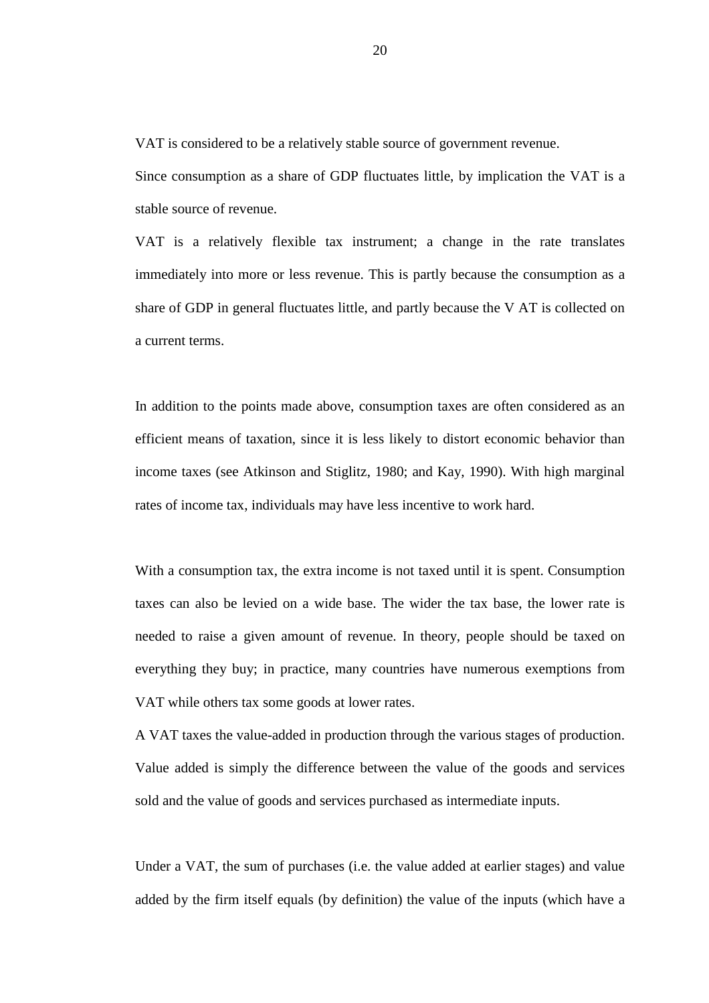VAT is considered to be a relatively stable source of government revenue.

Since consumption as a share of GDP fluctuates little, by implication the VAT is a stable source of revenue.

VAT is a relatively flexible tax instrument; a change in the rate translates immediately into more or less revenue. This is partly because the consumption as a share of GDP in general fluctuates little, and partly because the V AT is collected on a current terms.

In addition to the points made above, consumption taxes are often considered as an efficient means of taxation, since it is less likely to distort economic behavior than income taxes (see Atkinson and Stiglitz, 1980; and Kay, 1990). With high marginal rates of income tax, individuals may have less incentive to work hard.

With a consumption tax, the extra income is not taxed until it is spent. Consumption taxes can also be levied on a wide base. The wider the tax base, the lower rate is needed to raise a given amount of revenue. In theory, people should be taxed on everything they buy; in practice, many countries have numerous exemptions from VAT while others tax some goods at lower rates.

A VAT taxes the value-added in production through the various stages of production. Value added is simply the difference between the value of the goods and services sold and the value of goods and services purchased as intermediate inputs.

Under a VAT, the sum of purchases (i.e. the value added at earlier stages) and value added by the firm itself equals (by definition) the value of the inputs (which have a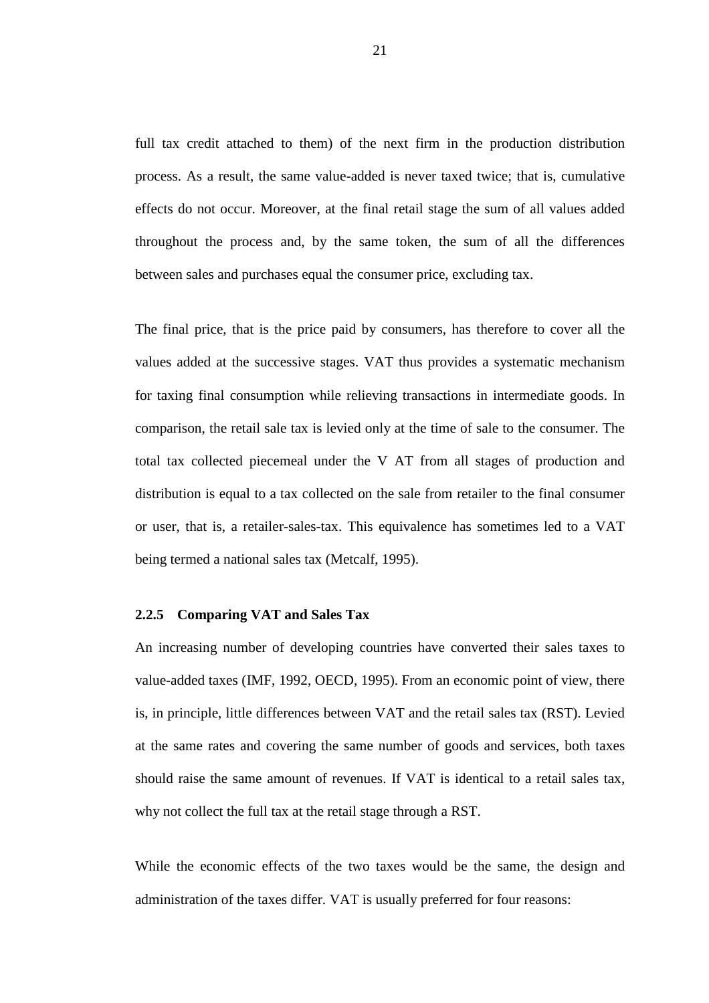full tax credit attached to them) of the next firm in the production distribution process. As a result, the same value-added is never taxed twice; that is, cumulative effects do not occur. Moreover, at the final retail stage the sum of all values added throughout the process and, by the same token, the sum of all the differences between sales and purchases equal the consumer price, excluding tax.

The final price, that is the price paid by consumers, has therefore to cover all the values added at the successive stages. VAT thus provides a systematic mechanism for taxing final consumption while relieving transactions in intermediate goods. In comparison, the retail sale tax is levied only at the time of sale to the consumer. The total tax collected piecemeal under the V AT from all stages of production and distribution is equal to a tax collected on the sale from retailer to the final consumer or user, that is, a retailer-sales-tax. This equivalence has sometimes led to a VAT being termed a national sales tax (Metcalf, 1995).

#### **2.2.5 Comparing VAT and Sales Tax**

An increasing number of developing countries have converted their sales taxes to value-added taxes (IMF, 1992, OECD, 1995). From an economic point of view, there is, in principle, little differences between VAT and the retail sales tax (RST). Levied at the same rates and covering the same number of goods and services, both taxes should raise the same amount of revenues. If VAT is identical to a retail sales tax, why not collect the full tax at the retail stage through a RST.

While the economic effects of the two taxes would be the same, the design and administration of the taxes differ. VAT is usually preferred for four reasons: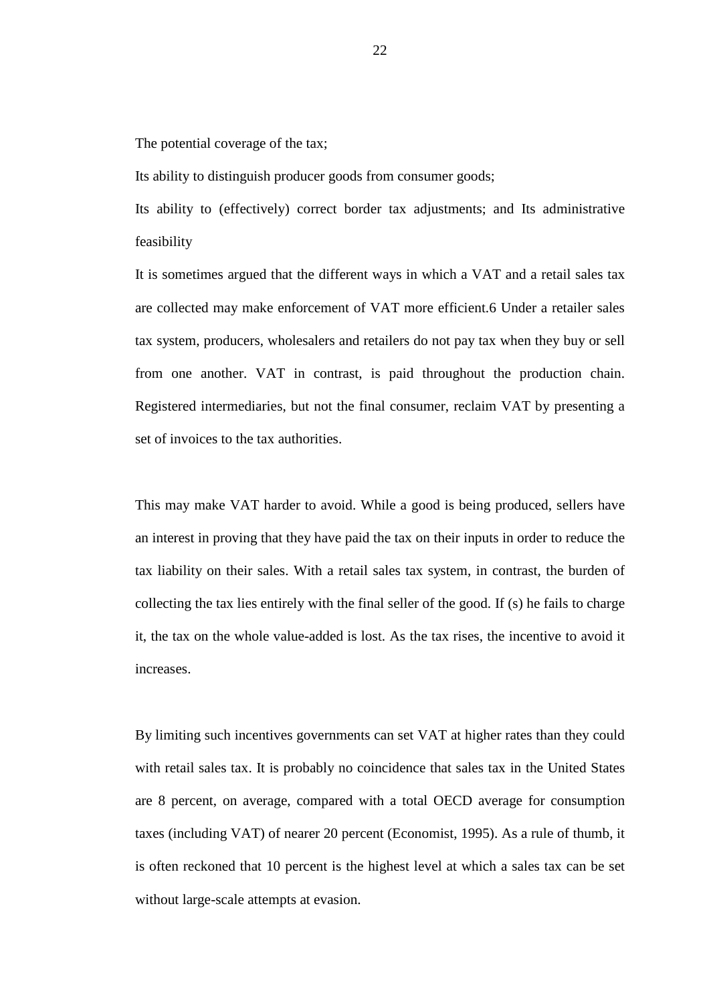The potential coverage of the tax;

Its ability to distinguish producer goods from consumer goods;

Its ability to (effectively) correct border tax adjustments; and Its administrative feasibility

It is sometimes argued that the different ways in which a VAT and a retail sales tax are collected may make enforcement of VAT more efficient.6 Under a retailer sales tax system, producers, wholesalers and retailers do not pay tax when they buy or sell from one another. VAT in contrast, is paid throughout the production chain. Registered intermediaries, but not the final consumer, reclaim VAT by presenting a set of invoices to the tax authorities.

This may make VAT harder to avoid. While a good is being produced, sellers have an interest in proving that they have paid the tax on their inputs in order to reduce the tax liability on their sales. With a retail sales tax system, in contrast, the burden of collecting the tax lies entirely with the final seller of the good. If (s) he fails to charge it, the tax on the whole value-added is lost. As the tax rises, the incentive to avoid it increases.

By limiting such incentives governments can set VAT at higher rates than they could with retail sales tax. It is probably no coincidence that sales tax in the United States are 8 percent, on average, compared with a total OECD average for consumption taxes (including VAT) of nearer 20 percent (Economist, 1995). As a rule of thumb, it is often reckoned that 10 percent is the highest level at which a sales tax can be set without large-scale attempts at evasion.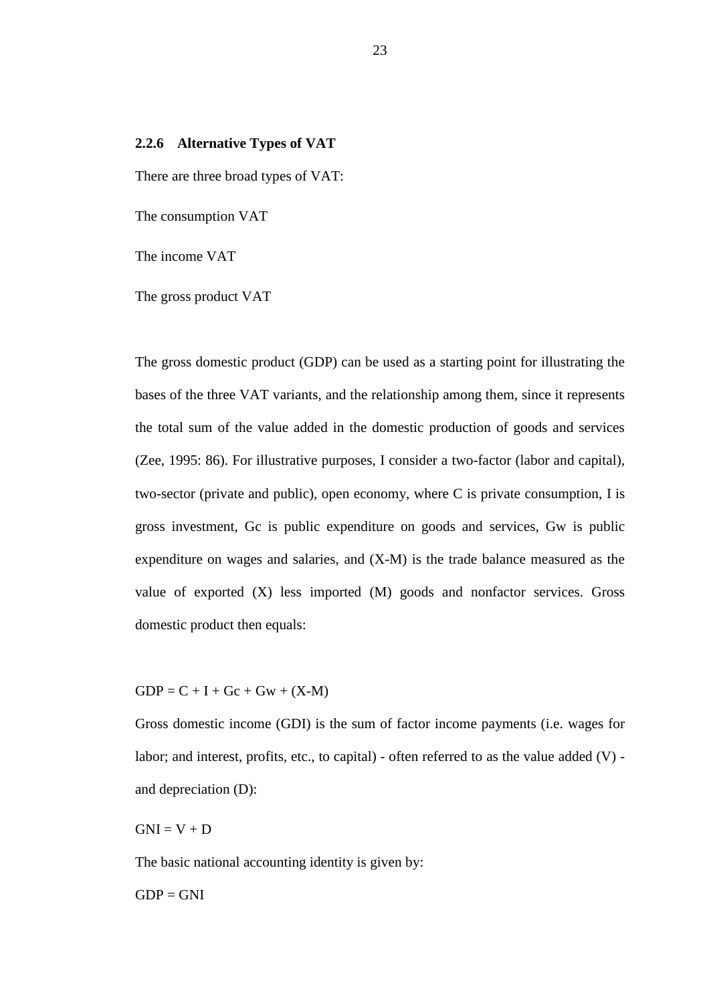# **2.2.6 Alternative Types of VAT**

There are three broad types of VAT:

The consumption VAT

The income VAT

The gross product VAT

The gross domestic product (GDP) can be used as a starting point for illustrating the bases of the three VAT variants, and the relationship among them, since it represents the total sum of the value added in the domestic production of goods and services (Zee, 1995: 86). For illustrative purposes, I consider a two-factor (labor and capital), two-sector (private and public), open economy, where C is private consumption, I is gross investment, Gc is public expenditure on goods and services, Gw is public expenditure on wages and salaries, and (X-M) is the trade balance measured as the value of exported (X) less imported (M) goods and nonfactor services. Gross domestic product then equals:

 $GDP = C + I + Gc + Gw + (X-M)$ 

Gross domestic income (GDI) is the sum of factor income payments (i.e. wages for labor; and interest, profits, etc., to capital) - often referred to as the value added  $(V)$  and depreciation (D):

 $GNI = V + D$ 

The basic national accounting identity is given by:

 $GDP = GNI$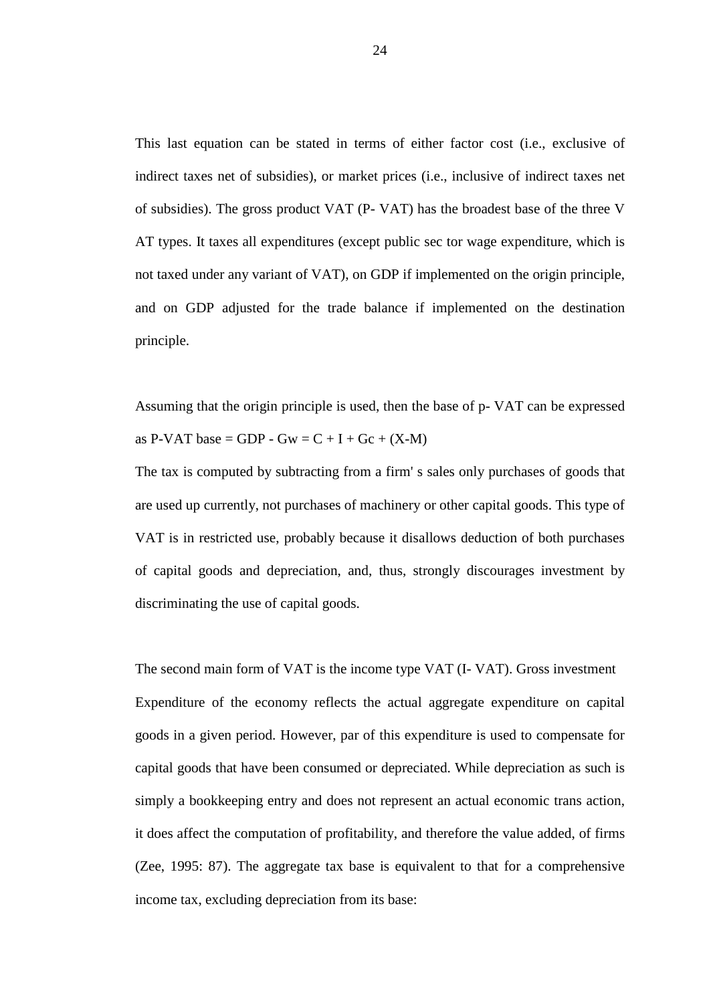This last equation can be stated in terms of either factor cost (i.e., exclusive of indirect taxes net of subsidies), or market prices (i.e., inclusive of indirect taxes net of subsidies). The gross product VAT (P- VAT) has the broadest base of the three V AT types. It taxes all expenditures (except public sec tor wage expenditure, which is not taxed under any variant of VAT), on GDP if implemented on the origin principle, and on GDP adjusted for the trade balance if implemented on the destination principle.

Assuming that the origin principle is used, then the base of p- VAT can be expressed as P-VAT base = GDP - Gw =  $C + I + Gc + (X-M)$ 

The tax is computed by subtracting from a firm' s sales only purchases of goods that are used up currently, not purchases of machinery or other capital goods. This type of VAT is in restricted use, probably because it disallows deduction of both purchases of capital goods and depreciation, and, thus, strongly discourages investment by discriminating the use of capital goods.

The second main form of VAT is the income type VAT (I- VAT). Gross investment Expenditure of the economy reflects the actual aggregate expenditure on capital goods in a given period. However, par of this expenditure is used to compensate for capital goods that have been consumed or depreciated. While depreciation as such is simply a bookkeeping entry and does not represent an actual economic trans action, it does affect the computation of profitability, and therefore the value added, of firms (Zee, 1995: 87). The aggregate tax base is equivalent to that for a comprehensive income tax, excluding depreciation from its base: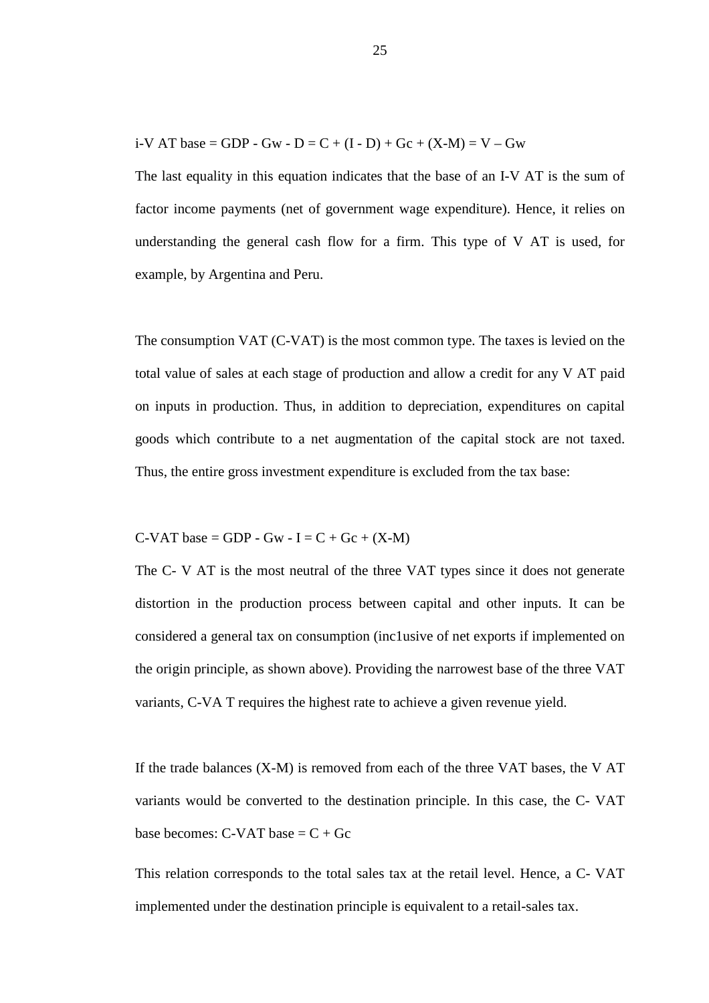i-V AT base = GDP - Gw - D = C + (I - D) + Gc + (X-M) = V – Gw

The last equality in this equation indicates that the base of an I-V AT is the sum of factor income payments (net of government wage expenditure). Hence, it relies on understanding the general cash flow for a firm. This type of V AT is used, for example, by Argentina and Peru.

The consumption VAT (C-VAT) is the most common type. The taxes is levied on the total value of sales at each stage of production and allow a credit for any V AT paid on inputs in production. Thus, in addition to depreciation, expenditures on capital goods which contribute to a net augmentation of the capital stock are not taxed. Thus, the entire gross investment expenditure is excluded from the tax base:

$$
C-VAT base = GDP - Gw - I = C + Gc + (X-M)
$$

The C- V AT is the most neutral of the three VAT types since it does not generate distortion in the production process between capital and other inputs. It can be considered a general tax on consumption (inc1usive of net exports if implemented on the origin principle, as shown above). Providing the narrowest base of the three VAT variants, C-VA T requires the highest rate to achieve a given revenue yield.

If the trade balances (X-M) is removed from each of the three VAT bases, the V AT variants would be converted to the destination principle. In this case, the C- VAT base becomes:  $C$ -VAT base =  $C$  + Gc

This relation corresponds to the total sales tax at the retail level. Hence, a C- VAT implemented under the destination principle is equivalent to a retail-sales tax.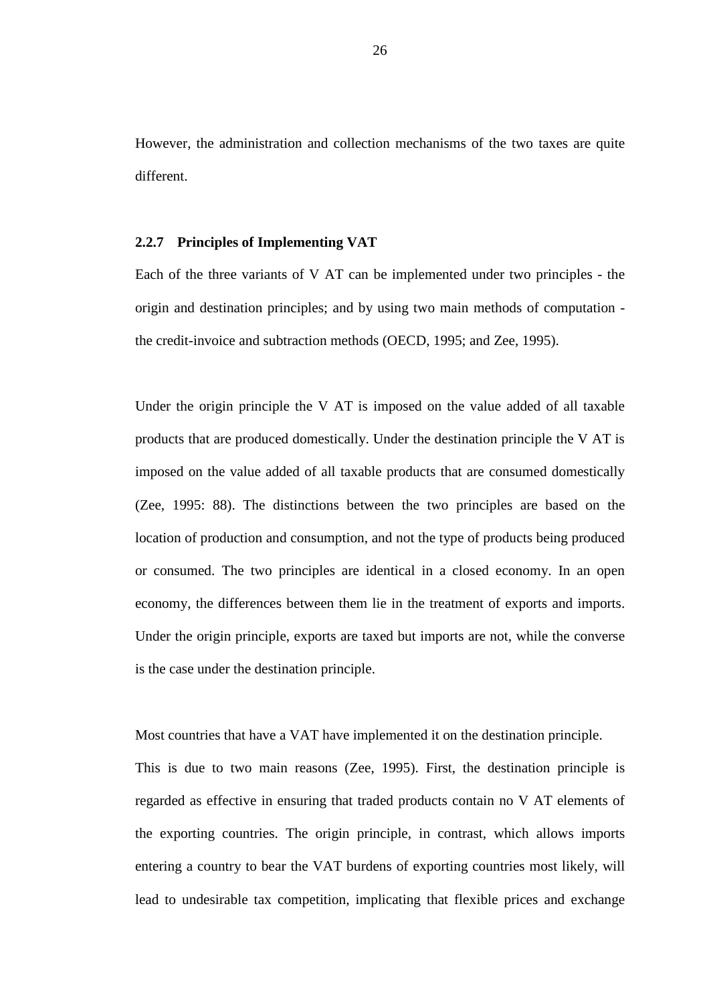However, the administration and collection mechanisms of the two taxes are quite different.

# **2.2.7 Principles of Implementing VAT**

Each of the three variants of V AT can be implemented under two principles - the origin and destination principles; and by using two main methods of computation the credit-invoice and subtraction methods (OECD, 1995; and Zee, 1995).

Under the origin principle the V AT is imposed on the value added of all taxable products that are produced domestically. Under the destination principle the V AT is imposed on the value added of all taxable products that are consumed domestically (Zee, 1995: 88). The distinctions between the two principles are based on the location of production and consumption, and not the type of products being produced or consumed. The two principles are identical in a closed economy. In an open economy, the differences between them lie in the treatment of exports and imports. Under the origin principle, exports are taxed but imports are not, while the converse is the case under the destination principle.

Most countries that have a VAT have implemented it on the destination principle.

This is due to two main reasons (Zee, 1995). First, the destination principle is regarded as effective in ensuring that traded products contain no V AT elements of the exporting countries. The origin principle, in contrast, which allows imports entering a country to bear the VAT burdens of exporting countries most likely, will lead to undesirable tax competition, implicating that flexible prices and exchange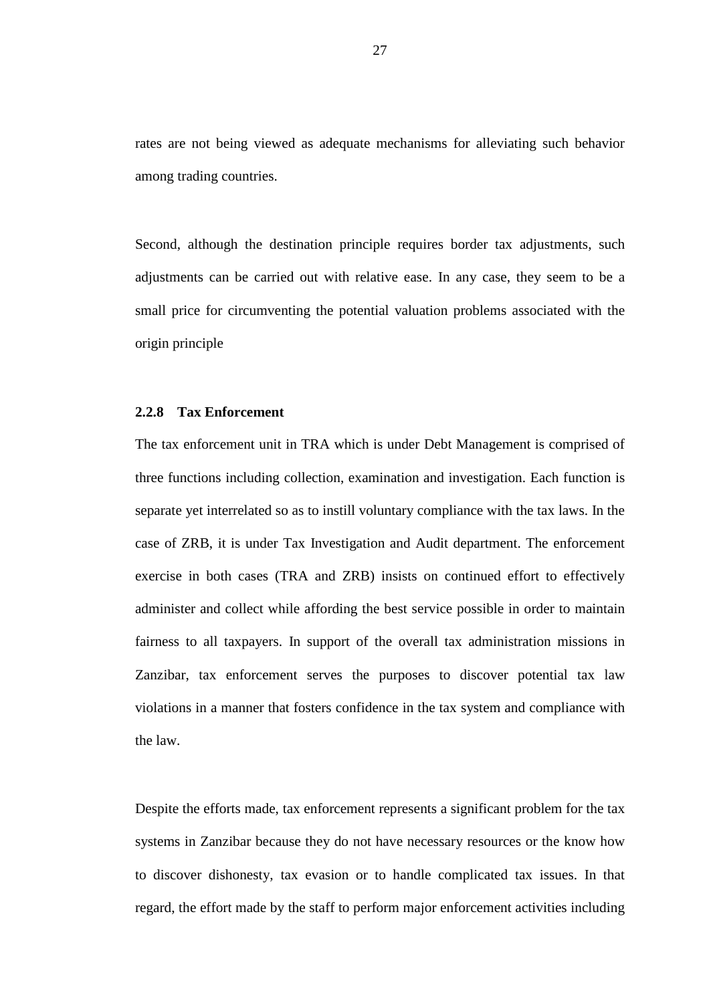rates are not being viewed as adequate mechanisms for alleviating such behavior among trading countries.

Second, although the destination principle requires border tax adjustments, such adjustments can be carried out with relative ease. In any case, they seem to be a small price for circumventing the potential valuation problems associated with the origin principle

# **2.2.8 Tax Enforcement**

The tax enforcement unit in TRA which is under Debt Management is comprised of three functions including collection, examination and investigation. Each function is separate yet interrelated so as to instill voluntary compliance with the tax laws. In the case of ZRB, it is under Tax Investigation and Audit department. The enforcement exercise in both cases (TRA and ZRB) insists on continued effort to effectively administer and collect while affording the best service possible in order to maintain fairness to all taxpayers. In support of the overall tax administration missions in Zanzibar, tax enforcement serves the purposes to discover potential tax law violations in a manner that fosters confidence in the tax system and compliance with the law.

Despite the efforts made, tax enforcement represents a significant problem for the tax systems in Zanzibar because they do not have necessary resources or the know how to discover dishonesty, tax evasion or to handle complicated tax issues. In that regard, the effort made by the staff to perform major enforcement activities including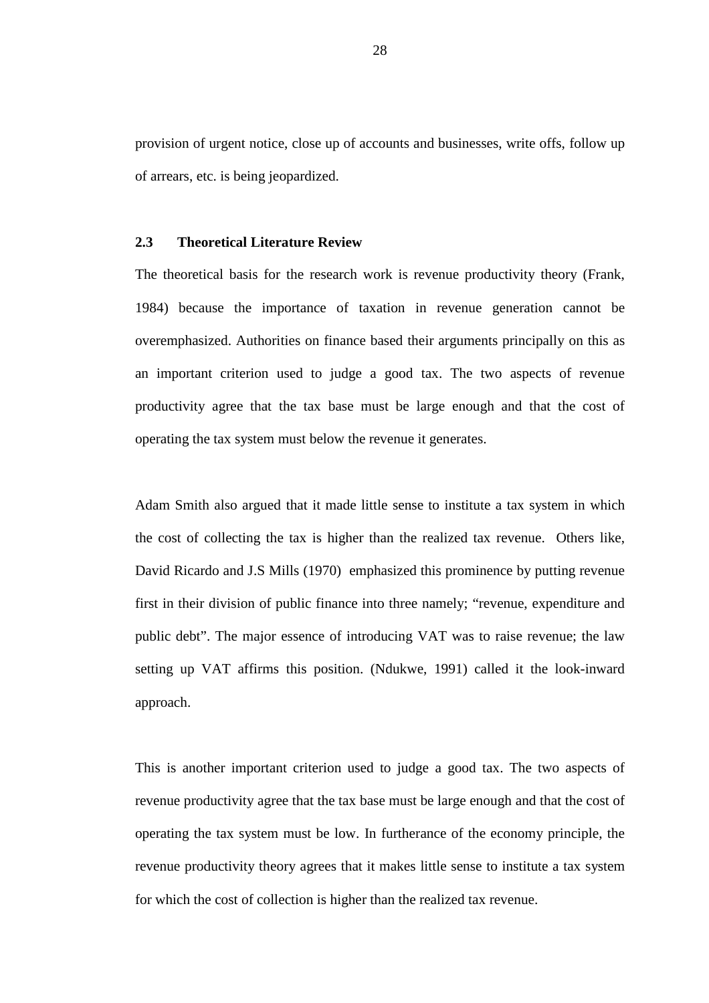provision of urgent notice, close up of accounts and businesses, write offs, follow up of arrears, etc. is being jeopardized.

# **2.3 Theoretical Literature Review**

The theoretical basis for the research work is revenue productivity theory (Frank, 1984) because the importance of taxation in revenue generation cannot be overemphasized. Authorities on finance based their arguments principally on this as an important criterion used to judge a good tax. The two aspects of revenue productivity agree that the tax base must be large enough and that the cost of operating the tax system must below the revenue it generates.

Adam Smith also argued that it made little sense to institute a tax system in which the cost of collecting the tax is higher than the realized tax revenue. Others like, David Ricardo and J.S Mills (1970) emphasized this prominence by putting revenue first in their division of public finance into three namely; "revenue, expenditure and public debt". The major essence of introducing VAT was to raise revenue; the law setting up VAT affirms this position. (Ndukwe, 1991) called it the look-inward approach.

This is another important criterion used to judge a good tax. The two aspects of revenue productivity agree that the tax base must be large enough and that the cost of operating the tax system must be low. In furtherance of the economy principle, the revenue productivity theory agrees that it makes little sense to institute a tax system for which the cost of collection is higher than the realized tax revenue.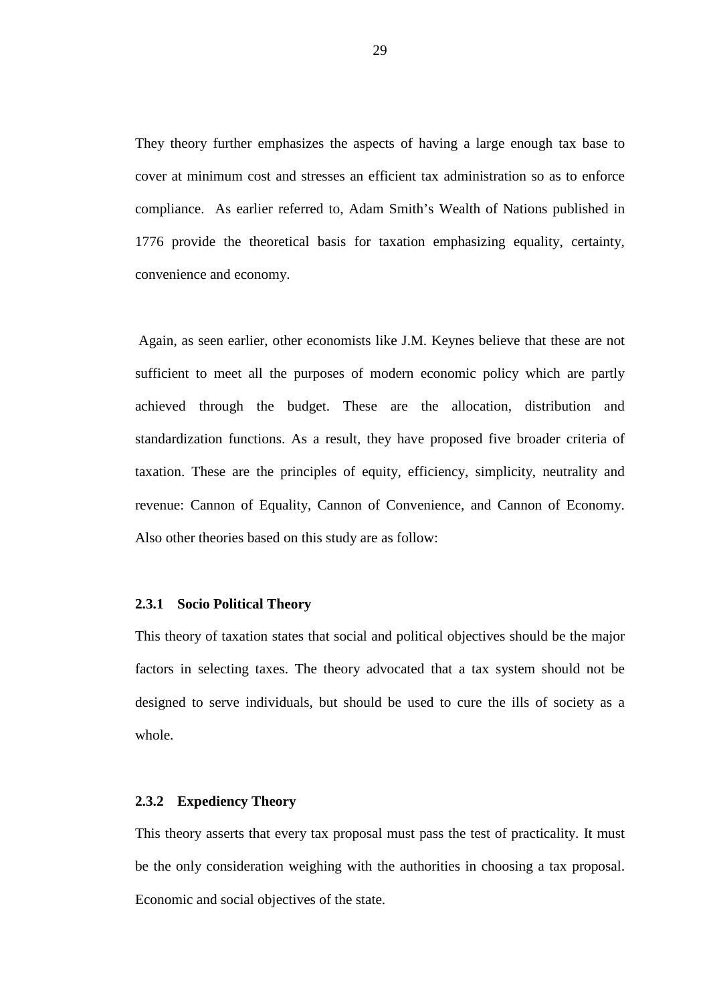They theory further emphasizes the aspects of having a large enough tax base to cover at minimum cost and stresses an efficient tax administration so as to enforce compliance. As earlier referred to, Adam Smith's Wealth of Nations published in 1776 provide the theoretical basis for taxation emphasizing equality, certainty, convenience and economy.

 Again, as seen earlier, other economists like J.M. Keynes believe that these are not sufficient to meet all the purposes of modern economic policy which are partly achieved through the budget. These are the allocation, distribution and standardization functions. As a result, they have proposed five broader criteria of taxation. These are the principles of equity, efficiency, simplicity, neutrality and revenue: Cannon of Equality, Cannon of Convenience, and Cannon of Economy. Also other theories based on this study are as follow:

#### **2.3.1 Socio Political Theory**

This theory of taxation states that social and political objectives should be the major factors in selecting taxes. The theory advocated that a tax system should not be designed to serve individuals, but should be used to cure the ills of society as a whole.

#### **2.3.2 Expediency Theory**

This theory asserts that every tax proposal must pass the test of practicality. It must be the only consideration weighing with the authorities in choosing a tax proposal. Economic and social objectives of the state.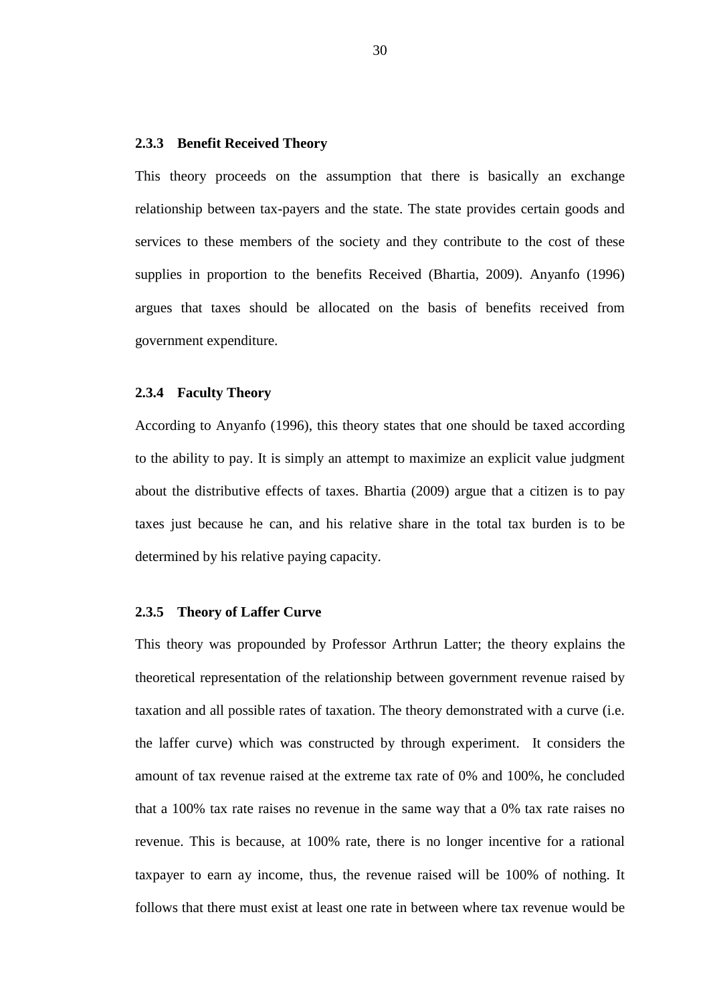### **2.3.3 Benefit Received Theory**

This theory proceeds on the assumption that there is basically an exchange relationship between tax-payers and the state. The state provides certain goods and services to these members of the society and they contribute to the cost of these supplies in proportion to the benefits Received (Bhartia, 2009). Anyanfo (1996) argues that taxes should be allocated on the basis of benefits received from government expenditure.

#### **2.3.4 Faculty Theory**

According to Anyanfo (1996), this theory states that one should be taxed according to the ability to pay. It is simply an attempt to maximize an explicit value judgment about the distributive effects of taxes. Bhartia (2009) argue that a citizen is to pay taxes just because he can, and his relative share in the total tax burden is to be determined by his relative paying capacity.

#### **2.3.5 Theory of Laffer Curve**

This theory was propounded by Professor Arthrun Latter; the theory explains the theoretical representation of the relationship between government revenue raised by taxation and all possible rates of taxation. The theory demonstrated with a curve (i.e. the laffer curve) which was constructed by through experiment. It considers the amount of tax revenue raised at the extreme tax rate of 0% and 100%, he concluded that a 100% tax rate raises no revenue in the same way that a 0% tax rate raises no revenue. This is because, at 100% rate, there is no longer incentive for a rational taxpayer to earn ay income, thus, the revenue raised will be 100% of nothing. It follows that there must exist at least one rate in between where tax revenue would be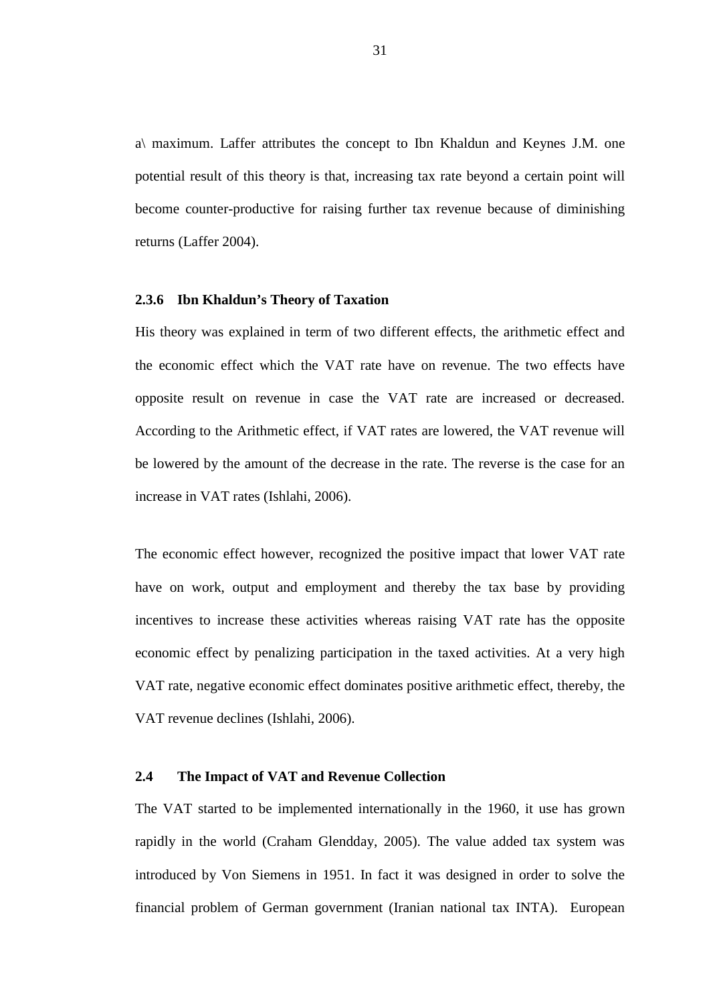a\ maximum. Laffer attributes the concept to Ibn Khaldun and Keynes J.M. one potential result of this theory is that, increasing tax rate beyond a certain point will become counter-productive for raising further tax revenue because of diminishing returns (Laffer 2004).

#### **2.3.6 Ibn Khaldun's Theory of Taxation**

His theory was explained in term of two different effects, the arithmetic effect and the economic effect which the VAT rate have on revenue. The two effects have opposite result on revenue in case the VAT rate are increased or decreased. According to the Arithmetic effect, if VAT rates are lowered, the VAT revenue will be lowered by the amount of the decrease in the rate. The reverse is the case for an increase in VAT rates (Ishlahi, 2006).

The economic effect however, recognized the positive impact that lower VAT rate have on work, output and employment and thereby the tax base by providing incentives to increase these activities whereas raising VAT rate has the opposite economic effect by penalizing participation in the taxed activities. At a very high VAT rate, negative economic effect dominates positive arithmetic effect, thereby, the VAT revenue declines (Ishlahi, 2006).

# **2.4 The Impact of VAT and Revenue Collection**

The VAT started to be implemented internationally in the 1960, it use has grown rapidly in the world (Craham Glendday, 2005). The value added tax system was introduced by Von Siemens in 1951. In fact it was designed in order to solve the financial problem of German government (Iranian national tax INTA). European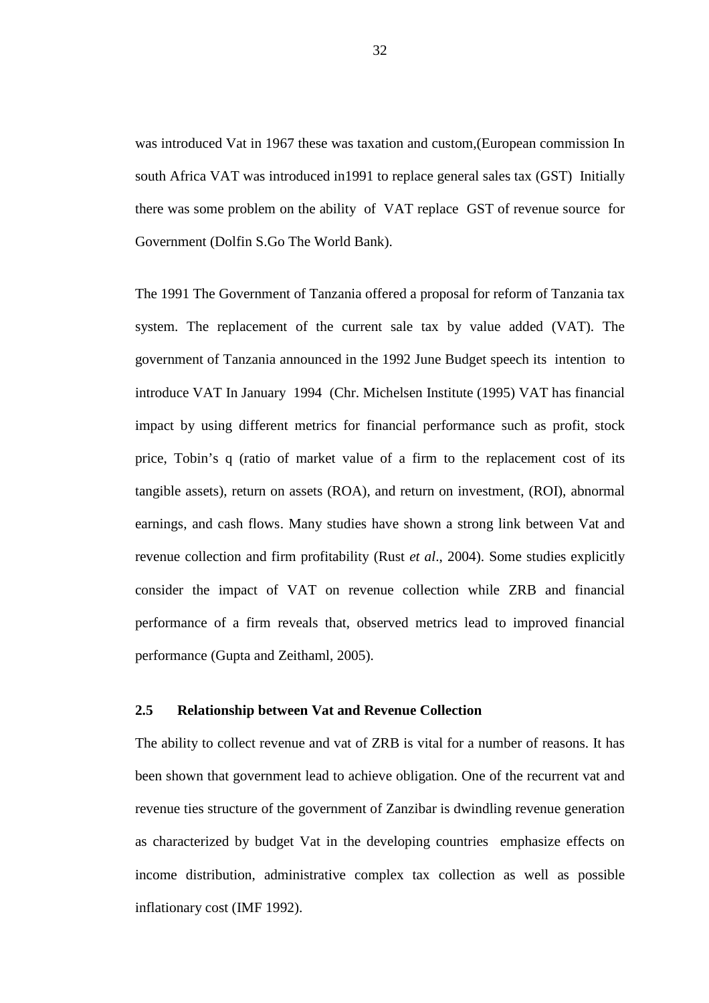was introduced Vat in 1967 these was taxation and custom,(European commission In south Africa VAT was introduced in1991 to replace general sales tax (GST) Initially there was some problem on the ability of VAT replace GST of revenue source for Government (Dolfin S.Go The World Bank).

The 1991 The Government of Tanzania offered a proposal for reform of Tanzania tax system. The replacement of the current sale tax by value added (VAT). The government of Tanzania announced in the 1992 June Budget speech its intention to introduce VAT In January 1994 (Chr. Michelsen Institute (1995) VAT has financial impact by using different metrics for financial performance such as profit, stock price, Tobin's q (ratio of market value of a firm to the replacement cost of its tangible assets), return on assets (ROA), and return on investment, (ROI), abnormal earnings, and cash flows. Many studies have shown a strong link between Vat and revenue collection and firm profitability (Rust *et al*., 2004). Some studies explicitly consider the impact of VAT on revenue collection while ZRB and financial performance of a firm reveals that, observed metrics lead to improved financial performance (Gupta and Zeithaml, 2005).

# **2.5 Relationship between Vat and Revenue Collection**

The ability to collect revenue and vat of ZRB is vital for a number of reasons. It has been shown that government lead to achieve obligation. One of the recurrent vat and revenue ties structure of the government of Zanzibar is dwindling revenue generation as characterized by budget Vat in the developing countries emphasize effects on income distribution, administrative complex tax collection as well as possible inflationary cost (IMF 1992).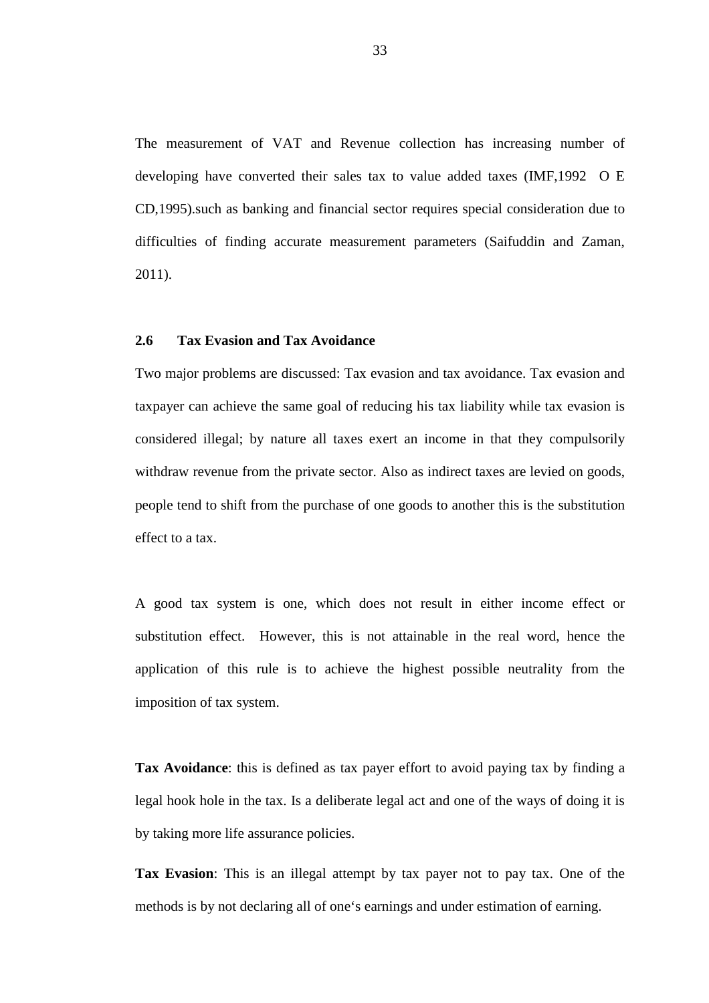The measurement of VAT and Revenue collection has increasing number of developing have converted their sales tax to value added taxes (IMF,1992 O E CD,1995).such as banking and financial sector requires special consideration due to difficulties of finding accurate measurement parameters (Saifuddin and Zaman, 2011).

# **2.6 Tax Evasion and Tax Avoidance**

Two major problems are discussed: Tax evasion and tax avoidance. Tax evasion and taxpayer can achieve the same goal of reducing his tax liability while tax evasion is considered illegal; by nature all taxes exert an income in that they compulsorily withdraw revenue from the private sector. Also as indirect taxes are levied on goods, people tend to shift from the purchase of one goods to another this is the substitution effect to a tax.

A good tax system is one, which does not result in either income effect or substitution effect. However, this is not attainable in the real word, hence the application of this rule is to achieve the highest possible neutrality from the imposition of tax system.

**Tax Avoidance**: this is defined as tax payer effort to avoid paying tax by finding a legal hook hole in the tax. Is a deliberate legal act and one of the ways of doing it is by taking more life assurance policies.

**Tax Evasion**: This is an illegal attempt by tax payer not to pay tax. One of the methods is by not declaring all of one's earnings and under estimation of earning.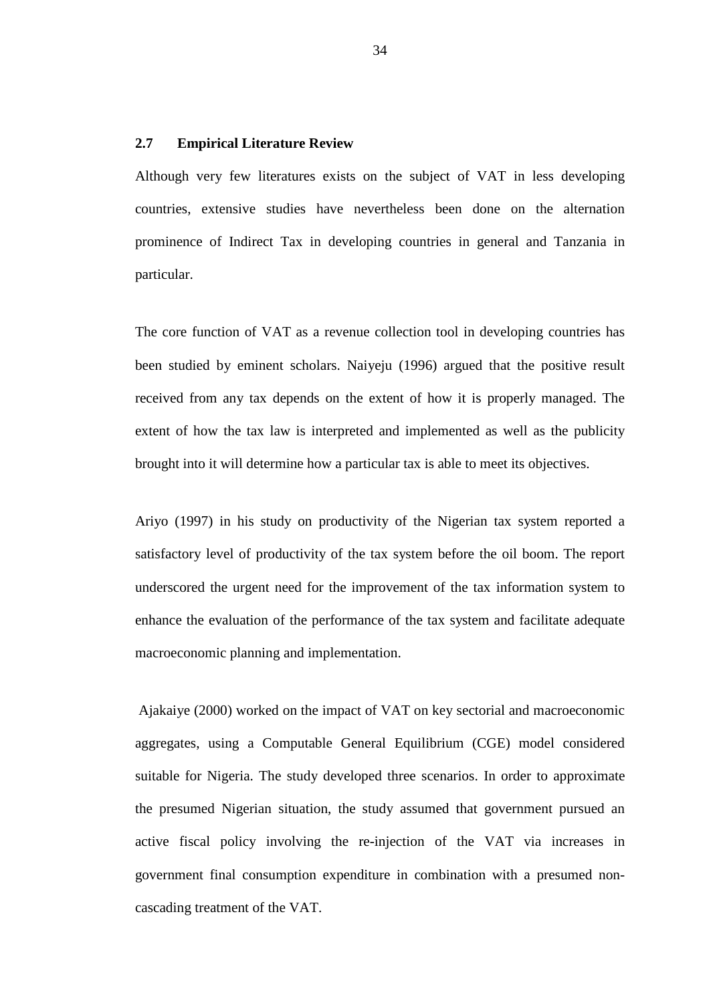# **2.7 Empirical Literature Review**

Although very few literatures exists on the subject of VAT in less developing countries, extensive studies have nevertheless been done on the alternation prominence of Indirect Tax in developing countries in general and Tanzania in particular.

The core function of VAT as a revenue collection tool in developing countries has been studied by eminent scholars. Naiyeju (1996) argued that the positive result received from any tax depends on the extent of how it is properly managed. The extent of how the tax law is interpreted and implemented as well as the publicity brought into it will determine how a particular tax is able to meet its objectives.

Ariyo (1997) in his study on productivity of the Nigerian tax system reported a satisfactory level of productivity of the tax system before the oil boom. The report underscored the urgent need for the improvement of the tax information system to enhance the evaluation of the performance of the tax system and facilitate adequate macroeconomic planning and implementation.

 Ajakaiye (2000) worked on the impact of VAT on key sectorial and macroeconomic aggregates, using a Computable General Equilibrium (CGE) model considered suitable for Nigeria. The study developed three scenarios. In order to approximate the presumed Nigerian situation, the study assumed that government pursued an active fiscal policy involving the re-injection of the VAT via increases in government final consumption expenditure in combination with a presumed noncascading treatment of the VAT.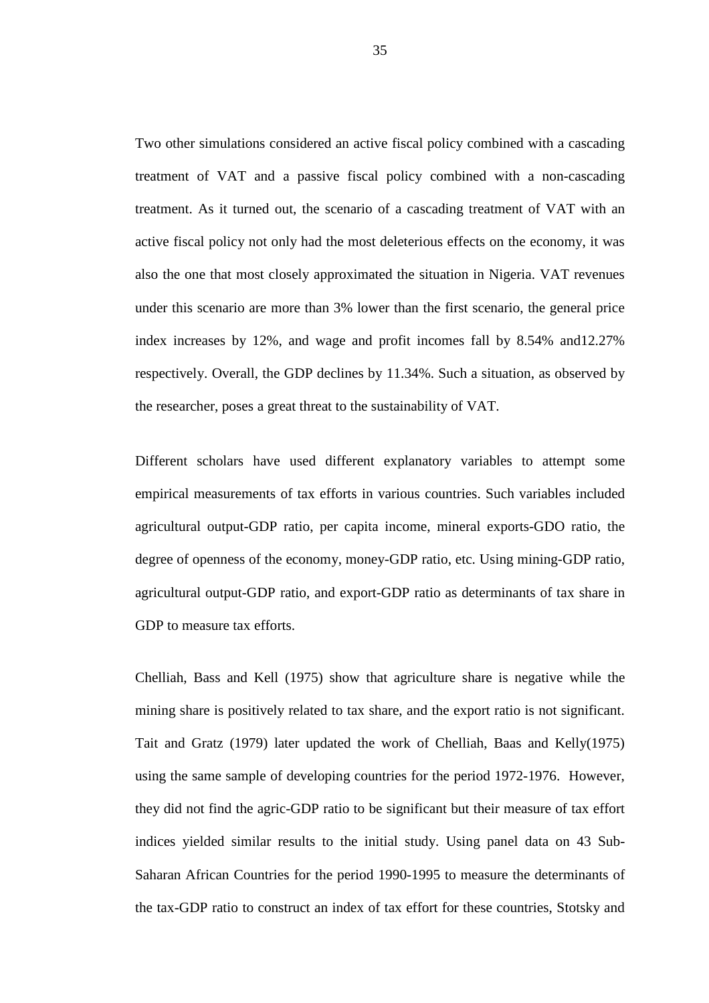Two other simulations considered an active fiscal policy combined with a cascading treatment of VAT and a passive fiscal policy combined with a non-cascading treatment. As it turned out, the scenario of a cascading treatment of VAT with an active fiscal policy not only had the most deleterious effects on the economy, it was also the one that most closely approximated the situation in Nigeria. VAT revenues under this scenario are more than 3% lower than the first scenario, the general price index increases by 12%, and wage and profit incomes fall by 8.54% and12.27% respectively. Overall, the GDP declines by 11.34%. Such a situation, as observed by the researcher, poses a great threat to the sustainability of VAT.

Different scholars have used different explanatory variables to attempt some empirical measurements of tax efforts in various countries. Such variables included agricultural output-GDP ratio, per capita income, mineral exports-GDO ratio, the degree of openness of the economy, money-GDP ratio, etc. Using mining-GDP ratio, agricultural output-GDP ratio, and export-GDP ratio as determinants of tax share in GDP to measure tax efforts.

Chelliah, Bass and Kell (1975) show that agriculture share is negative while the mining share is positively related to tax share, and the export ratio is not significant. Tait and Gratz (1979) later updated the work of Chelliah, Baas and Kelly(1975) using the same sample of developing countries for the period 1972-1976. However, they did not find the agric-GDP ratio to be significant but their measure of tax effort indices yielded similar results to the initial study. Using panel data on 43 Sub-Saharan African Countries for the period 1990-1995 to measure the determinants of the tax-GDP ratio to construct an index of tax effort for these countries, Stotsky and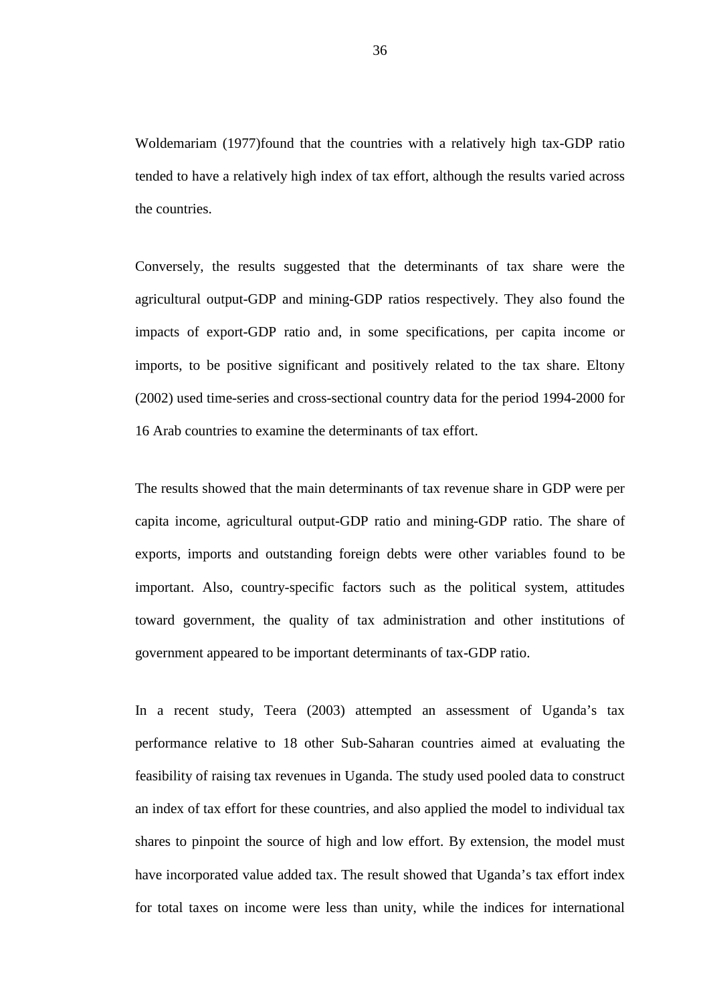Woldemariam (1977)found that the countries with a relatively high tax-GDP ratio tended to have a relatively high index of tax effort, although the results varied across the countries.

Conversely, the results suggested that the determinants of tax share were the agricultural output-GDP and mining-GDP ratios respectively. They also found the impacts of export-GDP ratio and, in some specifications, per capita income or imports, to be positive significant and positively related to the tax share. Eltony (2002) used time-series and cross-sectional country data for the period 1994-2000 for 16 Arab countries to examine the determinants of tax effort.

The results showed that the main determinants of tax revenue share in GDP were per capita income, agricultural output-GDP ratio and mining-GDP ratio. The share of exports, imports and outstanding foreign debts were other variables found to be important. Also, country-specific factors such as the political system, attitudes toward government, the quality of tax administration and other institutions of government appeared to be important determinants of tax-GDP ratio.

In a recent study, Teera (2003) attempted an assessment of Uganda's tax performance relative to 18 other Sub-Saharan countries aimed at evaluating the feasibility of raising tax revenues in Uganda. The study used pooled data to construct an index of tax effort for these countries, and also applied the model to individual tax shares to pinpoint the source of high and low effort. By extension, the model must have incorporated value added tax. The result showed that Uganda's tax effort index for total taxes on income were less than unity, while the indices for international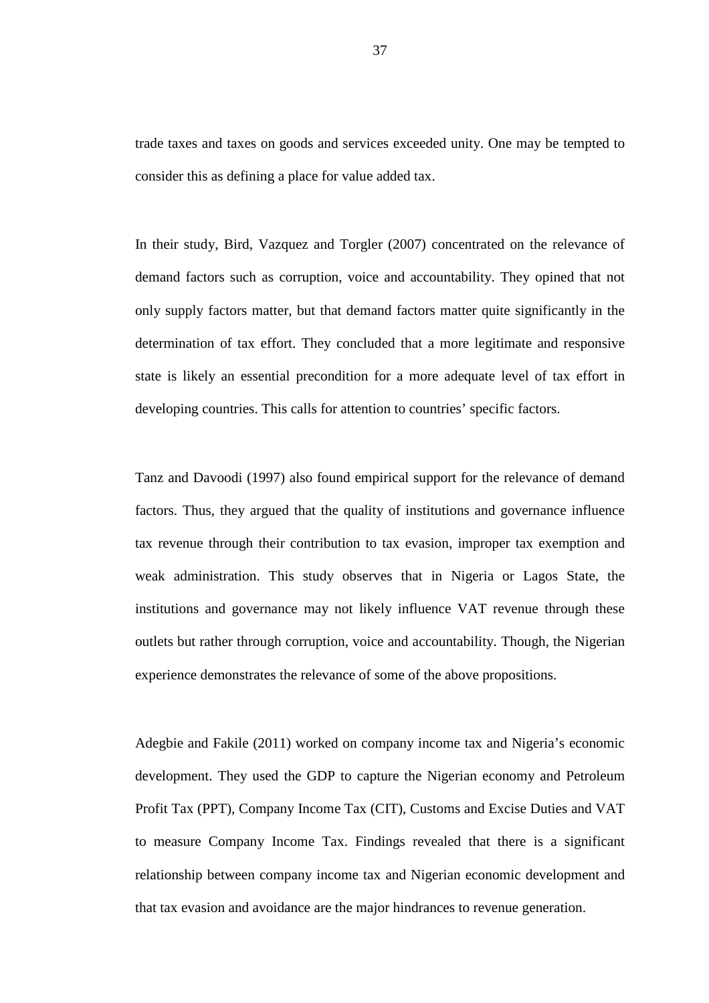trade taxes and taxes on goods and services exceeded unity. One may be tempted to consider this as defining a place for value added tax.

In their study, Bird, Vazquez and Torgler (2007) concentrated on the relevance of demand factors such as corruption, voice and accountability. They opined that not only supply factors matter, but that demand factors matter quite significantly in the determination of tax effort. They concluded that a more legitimate and responsive state is likely an essential precondition for a more adequate level of tax effort in developing countries. This calls for attention to countries' specific factors.

Tanz and Davoodi (1997) also found empirical support for the relevance of demand factors. Thus, they argued that the quality of institutions and governance influence tax revenue through their contribution to tax evasion, improper tax exemption and weak administration. This study observes that in Nigeria or Lagos State, the institutions and governance may not likely influence VAT revenue through these outlets but rather through corruption, voice and accountability. Though, the Nigerian experience demonstrates the relevance of some of the above propositions.

Adegbie and Fakile (2011) worked on company income tax and Nigeria's economic development. They used the GDP to capture the Nigerian economy and Petroleum Profit Tax (PPT), Company Income Tax (CIT), Customs and Excise Duties and VAT to measure Company Income Tax. Findings revealed that there is a significant relationship between company income tax and Nigerian economic development and that tax evasion and avoidance are the major hindrances to revenue generation.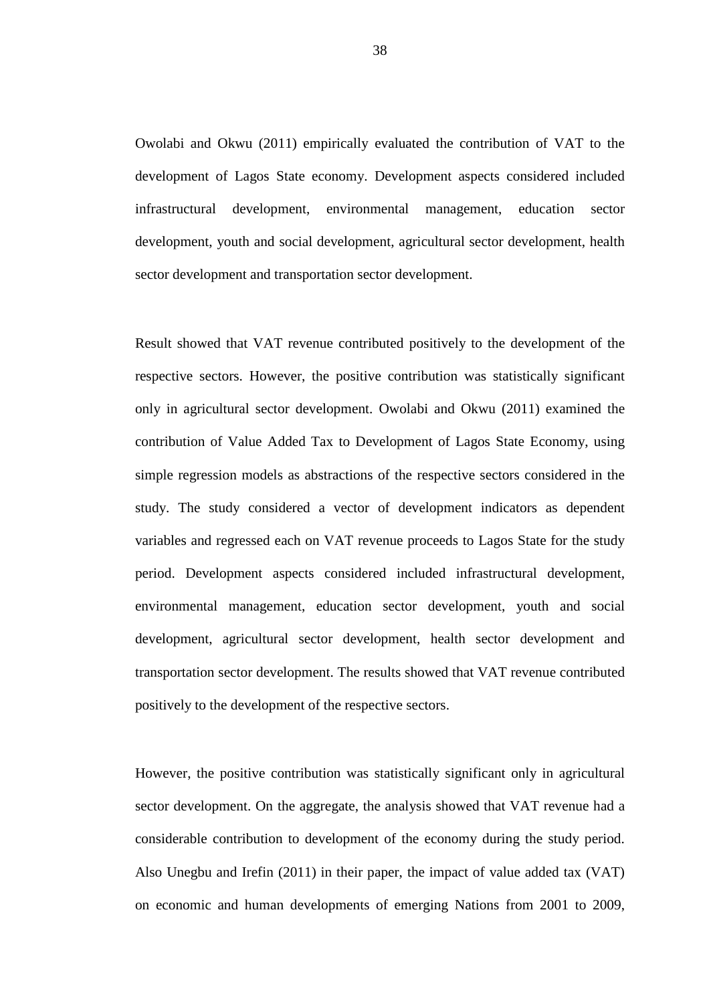Owolabi and Okwu (2011) empirically evaluated the contribution of VAT to the development of Lagos State economy. Development aspects considered included infrastructural development, environmental management, education sector development, youth and social development, agricultural sector development, health sector development and transportation sector development.

Result showed that VAT revenue contributed positively to the development of the respective sectors. However, the positive contribution was statistically significant only in agricultural sector development. Owolabi and Okwu (2011) examined the contribution of Value Added Tax to Development of Lagos State Economy, using simple regression models as abstractions of the respective sectors considered in the study. The study considered a vector of development indicators as dependent variables and regressed each on VAT revenue proceeds to Lagos State for the study period. Development aspects considered included infrastructural development, environmental management, education sector development, youth and social development, agricultural sector development, health sector development and transportation sector development. The results showed that VAT revenue contributed positively to the development of the respective sectors.

However, the positive contribution was statistically significant only in agricultural sector development. On the aggregate, the analysis showed that VAT revenue had a considerable contribution to development of the economy during the study period. Also Unegbu and Irefin (2011) in their paper, the impact of value added tax (VAT) on economic and human developments of emerging Nations from 2001 to 2009,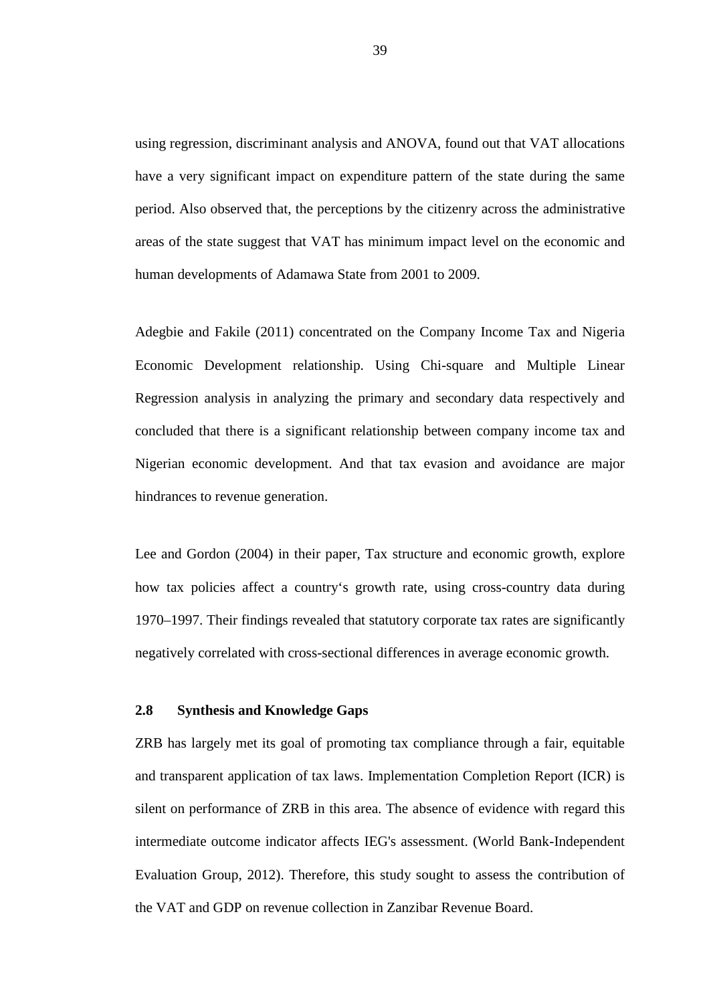using regression, discriminant analysis and ANOVA, found out that VAT allocations have a very significant impact on expenditure pattern of the state during the same period. Also observed that, the perceptions by the citizenry across the administrative areas of the state suggest that VAT has minimum impact level on the economic and human developments of Adamawa State from 2001 to 2009.

Adegbie and Fakile (2011) concentrated on the Company Income Tax and Nigeria Economic Development relationship. Using Chi-square and Multiple Linear Regression analysis in analyzing the primary and secondary data respectively and concluded that there is a significant relationship between company income tax and Nigerian economic development. And that tax evasion and avoidance are major hindrances to revenue generation.

Lee and Gordon (2004) in their paper, Tax structure and economic growth, explore how tax policies affect a country's growth rate, using cross-country data during 1970–1997. Their findings revealed that statutory corporate tax rates are significantly negatively correlated with cross-sectional differences in average economic growth.

# **2.8 Synthesis and Knowledge Gaps**

ZRB has largely met its goal of promoting tax compliance through a fair, equitable and transparent application of tax laws. Implementation Completion Report (ICR) is silent on performance of ZRB in this area. The absence of evidence with regard this intermediate outcome indicator affects IEG's assessment. (World Bank-Independent Evaluation Group, 2012). Therefore, this study sought to assess the contribution of the VAT and GDP on revenue collection in Zanzibar Revenue Board.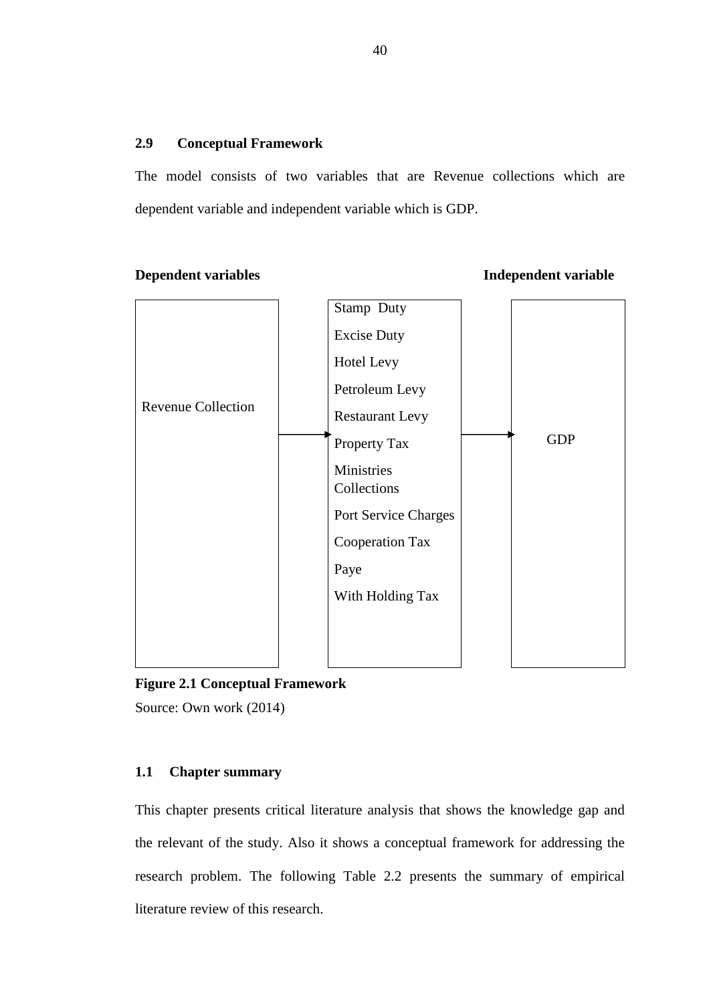# **2.9 Conceptual Framework**

The model consists of two variables that are Revenue collections which are dependent variable and independent variable which is GDP.

**Dependent variables Independent variable** 



**Figure 2.1 Conceptual Framework** 

Source: Own work (2014)

# **1.1 Chapter summary**

This chapter presents critical literature analysis that shows the knowledge gap and the relevant of the study. Also it shows a conceptual framework for addressing the research problem. The following Table 2.2 presents the summary of empirical literature review of this research.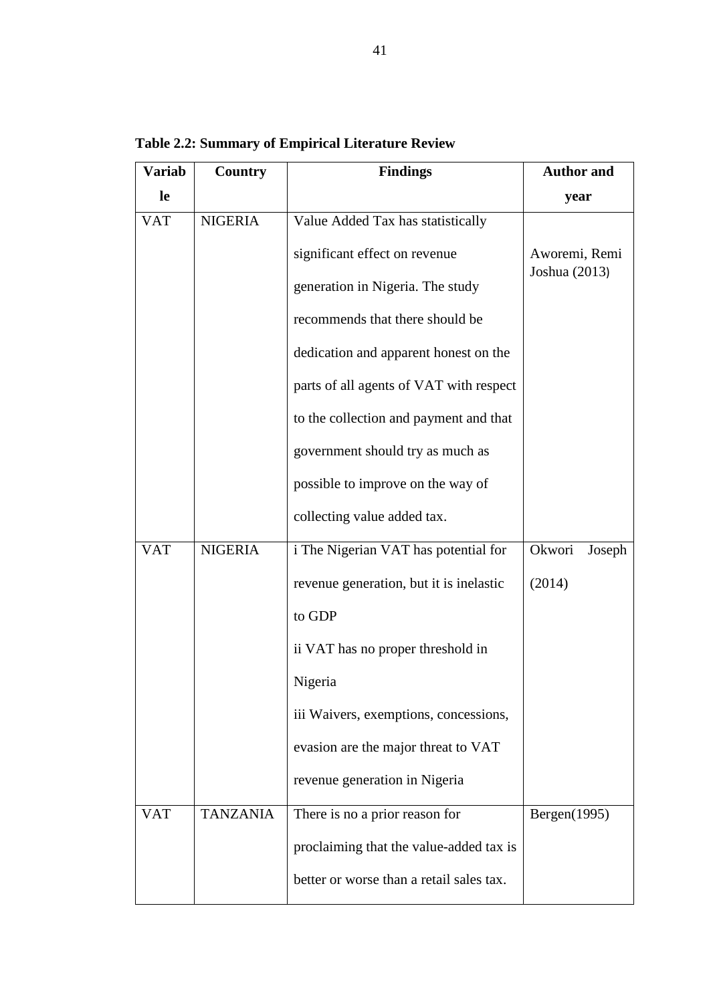| <b>Variab</b> | <b>Findings</b><br>Country |                                         | <b>Author and</b> |  |
|---------------|----------------------------|-----------------------------------------|-------------------|--|
| le            |                            |                                         | year              |  |
| <b>VAT</b>    | <b>NIGERIA</b>             | Value Added Tax has statistically       |                   |  |
|               |                            | significant effect on revenue           | Aworemi, Remi     |  |
|               |                            | generation in Nigeria. The study        | Joshua (2013)     |  |
|               |                            | recommends that there should be         |                   |  |
|               |                            | dedication and apparent honest on the   |                   |  |
|               |                            | parts of all agents of VAT with respect |                   |  |
|               |                            | to the collection and payment and that  |                   |  |
|               |                            | government should try as much as        |                   |  |
|               |                            | possible to improve on the way of       |                   |  |
|               |                            | collecting value added tax.             |                   |  |
| <b>VAT</b>    | <b>NIGERIA</b>             | i The Nigerian VAT has potential for    | Okwori<br>Joseph  |  |
|               |                            | revenue generation, but it is inelastic | (2014)            |  |
|               |                            | to GDP                                  |                   |  |
|               |                            | ii VAT has no proper threshold in       |                   |  |
|               |                            | Nigeria                                 |                   |  |
|               |                            | iii Waivers, exemptions, concessions,   |                   |  |
|               |                            | evasion are the major threat to VAT     |                   |  |
|               |                            | revenue generation in Nigeria           |                   |  |
| <b>VAT</b>    | <b>TANZANIA</b>            | There is no a prior reason for          | Bergen $(1995)$   |  |

proclaiming that the value-added tax is

better or worse than a retail sales tax.

**Table 2.2: Summary of Empirical Literature Review**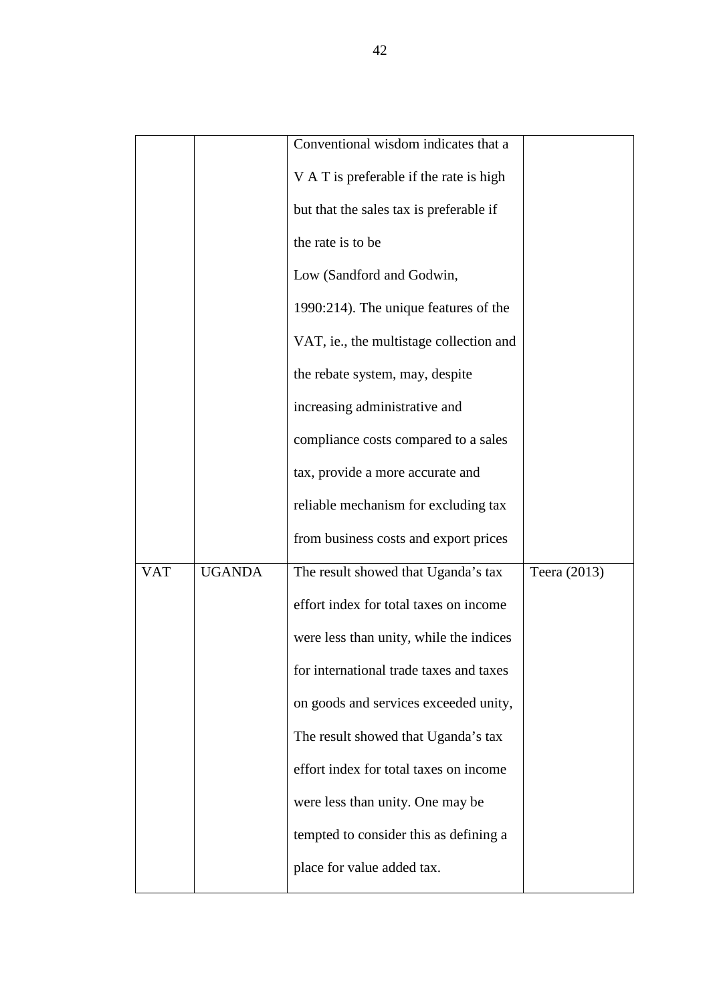|            |               | Conventional wisdom indicates that a    |              |  |  |
|------------|---------------|-----------------------------------------|--------------|--|--|
|            |               | V A T is preferable if the rate is high |              |  |  |
|            |               | but that the sales tax is preferable if |              |  |  |
|            |               |                                         |              |  |  |
|            |               | the rate is to be                       |              |  |  |
|            |               | Low (Sandford and Godwin,               |              |  |  |
|            |               | 1990:214). The unique features of the   |              |  |  |
|            |               | VAT, ie., the multistage collection and |              |  |  |
|            |               | the rebate system, may, despite         |              |  |  |
|            |               | increasing administrative and           |              |  |  |
|            |               | compliance costs compared to a sales    |              |  |  |
|            |               | tax, provide a more accurate and        |              |  |  |
|            |               | reliable mechanism for excluding tax    |              |  |  |
|            |               | from business costs and export prices   |              |  |  |
| <b>VAT</b> | <b>UGANDA</b> | The result showed that Uganda's tax     | Teera (2013) |  |  |
|            |               | effort index for total taxes on income  |              |  |  |
|            |               | were less than unity, while the indices |              |  |  |
|            |               | for international trade taxes and taxes |              |  |  |
|            |               | on goods and services exceeded unity,   |              |  |  |
|            |               | The result showed that Uganda's tax     |              |  |  |
|            |               | effort index for total taxes on income  |              |  |  |
|            |               | were less than unity. One may be        |              |  |  |
|            |               | tempted to consider this as defining a  |              |  |  |
|            |               | place for value added tax.              |              |  |  |
|            |               |                                         |              |  |  |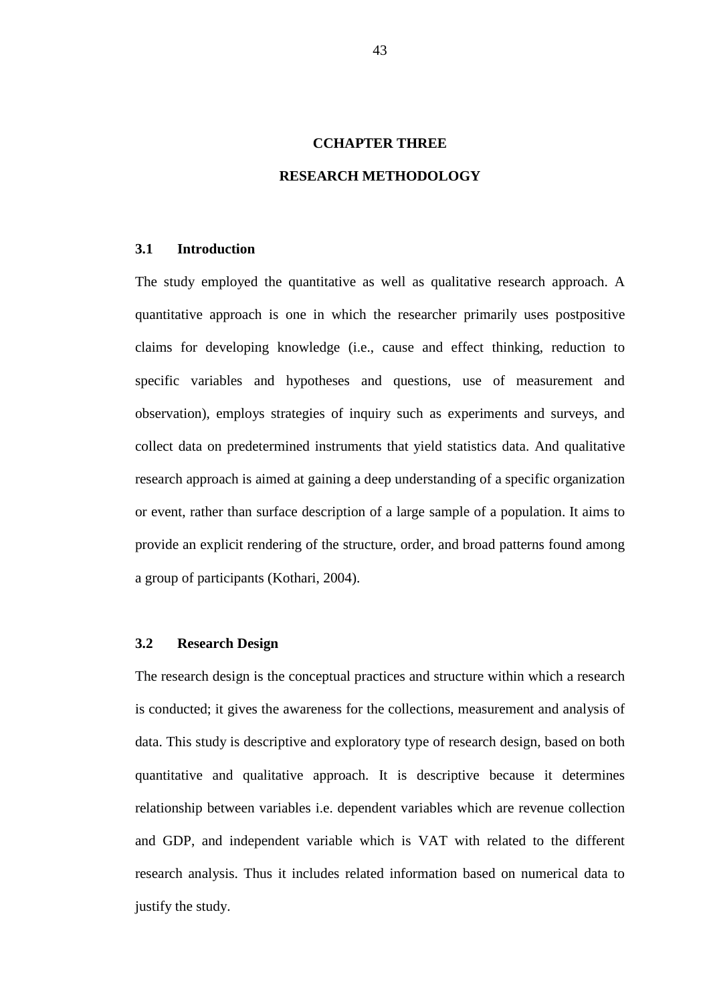# **CCHAPTER THREE**

# **RESEARCH METHODOLOGY**

# **3.1 Introduction**

The study employed the quantitative as well as qualitative research approach. A quantitative approach is one in which the researcher primarily uses postpositive claims for developing knowledge (i.e., cause and effect thinking, reduction to specific variables and hypotheses and questions, use of measurement and observation), employs strategies of inquiry such as experiments and surveys, and collect data on predetermined instruments that yield statistics data. And qualitative research approach is aimed at gaining a deep understanding of a specific organization or event, rather than surface description of a large sample of a population. It aims to provide an explicit rendering of the structure, order, and broad patterns found among a group of participants (Kothari, 2004).

#### **3.2 Research Design**

The research design is the conceptual practices and structure within which a research is conducted; it gives the awareness for the collections, measurement and analysis of data. This study is descriptive and exploratory type of research design, based on both quantitative and qualitative approach. It is descriptive because it determines relationship between variables i.e. dependent variables which are revenue collection and GDP, and independent variable which is VAT with related to the different research analysis. Thus it includes related information based on numerical data to justify the study.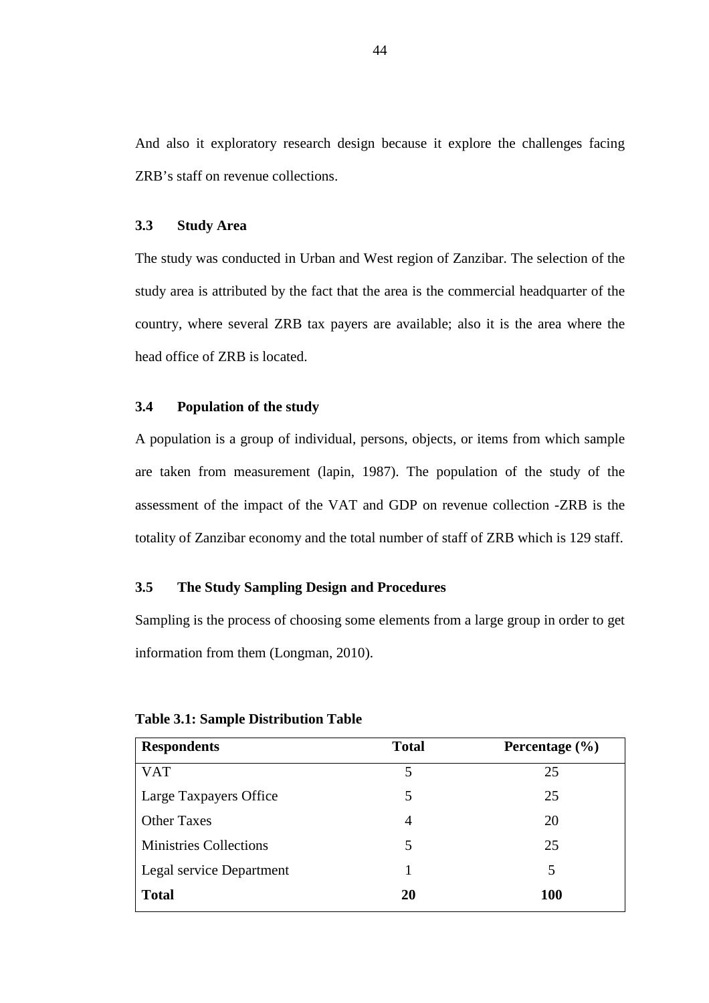And also it exploratory research design because it explore the challenges facing ZRB's staff on revenue collections.

# **3.3 Study Area**

The study was conducted in Urban and West region of Zanzibar. The selection of the study area is attributed by the fact that the area is the commercial headquarter of the country, where several ZRB tax payers are available; also it is the area where the head office of ZRB is located.

### **3.4 Population of the study**

A population is a group of individual, persons, objects, or items from which sample are taken from measurement (lapin, 1987). The population of the study of the assessment of the impact of the VAT and GDP on revenue collection -ZRB is the totality of Zanzibar economy and the total number of staff of ZRB which is 129 staff.

# **3.5 The Study Sampling Design and Procedures**

Sampling is the process of choosing some elements from a large group in order to get information from them (Longman, 2010).

| <b>Respondents</b>            | <b>Total</b> | Percentage $(\% )$ |
|-------------------------------|--------------|--------------------|
| <b>VAT</b>                    | 5            | 25                 |
| Large Taxpayers Office        | 5            | 25                 |
| <b>Other Taxes</b>            | 4            | 20                 |
| <b>Ministries Collections</b> | 5            | 25                 |
| Legal service Department      |              | 5                  |
| <b>Total</b>                  | 20           | <b>100</b>         |

#### **Table 3.1: Sample Distribution Table**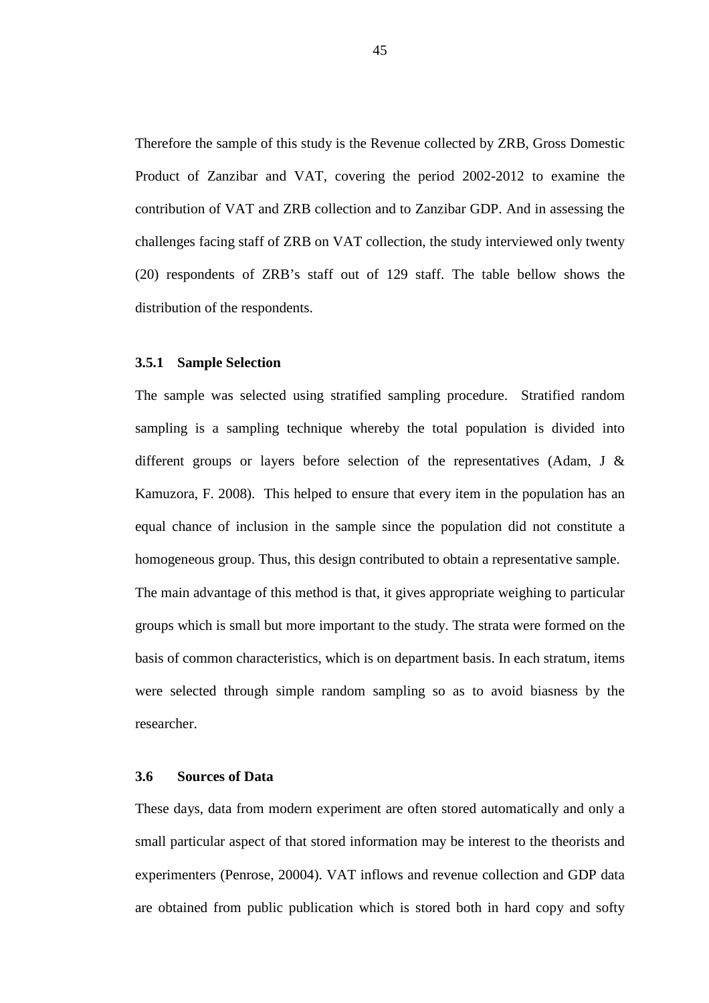Therefore the sample of this study is the Revenue collected by ZRB, Gross Domestic Product of Zanzibar and VAT, covering the period 2002-2012 to examine the contribution of VAT and ZRB collection and to Zanzibar GDP. And in assessing the challenges facing staff of ZRB on VAT collection, the study interviewed only twenty (20) respondents of ZRB's staff out of 129 staff. The table bellow shows the distribution of the respondents.

#### **3.5.1 Sample Selection**

The sample was selected using stratified sampling procedure. Stratified random sampling is a sampling technique whereby the total population is divided into different groups or layers before selection of the representatives (Adam, J  $\&$ Kamuzora, F. 2008). This helped to ensure that every item in the population has an equal chance of inclusion in the sample since the population did not constitute a homogeneous group. Thus, this design contributed to obtain a representative sample. The main advantage of this method is that, it gives appropriate weighing to particular groups which is small but more important to the study. The strata were formed on the basis of common characteristics, which is on department basis. In each stratum, items

were selected through simple random sampling so as to avoid biasness by the researcher.

# **3.6 Sources of Data**

These days, data from modern experiment are often stored automatically and only a small particular aspect of that stored information may be interest to the theorists and experimenters (Penrose, 20004). VAT inflows and revenue collection and GDP data are obtained from public publication which is stored both in hard copy and softy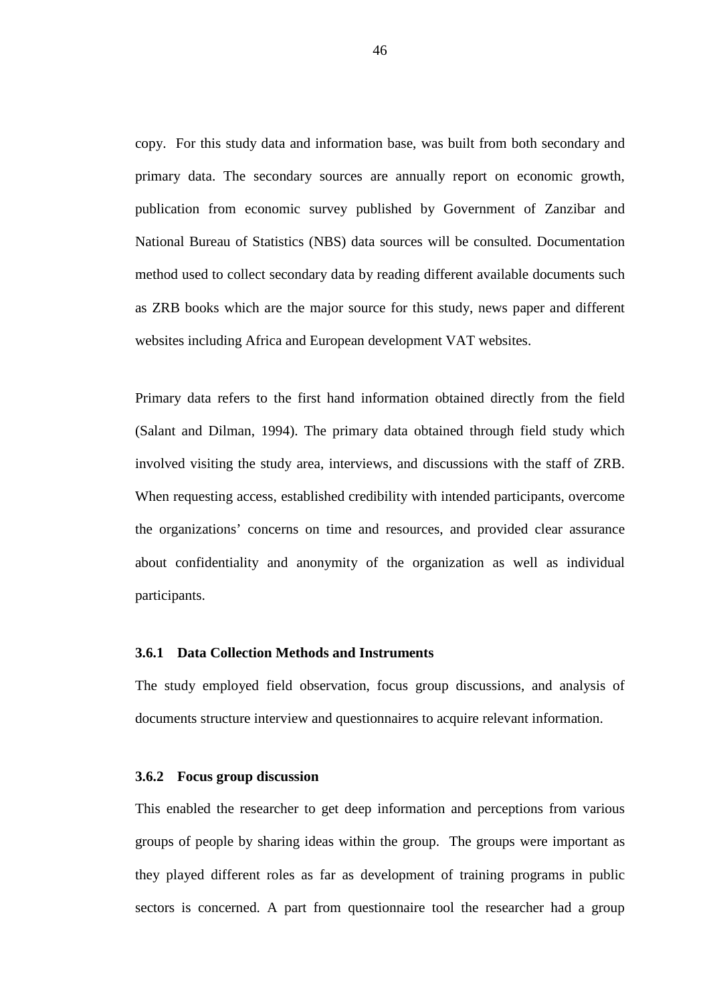copy. For this study data and information base, was built from both secondary and primary data. The secondary sources are annually report on economic growth, publication from economic survey published by Government of Zanzibar and National Bureau of Statistics (NBS) data sources will be consulted. Documentation method used to collect secondary data by reading different available documents such as ZRB books which are the major source for this study, news paper and different websites including Africa and European development VAT websites.

Primary data refers to the first hand information obtained directly from the field (Salant and Dilman, 1994). The primary data obtained through field study which involved visiting the study area, interviews, and discussions with the staff of ZRB. When requesting access, established credibility with intended participants, overcome the organizations' concerns on time and resources, and provided clear assurance about confidentiality and anonymity of the organization as well as individual participants.

#### **3.6.1 Data Collection Methods and Instruments**

The study employed field observation, focus group discussions, and analysis of documents structure interview and questionnaires to acquire relevant information.

### **3.6.2 Focus group discussion**

This enabled the researcher to get deep information and perceptions from various groups of people by sharing ideas within the group. The groups were important as they played different roles as far as development of training programs in public sectors is concerned. A part from questionnaire tool the researcher had a group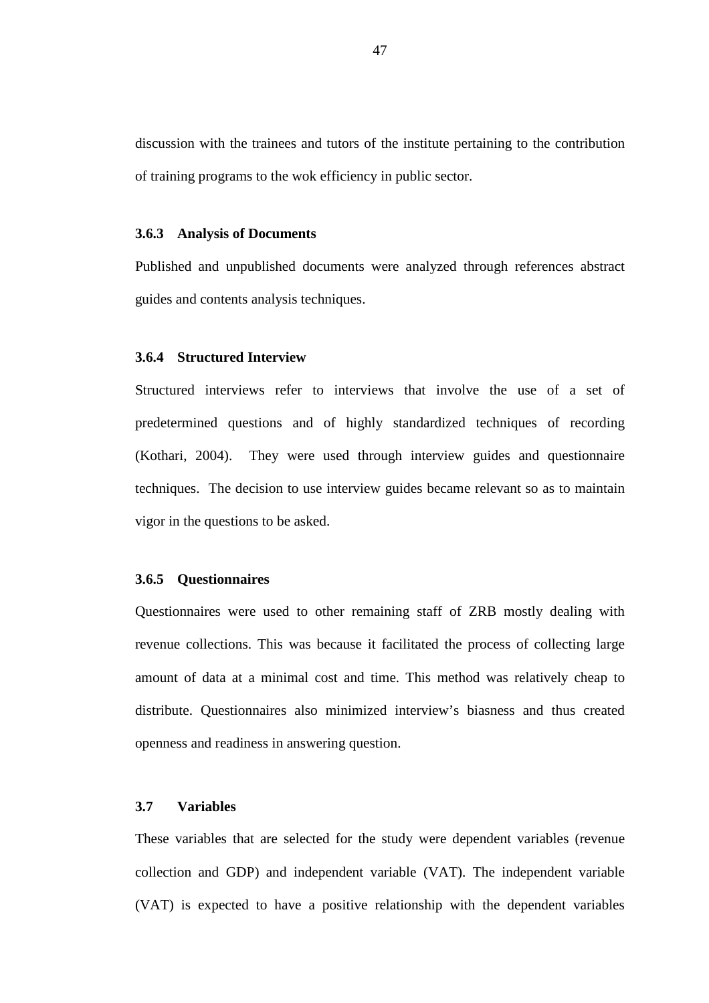discussion with the trainees and tutors of the institute pertaining to the contribution of training programs to the wok efficiency in public sector.

#### **3.6.3 Analysis of Documents**

Published and unpublished documents were analyzed through references abstract guides and contents analysis techniques.

# **3.6.4 Structured Interview**

Structured interviews refer to interviews that involve the use of a set of predetermined questions and of highly standardized techniques of recording (Kothari, 2004). They were used through interview guides and questionnaire techniques. The decision to use interview guides became relevant so as to maintain vigor in the questions to be asked.

# **3.6.5 Questionnaires**

Questionnaires were used to other remaining staff of ZRB mostly dealing with revenue collections. This was because it facilitated the process of collecting large amount of data at a minimal cost and time. This method was relatively cheap to distribute. Questionnaires also minimized interview's biasness and thus created openness and readiness in answering question.

# **3.7 Variables**

These variables that are selected for the study were dependent variables (revenue collection and GDP) and independent variable (VAT). The independent variable (VAT) is expected to have a positive relationship with the dependent variables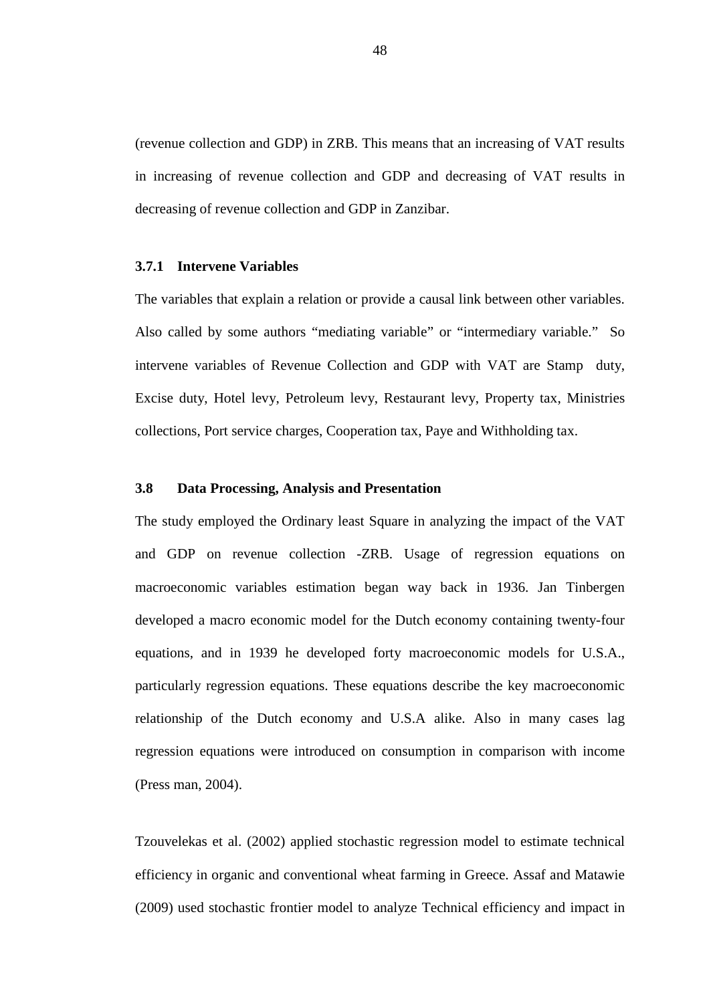(revenue collection and GDP) in ZRB. This means that an increasing of VAT results in increasing of revenue collection and GDP and decreasing of VAT results in decreasing of revenue collection and GDP in Zanzibar.

#### **3.7.1 Intervene Variables**

The variables that explain a relation or provide a causal link between other variables. Also called by some authors "mediating variable" or "intermediary variable." So intervene variables of Revenue Collection and GDP with VAT are Stamp duty, Excise duty, Hotel levy, Petroleum levy, Restaurant levy, Property tax, Ministries collections, Port service charges, Cooperation tax, Paye and Withholding tax.

# **3.8 Data Processing, Analysis and Presentation**

The study employed the Ordinary least Square in analyzing the impact of the VAT and GDP on revenue collection -ZRB. Usage of regression equations on macroeconomic variables estimation began way back in 1936. Jan Tinbergen developed a macro economic model for the Dutch economy containing twenty-four equations, and in 1939 he developed forty macroeconomic models for U.S.A., particularly regression equations. These equations describe the key macroeconomic relationship of the Dutch economy and U.S.A alike. Also in many cases lag regression equations were introduced on consumption in comparison with income (Press man, 2004).

Tzouvelekas et al. (2002) applied stochastic regression model to estimate technical efficiency in organic and conventional wheat farming in Greece. Assaf and Matawie (2009) used stochastic frontier model to analyze Technical efficiency and impact in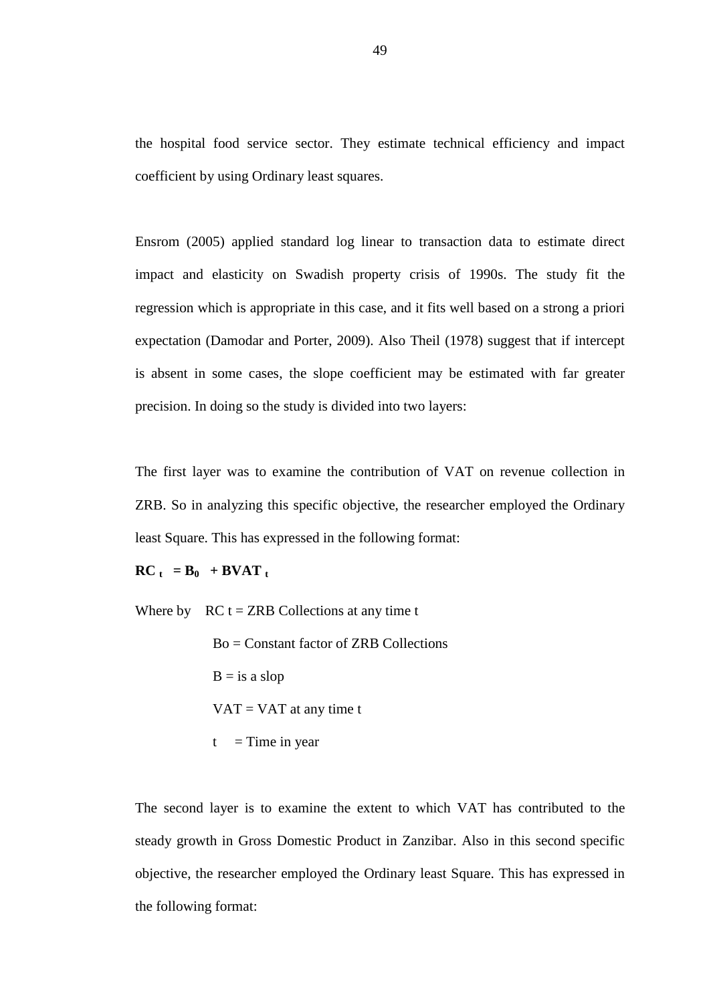the hospital food service sector. They estimate technical efficiency and impact coefficient by using Ordinary least squares.

Ensrom (2005) applied standard log linear to transaction data to estimate direct impact and elasticity on Swadish property crisis of 1990s. The study fit the regression which is appropriate in this case, and it fits well based on a strong a priori expectation (Damodar and Porter, 2009). Also Theil (1978) suggest that if intercept is absent in some cases, the slope coefficient may be estimated with far greater precision. In doing so the study is divided into two layers:

The first layer was to examine the contribution of VAT on revenue collection in ZRB. So in analyzing this specific objective, the researcher employed the Ordinary least Square. This has expressed in the following format:

 $\mathbf{RC}_{t} = \mathbf{B}_0 + \mathbf{B} \mathbf{V} \mathbf{A} \mathbf{T}_t$ 

Where by  $RC t = ZRB$  Collections at any time t

 Bo = Constant factor of ZRB Collections  $B = i s a slope$  $VAT = VAT$  at any time t  $t =$ Time in year

The second layer is to examine the extent to which VAT has contributed to the steady growth in Gross Domestic Product in Zanzibar. Also in this second specific objective, the researcher employed the Ordinary least Square. This has expressed in the following format: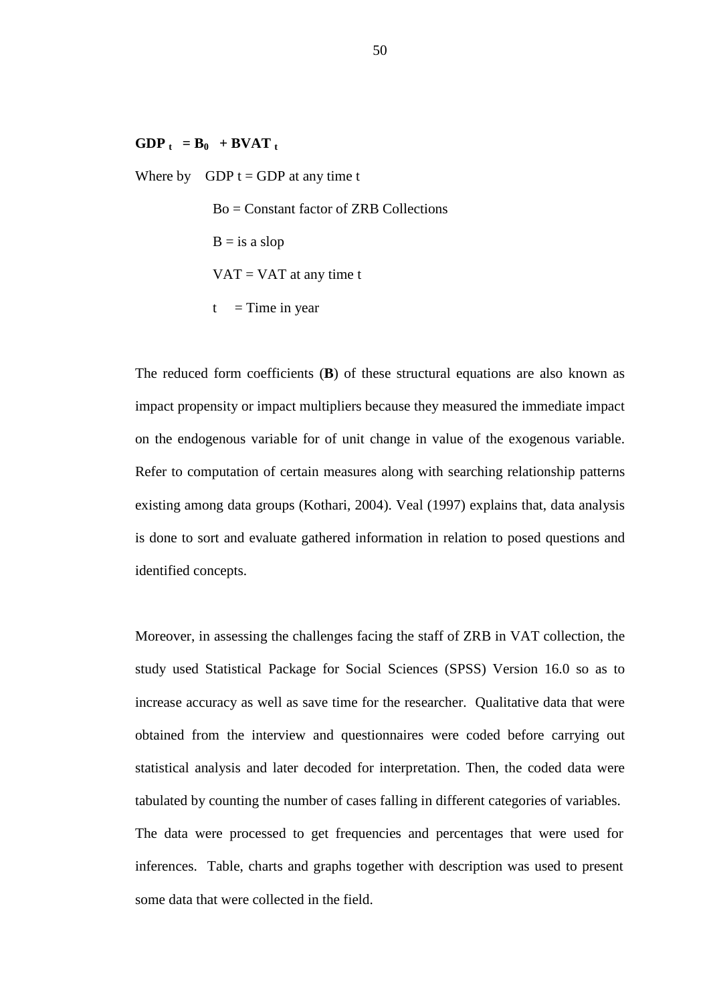# $GDP_t = B_0 + BVAT_t$

Where by  $GDP t = GDP$  at any time t Bo = Constant factor of ZRB Collections  $B = iS$  a slop  $VAT = VAT$  at any time t  $t =$ Time in year

The reduced form coefficients (**B**) of these structural equations are also known as impact propensity or impact multipliers because they measured the immediate impact on the endogenous variable for of unit change in value of the exogenous variable. Refer to computation of certain measures along with searching relationship patterns existing among data groups (Kothari, 2004). Veal (1997) explains that, data analysis is done to sort and evaluate gathered information in relation to posed questions and identified concepts.

Moreover, in assessing the challenges facing the staff of ZRB in VAT collection, the study used Statistical Package for Social Sciences (SPSS) Version 16.0 so as to increase accuracy as well as save time for the researcher. Qualitative data that were obtained from the interview and questionnaires were coded before carrying out statistical analysis and later decoded for interpretation. Then, the coded data were tabulated by counting the number of cases falling in different categories of variables. The data were processed to get frequencies and percentages that were used for inferences. Table, charts and graphs together with description was used to present some data that were collected in the field.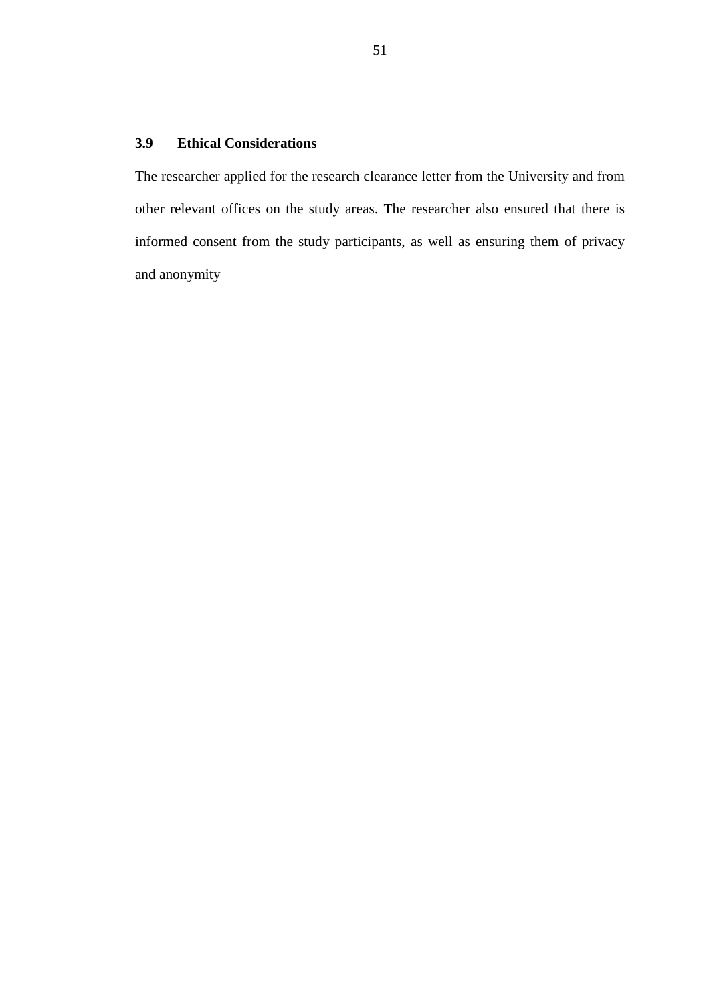# **3.9 Ethical Considerations**

The researcher applied for the research clearance letter from the University and from other relevant offices on the study areas. The researcher also ensured that there is informed consent from the study participants, as well as ensuring them of privacy and anonymity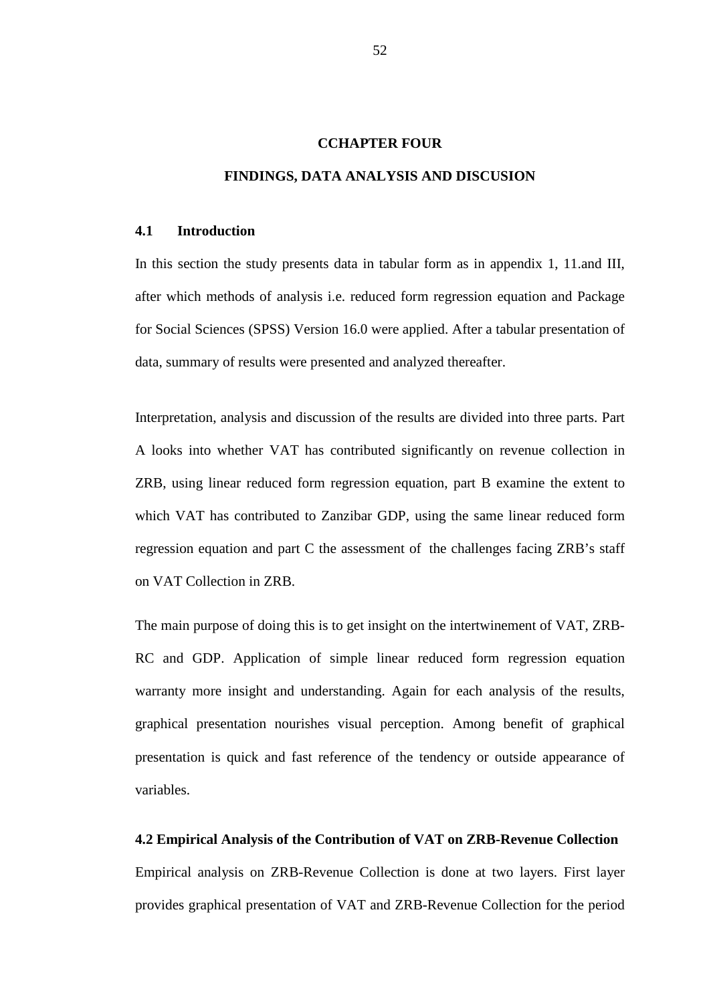#### **CCHAPTER FOUR**

#### **FINDINGS, DATA ANALYSIS AND DISCUSION**

### **4.1 Introduction**

In this section the study presents data in tabular form as in appendix 1, 11.and III, after which methods of analysis i.e. reduced form regression equation and Package for Social Sciences (SPSS) Version 16.0 were applied. After a tabular presentation of data, summary of results were presented and analyzed thereafter.

Interpretation, analysis and discussion of the results are divided into three parts. Part A looks into whether VAT has contributed significantly on revenue collection in ZRB, using linear reduced form regression equation, part B examine the extent to which VAT has contributed to Zanzibar GDP, using the same linear reduced form regression equation and part C the assessment of the challenges facing ZRB's staff on VAT Collection in ZRB.

The main purpose of doing this is to get insight on the intertwinement of VAT, ZRB-RC and GDP. Application of simple linear reduced form regression equation warranty more insight and understanding. Again for each analysis of the results, graphical presentation nourishes visual perception. Among benefit of graphical presentation is quick and fast reference of the tendency or outside appearance of variables.

#### **4.2 Empirical Analysis of the Contribution of VAT on ZRB-Revenue Collection**

Empirical analysis on ZRB-Revenue Collection is done at two layers. First layer provides graphical presentation of VAT and ZRB-Revenue Collection for the period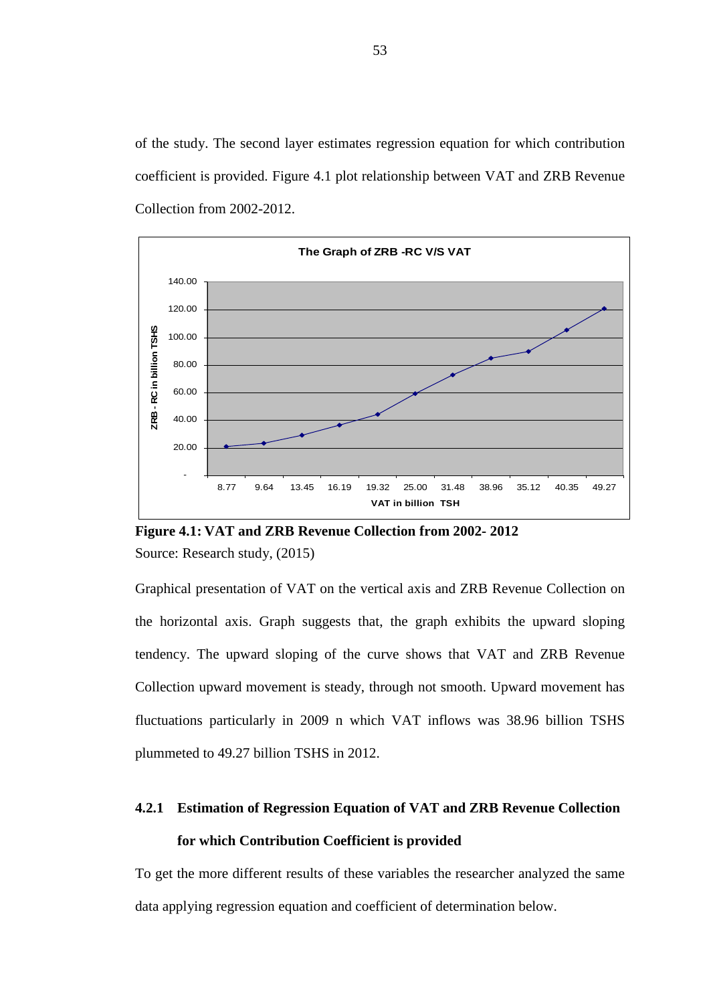of the study. The second layer estimates regression equation for which contribution coefficient is provided. Figure 4.1 plot relationship between VAT and ZRB Revenue Collection from 2002-2012.



**Figure 4.1: VAT and ZRB Revenue Collection from 2002- 2012**  Source: Research study, (2015)

Graphical presentation of VAT on the vertical axis and ZRB Revenue Collection on the horizontal axis. Graph suggests that, the graph exhibits the upward sloping tendency. The upward sloping of the curve shows that VAT and ZRB Revenue Collection upward movement is steady, through not smooth. Upward movement has fluctuations particularly in 2009 n which VAT inflows was 38.96 billion TSHS plummeted to 49.27 billion TSHS in 2012.

# **4.2.1 Estimation of Regression Equation of VAT and ZRB Revenue Collection for which Contribution Coefficient is provided**

To get the more different results of these variables the researcher analyzed the same data applying regression equation and coefficient of determination below.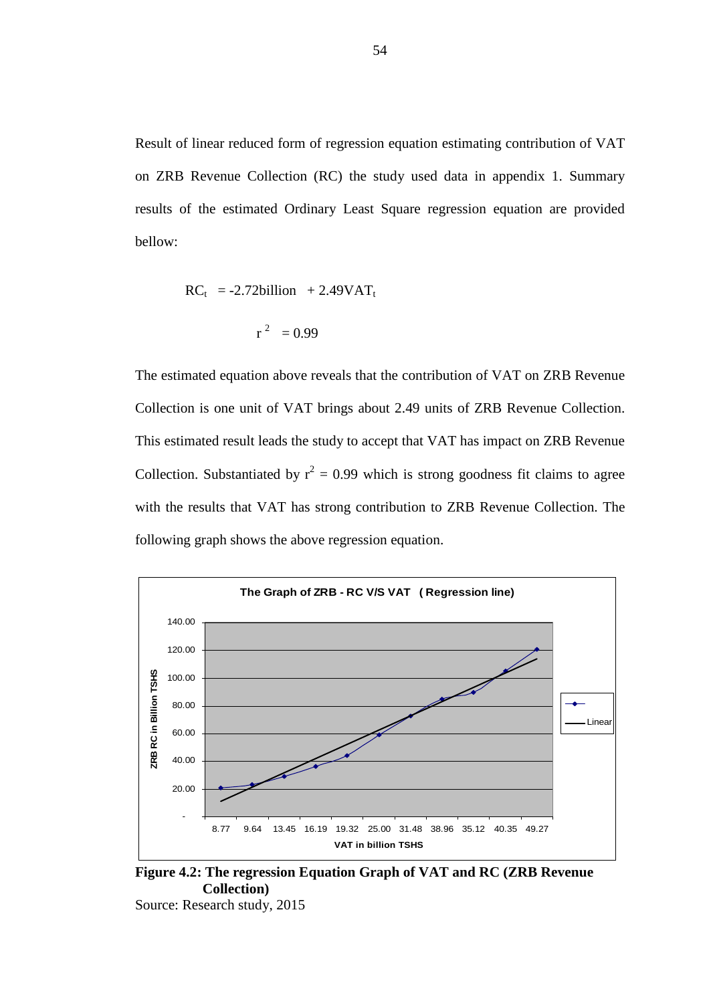Result of linear reduced form of regression equation estimating contribution of VAT on ZRB Revenue Collection (RC) the study used data in appendix 1. Summary results of the estimated Ordinary Least Square regression equation are provided bellow:

$$
RCt = -2.72billion + 2.49VATt
$$

$$
r2 = 0.99
$$

The estimated equation above reveals that the contribution of VAT on ZRB Revenue Collection is one unit of VAT brings about 2.49 units of ZRB Revenue Collection. This estimated result leads the study to accept that VAT has impact on ZRB Revenue Collection. Substantiated by  $r^2 = 0.99$  which is strong goodness fit claims to agree with the results that VAT has strong contribution to ZRB Revenue Collection. The following graph shows the above regression equation.



**Figure 4.2: The regression Equation Graph of VAT and RC (ZRB Revenue Collection)** 

Source: Research study, 2015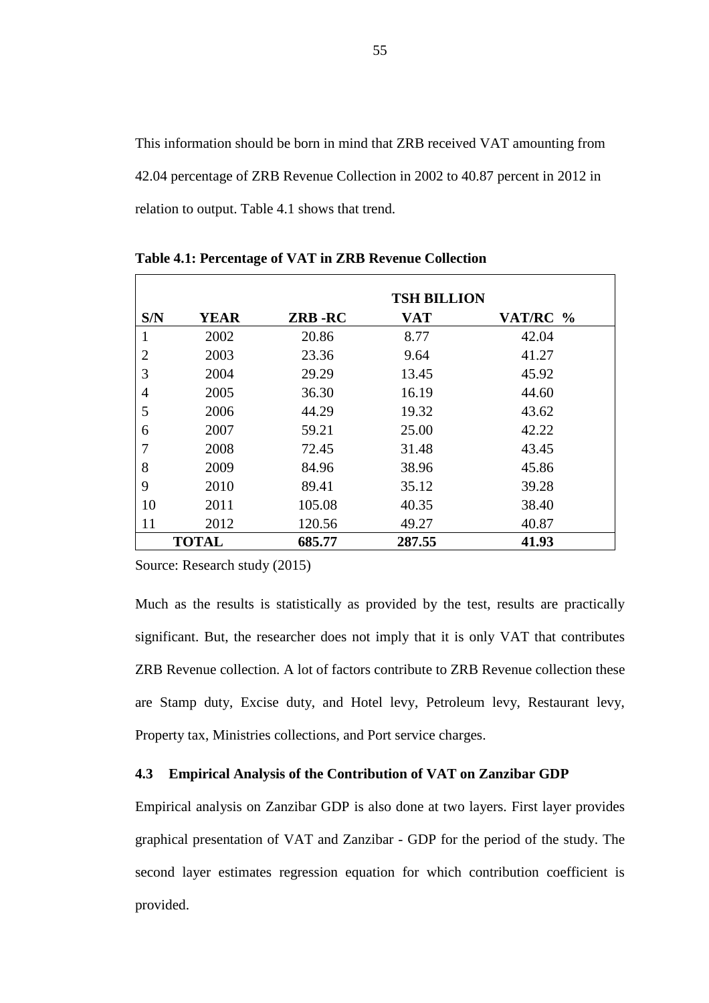This information should be born in mind that ZRB received VAT amounting from 42.04 percentage of ZRB Revenue Collection in 2002 to 40.87 percent in 2012 in relation to output. Table 4.1 shows that trend.

|                |              |        | <b>TSH BILLION</b> |          |
|----------------|--------------|--------|--------------------|----------|
| S/N            | <b>YEAR</b>  | ZRB-RC | VAT                | VAT/RC % |
| 1              | 2002         | 20.86  | 8.77               | 42.04    |
| $\overline{2}$ | 2003         | 23.36  | 9.64               | 41.27    |
| 3              | 2004         | 29.29  | 13.45              | 45.92    |
| 4              | 2005         | 36.30  | 16.19              | 44.60    |
| 5              | 2006         | 44.29  | 19.32              | 43.62    |
| 6              | 2007         | 59.21  | 25.00              | 42.22    |
| 7              | 2008         | 72.45  | 31.48              | 43.45    |
| 8              | 2009         | 84.96  | 38.96              | 45.86    |
| 9              | 2010         | 89.41  | 35.12              | 39.28    |
| 10             | 2011         | 105.08 | 40.35              | 38.40    |
| 11             | 2012         | 120.56 | 49.27              | 40.87    |
|                | <b>TOTAL</b> | 685.77 | 287.55             | 41.93    |

**Table 4.1: Percentage of VAT in ZRB Revenue Collection** 

Source: Research study (2015)

Much as the results is statistically as provided by the test, results are practically significant. But, the researcher does not imply that it is only VAT that contributes ZRB Revenue collection. A lot of factors contribute to ZRB Revenue collection these are Stamp duty, Excise duty, and Hotel levy, Petroleum levy, Restaurant levy, Property tax, Ministries collections, and Port service charges.

#### **4.3 Empirical Analysis of the Contribution of VAT on Zanzibar GDP**

Empirical analysis on Zanzibar GDP is also done at two layers. First layer provides graphical presentation of VAT and Zanzibar - GDP for the period of the study. The second layer estimates regression equation for which contribution coefficient is provided.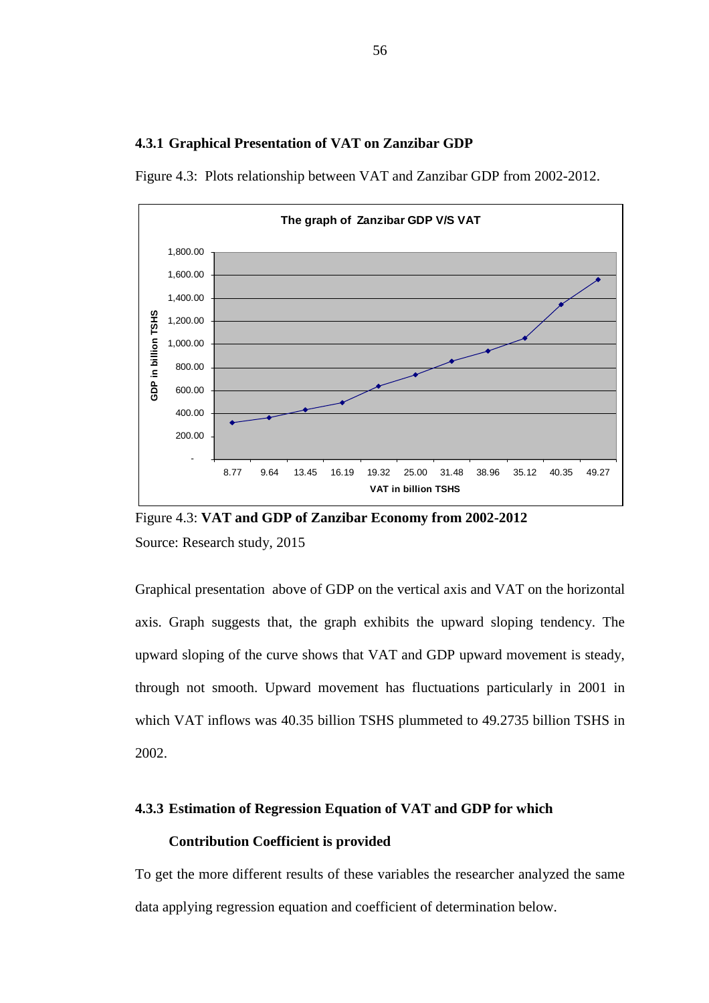#### **4.3.1 Graphical Presentation of VAT on Zanzibar GDP**

Figure 4.3: Plots relationship between VAT and Zanzibar GDP from 2002-2012.



Figure 4.3: **VAT and GDP of Zanzibar Economy from 2002-2012**  Source: Research study, 2015

Graphical presentation above of GDP on the vertical axis and VAT on the horizontal axis. Graph suggests that, the graph exhibits the upward sloping tendency. The upward sloping of the curve shows that VAT and GDP upward movement is steady, through not smooth. Upward movement has fluctuations particularly in 2001 in which VAT inflows was 40.35 billion TSHS plummeted to 49.2735 billion TSHS in 2002.

# **4.3.3 Estimation of Regression Equation of VAT and GDP for which Contribution Coefficient is provided**

To get the more different results of these variables the researcher analyzed the same data applying regression equation and coefficient of determination below.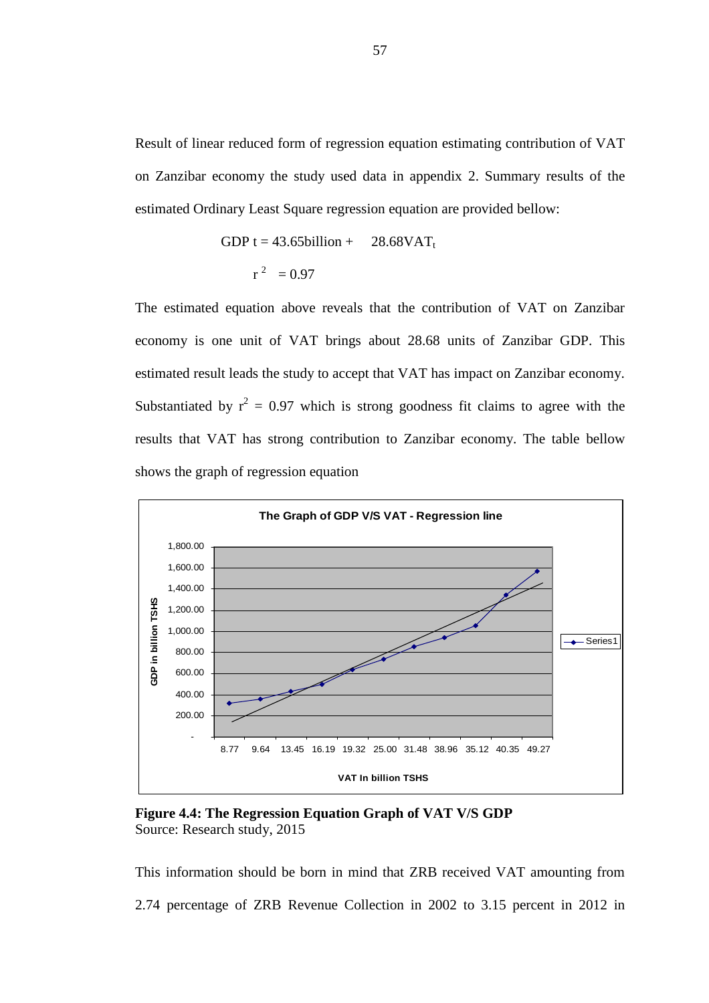Result of linear reduced form of regression equation estimating contribution of VAT on Zanzibar economy the study used data in appendix 2. Summary results of the estimated Ordinary Least Square regression equation are provided bellow:

GDP t = 43.65billion + 
$$
28.68 \text{VAT}_{\text{t}}
$$
  $r^2 = 0.97$ 

The estimated equation above reveals that the contribution of VAT on Zanzibar economy is one unit of VAT brings about 28.68 units of Zanzibar GDP. This estimated result leads the study to accept that VAT has impact on Zanzibar economy. Substantiated by  $r^2 = 0.97$  which is strong goodness fit claims to agree with the results that VAT has strong contribution to Zanzibar economy. The table bellow shows the graph of regression equation



**Figure 4.4: The Regression Equation Graph of VAT V/S GDP**  Source: Research study, 2015

This information should be born in mind that ZRB received VAT amounting from 2.74 percentage of ZRB Revenue Collection in 2002 to 3.15 percent in 2012 in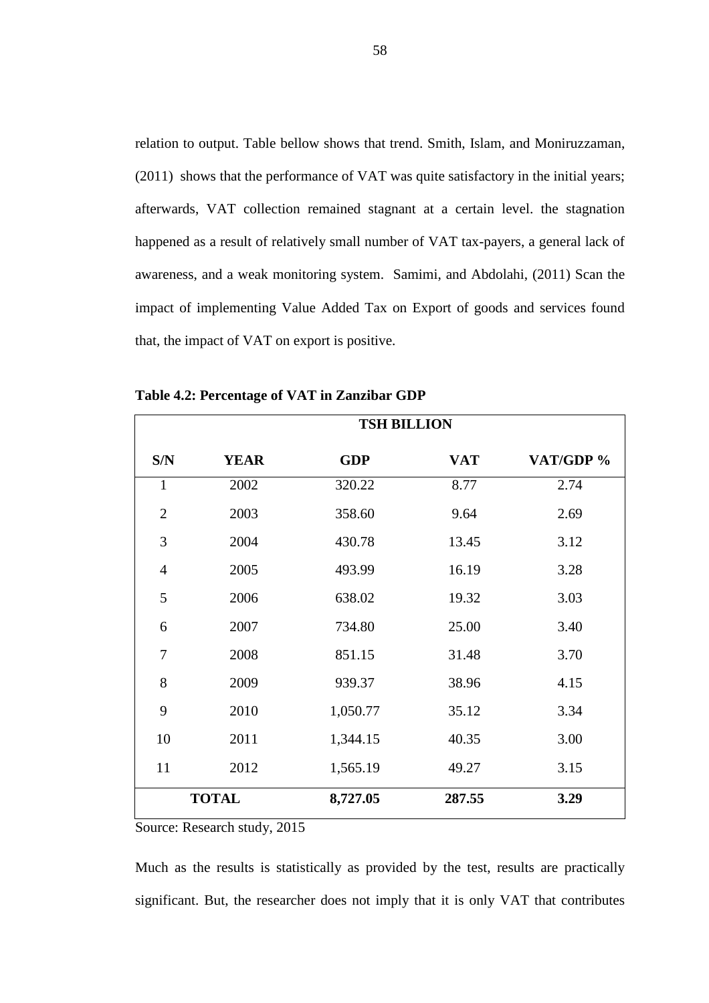relation to output. Table bellow shows that trend. Smith, Islam, and Moniruzzaman, (2011) shows that the performance of VAT was quite satisfactory in the initial years; afterwards, VAT collection remained stagnant at a certain level. the stagnation happened as a result of relatively small number of VAT tax-payers, a general lack of awareness, and a weak monitoring system. Samimi, and Abdolahi, (2011) Scan the impact of implementing Value Added Tax on Export of goods and services found that, the impact of VAT on export is positive.

|                | <b>TSH BILLION</b> |            |            |           |  |  |  |  |
|----------------|--------------------|------------|------------|-----------|--|--|--|--|
| S/N            | <b>YEAR</b>        | <b>GDP</b> | <b>VAT</b> | VAT/GDP % |  |  |  |  |
| $\mathbf{1}$   | 2002               | 320.22     | 8.77       | 2.74      |  |  |  |  |
| $\overline{2}$ | 2003               | 358.60     | 9.64       | 2.69      |  |  |  |  |
| 3              | 2004               | 430.78     | 13.45      | 3.12      |  |  |  |  |
| $\overline{4}$ | 2005               | 493.99     | 16.19      | 3.28      |  |  |  |  |
| 5              | 2006               | 638.02     | 19.32      | 3.03      |  |  |  |  |
| 6              | 2007               | 734.80     | 25.00      | 3.40      |  |  |  |  |
| 7              | 2008               | 851.15     | 31.48      | 3.70      |  |  |  |  |
| 8              | 2009               | 939.37     | 38.96      | 4.15      |  |  |  |  |
| 9              | 2010               | 1,050.77   | 35.12      | 3.34      |  |  |  |  |
| 10             | 2011               | 1,344.15   | 40.35      | 3.00      |  |  |  |  |
| 11             | 2012               | 1,565.19   | 49.27      | 3.15      |  |  |  |  |
|                | <b>TOTAL</b>       | 8,727.05   | 287.55     | 3.29      |  |  |  |  |

**Table 4.2: Percentage of VAT in Zanzibar GDP** 

Source: Research study, 2015

Much as the results is statistically as provided by the test, results are practically significant. But, the researcher does not imply that it is only VAT that contributes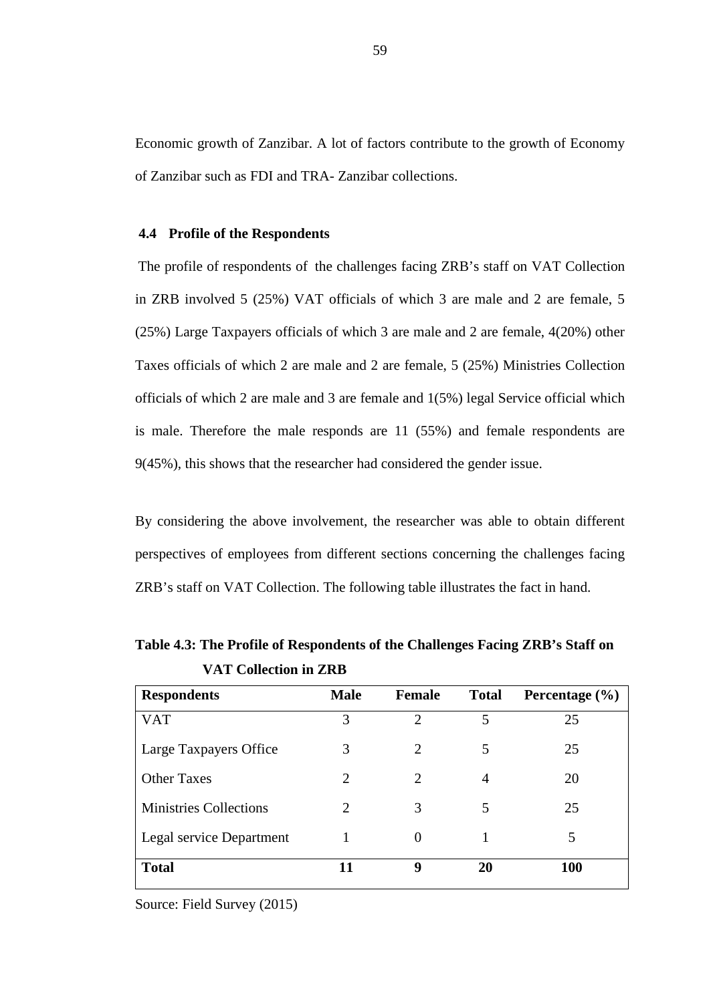Economic growth of Zanzibar. A lot of factors contribute to the growth of Economy of Zanzibar such as FDI and TRA- Zanzibar collections.

#### **4.4 Profile of the Respondents**

The profile of respondents of the challenges facing ZRB's staff on VAT Collection in ZRB involved 5 (25%) VAT officials of which 3 are male and 2 are female, 5 (25%) Large Taxpayers officials of which 3 are male and 2 are female, 4(20%) other Taxes officials of which 2 are male and 2 are female, 5 (25%) Ministries Collection officials of which 2 are male and 3 are female and 1(5%) legal Service official which is male. Therefore the male responds are 11 (55%) and female respondents are 9(45%), this shows that the researcher had considered the gender issue.

By considering the above involvement, the researcher was able to obtain different perspectives of employees from different sections concerning the challenges facing ZRB's staff on VAT Collection. The following table illustrates the fact in hand.

| <b>Respondents</b>            | <b>Male</b> | Female                | <b>Total</b> | Percentage $(\% )$ |
|-------------------------------|-------------|-----------------------|--------------|--------------------|
| <b>VAT</b>                    | 3           | C                     | 5            | 25                 |
| Large Taxpayers Office        | 3           | $\mathcal{D}_{\cdot}$ | 5            | 25                 |
| <b>Other Taxes</b>            | 2           | 2                     | 4            | 20                 |
| <b>Ministries Collections</b> | 2           | 3                     | 5            | 25                 |
| Legal service Department      |             | $\theta$              |              | 5                  |
| <b>Total</b>                  | 11          | 9                     | 20           | <b>100</b>         |

**Table 4.3: The Profile of Respondents of the Challenges Facing ZRB's Staff on VAT Collection in ZRB** 

Source: Field Survey (2015)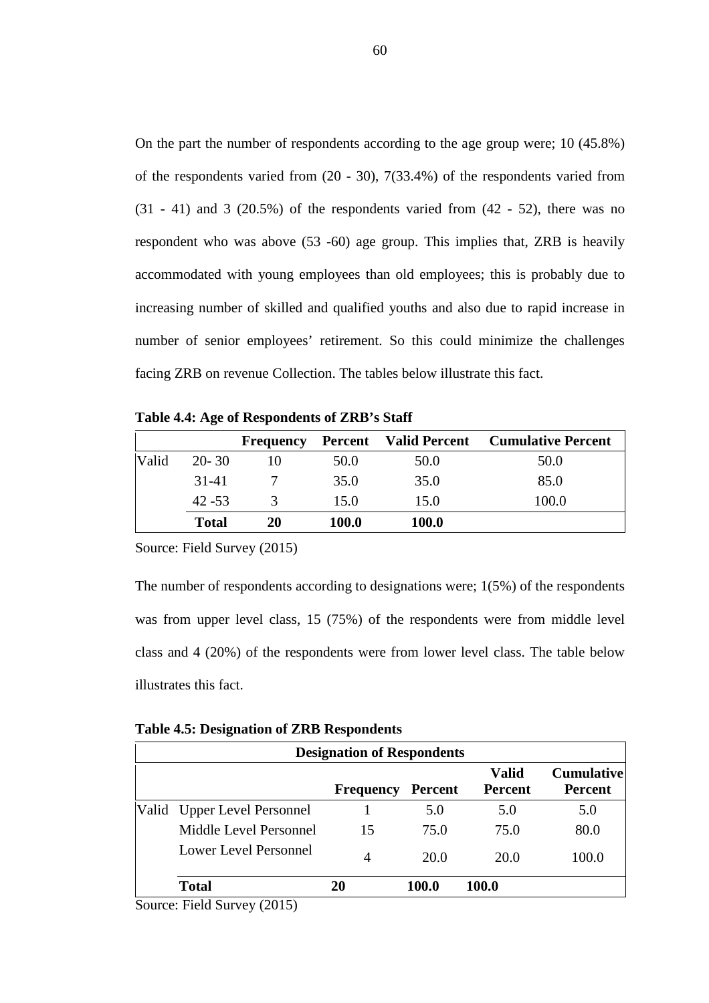On the part the number of respondents according to the age group were; 10 (45.8%) of the respondents varied from (20 - 30), 7(33.4%) of the respondents varied from  $(31 - 41)$  and 3  $(20.5%)$  of the respondents varied from  $(42 - 52)$ , there was no respondent who was above (53 -60) age group. This implies that, ZRB is heavily accommodated with young employees than old employees; this is probably due to increasing number of skilled and qualified youths and also due to rapid increase in number of senior employees' retirement. So this could minimize the challenges facing ZRB on revenue Collection. The tables below illustrate this fact.

|  | Table 4.4: Age of Respondents of ZRB's Staff |  |
|--|----------------------------------------------|--|
|  |                                              |  |

|       |              | <b>Frequency</b> |       |              | <b>Percent</b> Valid Percent Cumulative Percent |
|-------|--------------|------------------|-------|--------------|-------------------------------------------------|
| Valid | $20 - 30$    |                  | 50.0  | 50.0         | 50.0                                            |
|       | 31-41        |                  | 35.0  | 35.0         | 85.0                                            |
|       | $42 - 53$    | 3                | 15.0  | 15.0         | 100.0                                           |
|       | <b>Total</b> | 20               | 100.0 | <b>100.0</b> |                                                 |

Source: Field Survey (2015)

The number of respondents according to designations were; 1(5%) of the respondents was from upper level class, 15 (75%) of the respondents were from middle level class and 4 (20%) of the respondents were from lower level class. The table below illustrates this fact.

| <b>Table 4.5: Designation of ZRB Respondents</b> |  |  |
|--------------------------------------------------|--|--|
|--------------------------------------------------|--|--|

|                             | <b>Designation of Respondents</b> |         |                                |                                     |
|-----------------------------|-----------------------------------|---------|--------------------------------|-------------------------------------|
|                             | <b>Frequency</b>                  | Percent | <b>Valid</b><br><b>Percent</b> | <b>Cumulative</b><br><b>Percent</b> |
| Valid Upper Level Personnel |                                   | 5.0     | 5.0                            | 5.0                                 |
| Middle Level Personnel      | 15                                | 75.0    | 75.0                           | 80.0                                |
| Lower Level Personnel       | 4                                 | 20.0    | 20.0                           | 100.0                               |
| <b>Total</b>                | 20                                | 100.0   | 100.0                          |                                     |
|                             |                                   |         |                                |                                     |

Source: Field Survey (2015)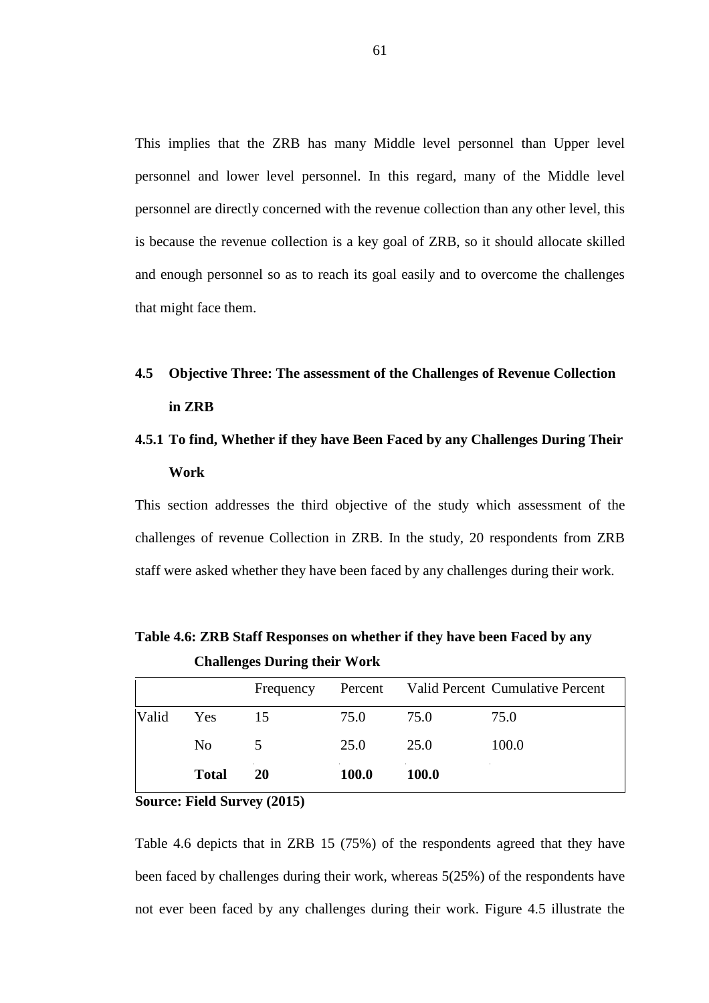This implies that the ZRB has many Middle level personnel than Upper level personnel and lower level personnel. In this regard, many of the Middle level personnel are directly concerned with the revenue collection than any other level, this is because the revenue collection is a key goal of ZRB, so it should allocate skilled and enough personnel so as to reach its goal easily and to overcome the challenges that might face them.

# **4.5 Objective Three: The assessment of the Challenges of Revenue Collection in ZRB**

# **4.5.1 To find, Whether if they have Been Faced by any Challenges During Their Work**

This section addresses the third objective of the study which assessment of the challenges of revenue Collection in ZRB. In the study, 20 respondents from ZRB staff were asked whether they have been faced by any challenges during their work.

|       |                | Frequency |       |              | Percent Valid Percent Cumulative Percent |
|-------|----------------|-----------|-------|--------------|------------------------------------------|
| Valid | Yes            | 15        | 75.0  | 75.0         | 75.0                                     |
|       | N <sub>0</sub> | 5         | 25.0  | 25.0         | 100.0                                    |
|       | <b>Total</b>   | 20        | 100.0 | <b>100.0</b> |                                          |

**Table 4.6: ZRB Staff Responses on whether if they have been Faced by any Challenges During their Work** 

**Source: Field Survey (2015)**

Table 4.6 depicts that in ZRB 15 (75%) of the respondents agreed that they have been faced by challenges during their work, whereas 5(25%) of the respondents have not ever been faced by any challenges during their work. Figure 4.5 illustrate the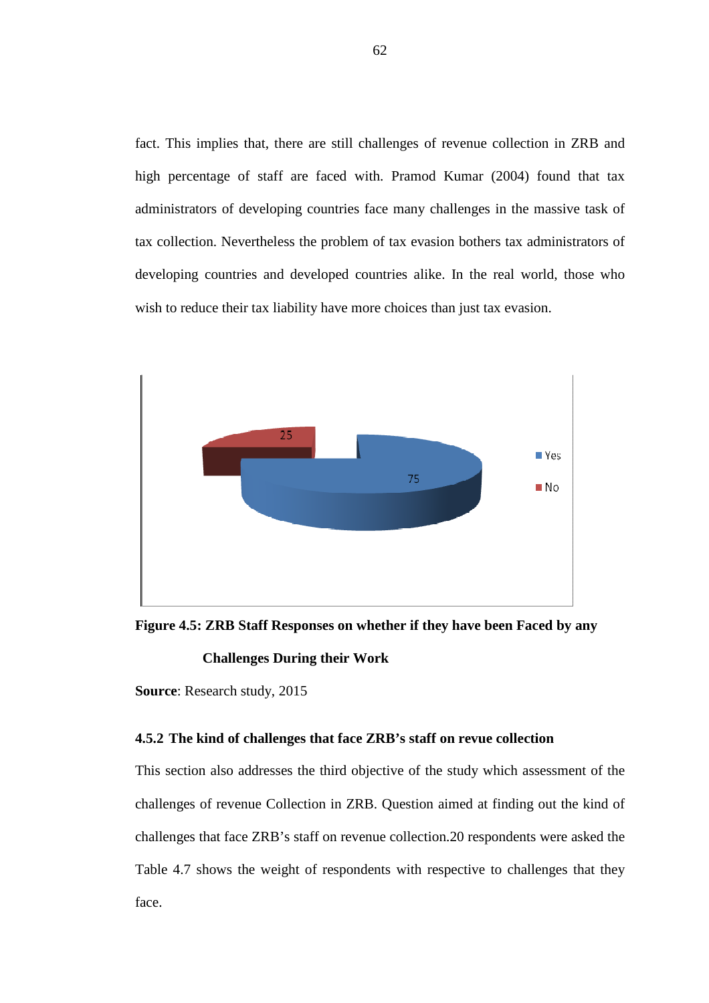fact. This implies that, there are still challenges of revenue collection in ZRB and high percentage of staff are faced with. Pramod Kumar (2004) found that tax administrators of developing countries face many challenges in the massive task of tax collection. Nevertheless the problem of tax evasion bothers tax administrators of developing countries and developed countries alike. In the real world, those who wish to reduce their tax liability have more choices than just tax evasion.



**Figure 4.5: ZRB Staff Responses on whether if they have been Faced by any** 

### **Challenges During their Work**

**Source**: Research study, 2015

### **4.5.2 The kind of challenges that face ZRB's staff on revue collection**

This section also addresses the third objective of the study which assessment of the challenges of revenue Collection in ZRB. Question aimed at finding out the kind of challenges that face ZRB's staff on revenue collection.20 respondents were asked the Table 4.7 shows the weight of respondents with respective to challenges that they face.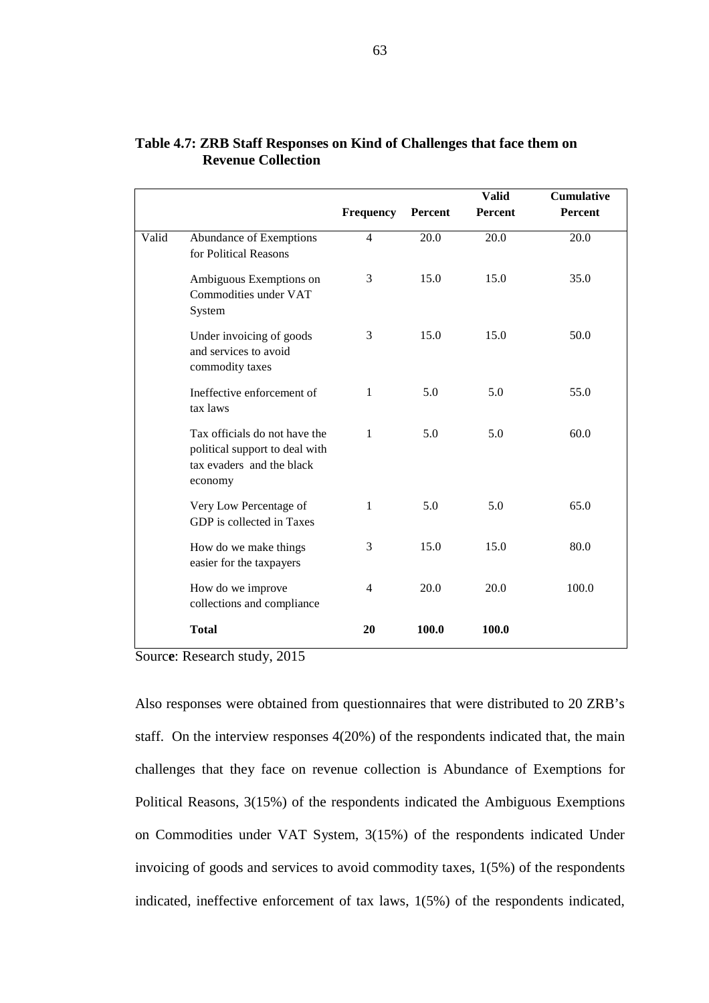|       |                                                                                                         | Frequency      | Percent | <b>Valid</b><br>Percent | <b>Cumulative</b><br>Percent |
|-------|---------------------------------------------------------------------------------------------------------|----------------|---------|-------------------------|------------------------------|
| Valid | Abundance of Exemptions<br>for Political Reasons                                                        | 4              | 20.0    | 20.0                    | 20.0                         |
|       | Ambiguous Exemptions on<br>Commodities under VAT<br>System                                              | 3              | 15.0    | 15.0                    | 35.0                         |
|       | Under invoicing of goods<br>and services to avoid<br>commodity taxes                                    | 3              | 15.0    | 15.0                    | 50.0                         |
|       | Ineffective enforcement of<br>tax laws                                                                  | 1              | 5.0     | 5.0                     | 55.0                         |
|       | Tax officials do not have the<br>political support to deal with<br>tax evaders and the black<br>economy | 1              | 5.0     | 5.0                     | 60.0                         |
|       | Very Low Percentage of<br>GDP is collected in Taxes                                                     | 1              | 5.0     | 5.0                     | 65.0                         |
|       | How do we make things<br>easier for the taxpayers                                                       | 3              | 15.0    | 15.0                    | 80.0                         |
|       | How do we improve<br>collections and compliance                                                         | $\overline{4}$ | 20.0    | 20.0                    | 100.0                        |
|       | <b>Total</b>                                                                                            | 20             | 100.0   | 100.0                   |                              |

## **Table 4.7: ZRB Staff Responses on Kind of Challenges that face them on Revenue Collection**

Sourc**e**: Research study, 2015

Also responses were obtained from questionnaires that were distributed to 20 ZRB's staff. On the interview responses 4(20%) of the respondents indicated that, the main challenges that they face on revenue collection is Abundance of Exemptions for Political Reasons, 3(15%) of the respondents indicated the Ambiguous Exemptions on Commodities under VAT System, 3(15%) of the respondents indicated Under invoicing of goods and services to avoid commodity taxes, 1(5%) of the respondents indicated, ineffective enforcement of tax laws, 1(5%) of the respondents indicated,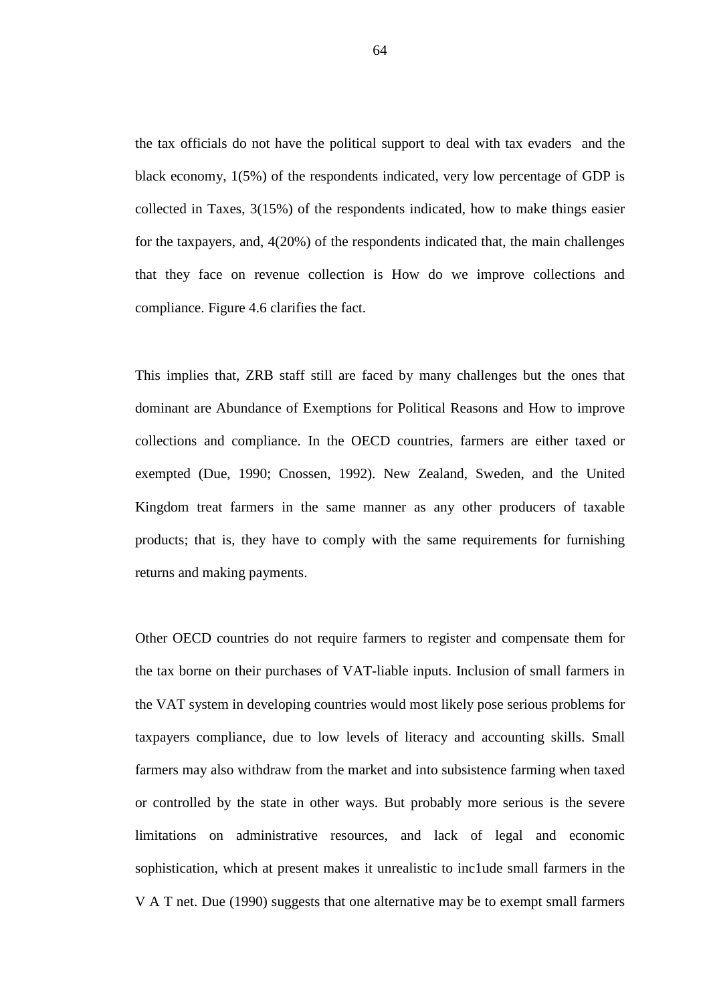the tax officials do not have the political support to deal with tax evaders and the black economy, 1(5%) of the respondents indicated, very low percentage of GDP is collected in Taxes, 3(15%) of the respondents indicated, how to make things easier for the taxpayers, and, 4(20%) of the respondents indicated that, the main challenges that they face on revenue collection is How do we improve collections and compliance. Figure 4.6 clarifies the fact.

This implies that, ZRB staff still are faced by many challenges but the ones that dominant are Abundance of Exemptions for Political Reasons and How to improve collections and compliance. In the OECD countries, farmers are either taxed or exempted (Due, 1990; Cnossen, 1992). New Zealand, Sweden, and the United Kingdom treat farmers in the same manner as any other producers of taxable products; that is, they have to comply with the same requirements for furnishing returns and making payments.

Other OECD countries do not require farmers to register and compensate them for the tax borne on their purchases of VAT-liable inputs. Inclusion of small farmers in the VAT system in developing countries would most likely pose serious problems for taxpayers compliance, due to low levels of literacy and accounting skills. Small farmers may also withdraw from the market and into subsistence farming when taxed or controlled by the state in other ways. But probably more serious is the severe limitations on administrative resources, and lack of legal and economic sophistication, which at present makes it unrealistic to inc1ude small farmers in the V A T net. Due (1990) suggests that one alternative may be to exempt small farmers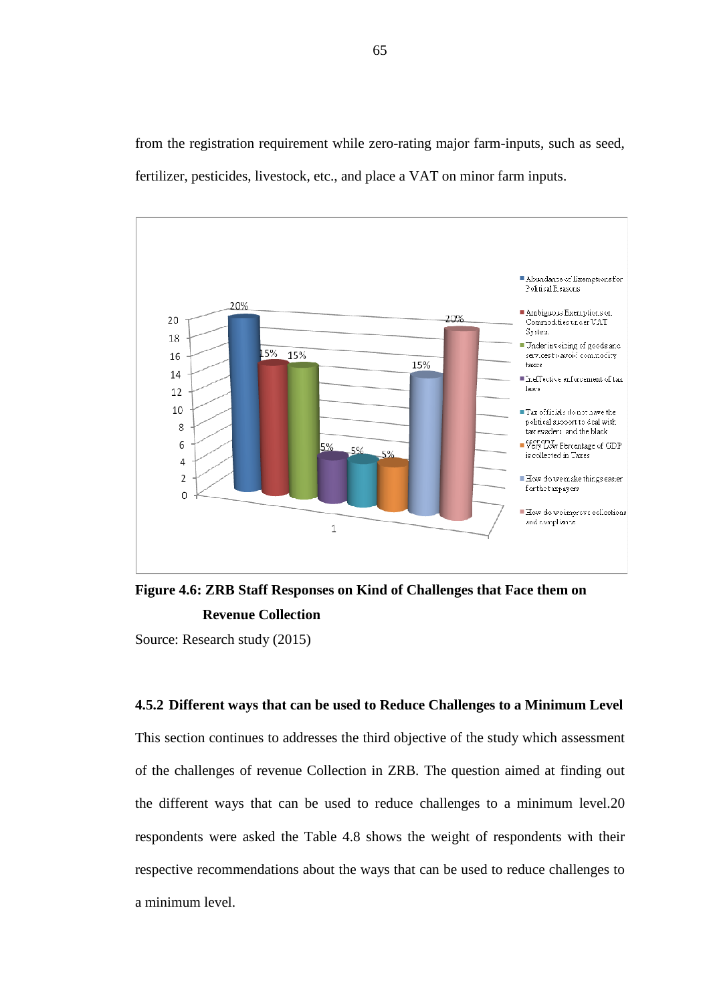from the registration requirement while zero-rating major farm-inputs, such as seed, fertilizer, pesticides, livestock, etc., and place a VAT on minor farm inputs.



**Figure 4.6: ZRB Staff Responses on Kind of Challenges that Face them on Revenue Collection** 

Source: Research study (2015)

#### **4.5.2 Different ways that can be used to Reduce Challenges to a Minimum Level**

This section continues to addresses the third objective of the study which assessment of the challenges of revenue Collection in ZRB. The question aimed at finding out the different ways that can be used to reduce challenges to a minimum level.20 respondents were asked the Table 4.8 shows the weight of respondents with their respective recommendations about the ways that can be used to reduce challenges to a minimum level.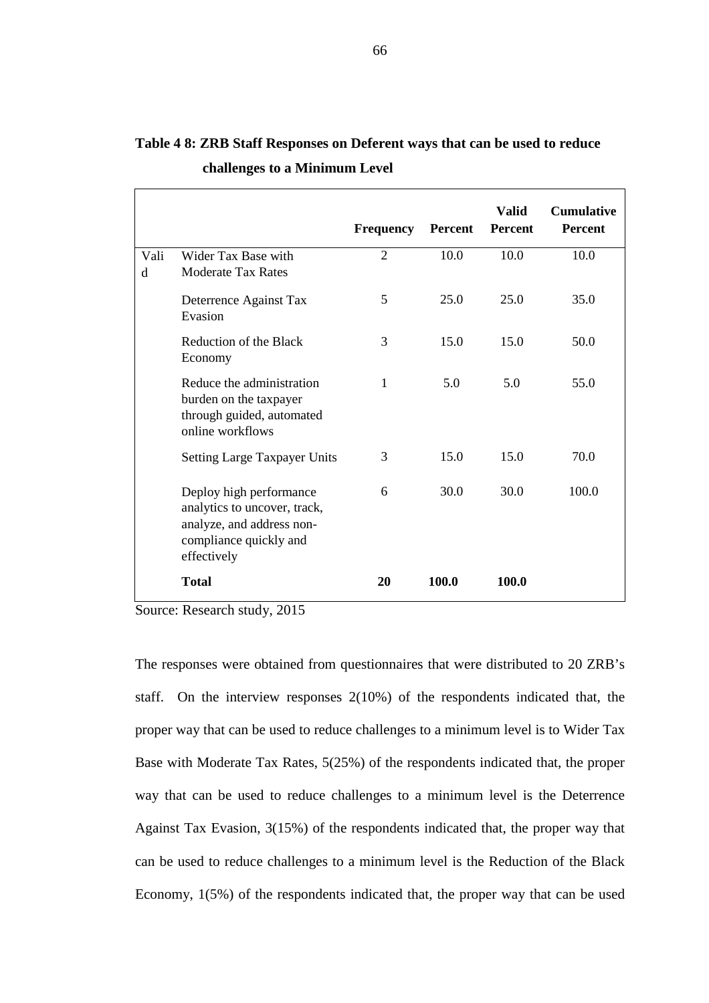|           |                                                                                                                               | <b>Frequency</b> | <b>Percent</b> | <b>Valid</b><br><b>Percent</b> | <b>Cumulative</b><br><b>Percent</b> |
|-----------|-------------------------------------------------------------------------------------------------------------------------------|------------------|----------------|--------------------------------|-------------------------------------|
| Vali<br>d | Wider Tax Base with<br><b>Moderate Tax Rates</b>                                                                              | $\overline{2}$   | 10.0           | 10.0                           | 10.0                                |
|           | Deterrence Against Tax<br>Evasion                                                                                             | 5                | 25.0           | 25.0                           | 35.0                                |
|           | Reduction of the Black<br>Economy                                                                                             | 3                | 15.0           | 15.0                           | 50.0                                |
|           | Reduce the administration<br>burden on the taxpayer<br>through guided, automated<br>online workflows                          | 1                | 5.0            | 5.0                            | 55.0                                |
|           | <b>Setting Large Taxpayer Units</b>                                                                                           | 3                | 15.0           | 15.0                           | 70.0                                |
|           | Deploy high performance<br>analytics to uncover, track,<br>analyze, and address non-<br>compliance quickly and<br>effectively | 6                | 30.0           | 30.0                           | 100.0                               |
|           | <b>Total</b>                                                                                                                  | 20               | 100.0          | 100.0                          |                                     |

# **Table 4 8: ZRB Staff Responses on Deferent ways that can be used to reduce challenges to a Minimum Level**

Source: Research study, 2015

The responses were obtained from questionnaires that were distributed to 20 ZRB's staff. On the interview responses 2(10%) of the respondents indicated that, the proper way that can be used to reduce challenges to a minimum level is to Wider Tax Base with Moderate Tax Rates, 5(25%) of the respondents indicated that, the proper way that can be used to reduce challenges to a minimum level is the Deterrence Against Tax Evasion, 3(15%) of the respondents indicated that, the proper way that can be used to reduce challenges to a minimum level is the Reduction of the Black Economy, 1(5%) of the respondents indicated that, the proper way that can be used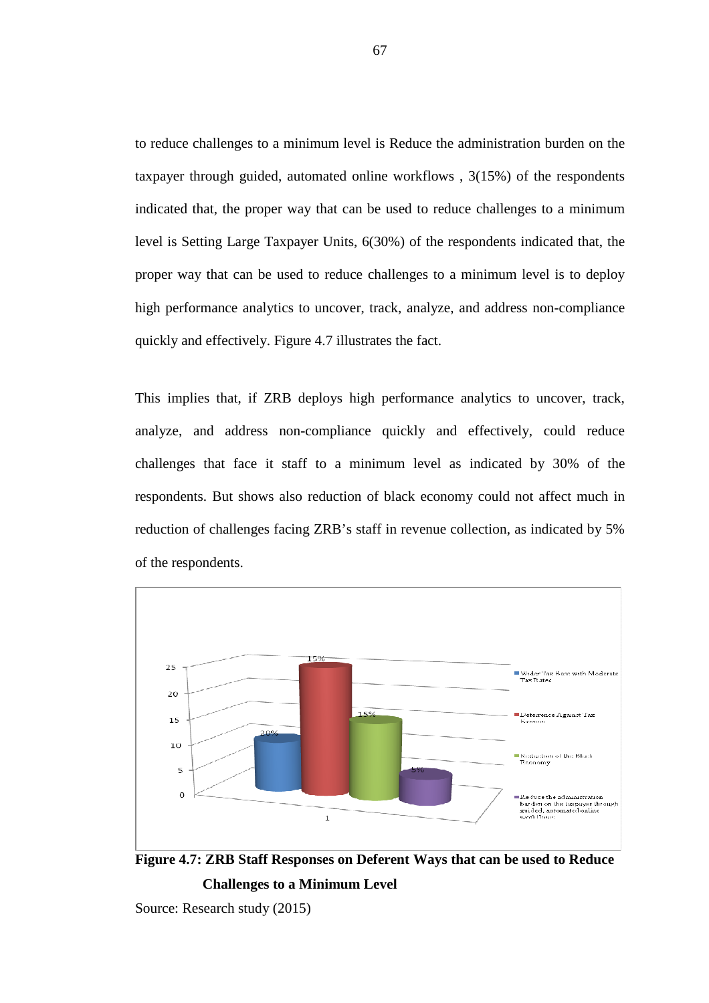to reduce challenges to a minimum level is Reduce the administration burden on the taxpayer through guided, automated online workflows , 3(15%) of the respondents indicated that, the proper way that can be used to reduce challenges to a minimum level is Setting Large Taxpayer Units, 6(30%) of the respondents indicated that, the proper way that can be used to reduce challenges to a minimum level is to deploy high performance analytics to uncover, track, analyze, and address non-compliance quickly and effectively. Figure 4.7 illustrates the fact.

This implies that, if ZRB deploys high performance analytics to uncover, track, analyze, and address non-compliance quickly and effectively, could reduce challenges that face it staff to a minimum level as indicated by 30% of the respondents. But shows also reduction of black economy could not affect much in reduction of challenges facing ZRB's staff in revenue collection, as indicated by 5% of the respondents.



**Figure 4.7: ZRB Staff Responses on Deferent Ways that can be used to Reduce Challenges to a Minimum Level** 

Source: Research study (2015)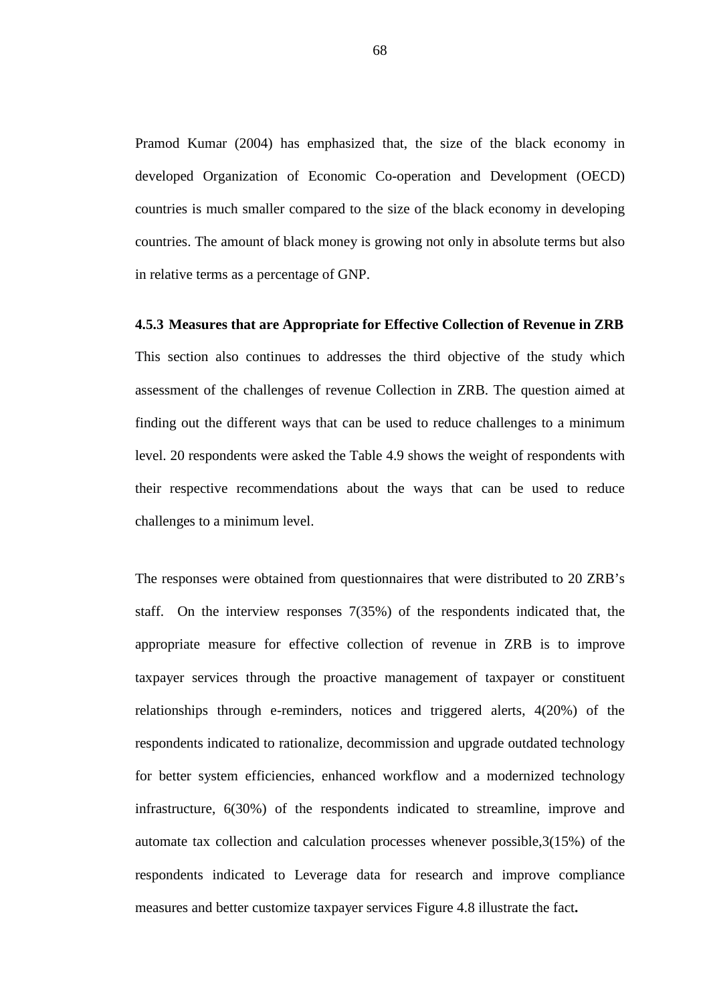Pramod Kumar (2004) has emphasized that, the size of the black economy in developed Organization of Economic Co-operation and Development (OECD) countries is much smaller compared to the size of the black economy in developing countries. The amount of black money is growing not only in absolute terms but also in relative terms as a percentage of GNP.

#### **4.5.3 Measures that are Appropriate for Effective Collection of Revenue in ZRB**

This section also continues to addresses the third objective of the study which assessment of the challenges of revenue Collection in ZRB. The question aimed at finding out the different ways that can be used to reduce challenges to a minimum level. 20 respondents were asked the Table 4.9 shows the weight of respondents with their respective recommendations about the ways that can be used to reduce challenges to a minimum level.

The responses were obtained from questionnaires that were distributed to 20 ZRB's staff. On the interview responses 7(35%) of the respondents indicated that, the appropriate measure for effective collection of revenue in ZRB is to improve taxpayer services through the proactive management of taxpayer or constituent relationships through e-reminders, notices and triggered alerts, 4(20%) of the respondents indicated to rationalize, decommission and upgrade outdated technology for better system efficiencies, enhanced workflow and a modernized technology infrastructure, 6(30%) of the respondents indicated to streamline, improve and automate tax collection and calculation processes whenever possible,3(15%) of the respondents indicated to Leverage data for research and improve compliance measures and better customize taxpayer services Figure 4.8 illustrate the fact**.**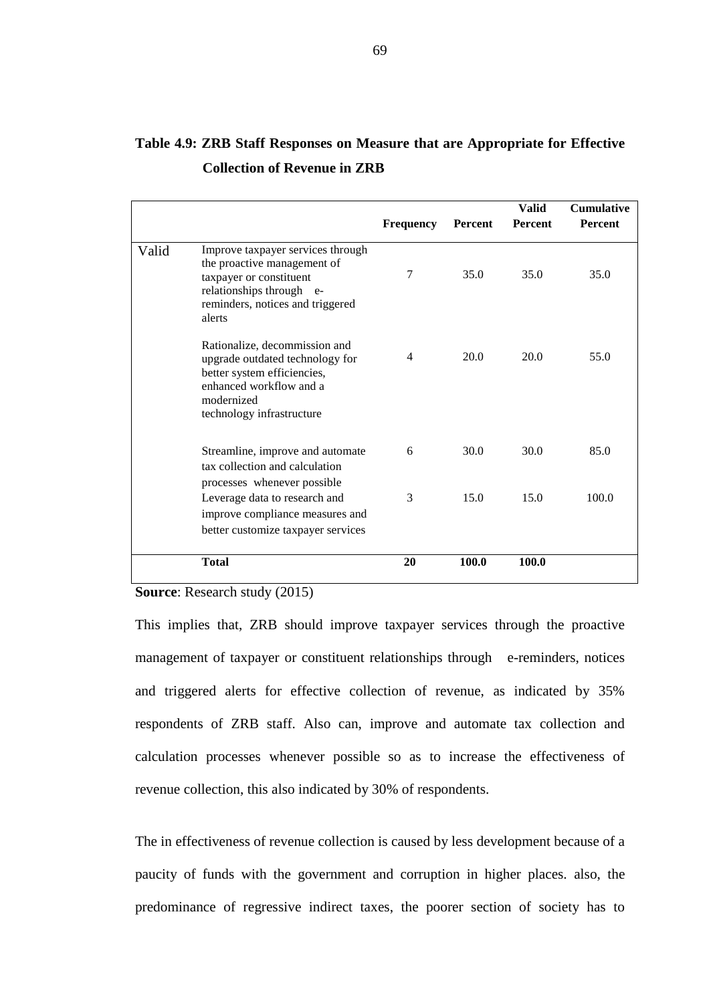|       |                                                                                                                                                                       | <b>Frequency</b> | Percent | <b>Valid</b><br><b>Percent</b> | <b>Cumulative</b><br><b>Percent</b> |
|-------|-----------------------------------------------------------------------------------------------------------------------------------------------------------------------|------------------|---------|--------------------------------|-------------------------------------|
| Valid | Improve taxpayer services through<br>the proactive management of<br>taxpayer or constituent<br>relationships through e-<br>reminders, notices and triggered<br>alerts | 7                | 35.0    | 35.0                           | 35.0                                |
|       | Rationalize, decommission and<br>upgrade outdated technology for<br>better system efficiencies,<br>enhanced workflow and a<br>modernized<br>technology infrastructure | 4                | 20.0    | 20.0                           | 55.0                                |
|       | Streamline, improve and automate<br>tax collection and calculation<br>processes whenever possible                                                                     | 6                | 30.0    | 30.0                           | 85.0                                |
|       | Leverage data to research and<br>improve compliance measures and<br>better customize taxpayer services                                                                | 3                | 15.0    | 15.0                           | 100.0                               |
|       | <b>Total</b>                                                                                                                                                          | 20               | 100.0   | 100.0                          |                                     |

# **Table 4.9: ZRB Staff Responses on Measure that are Appropriate for Effective Collection of Revenue in ZRB**

#### **Source**: Research study (2015)

This implies that, ZRB should improve taxpayer services through the proactive management of taxpayer or constituent relationships through e-reminders, notices and triggered alerts for effective collection of revenue, as indicated by 35% respondents of ZRB staff. Also can, improve and automate tax collection and calculation processes whenever possible so as to increase the effectiveness of revenue collection, this also indicated by 30% of respondents.

The in effectiveness of revenue collection is caused by less development because of a paucity of funds with the government and corruption in higher places. also, the predominance of regressive indirect taxes, the poorer section of society has to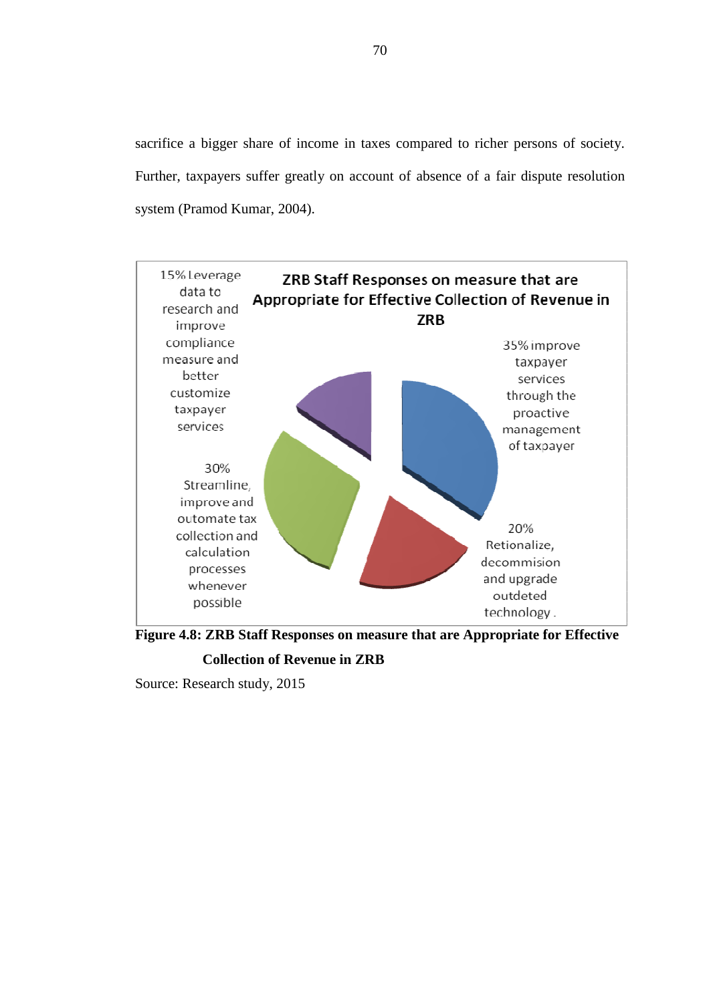sacrifice a bigger share of income in taxes compared to richer persons of society. Further, taxpayers suffer greatly on account of absence of a fair dispute resolution system (Pramod Kumar, 2004).



**Figure 4.8: ZRB Staff Responses on measure that are Appropriate for Effective** 

**Collection of Revenue in ZRB** 

Source: Research study, 2015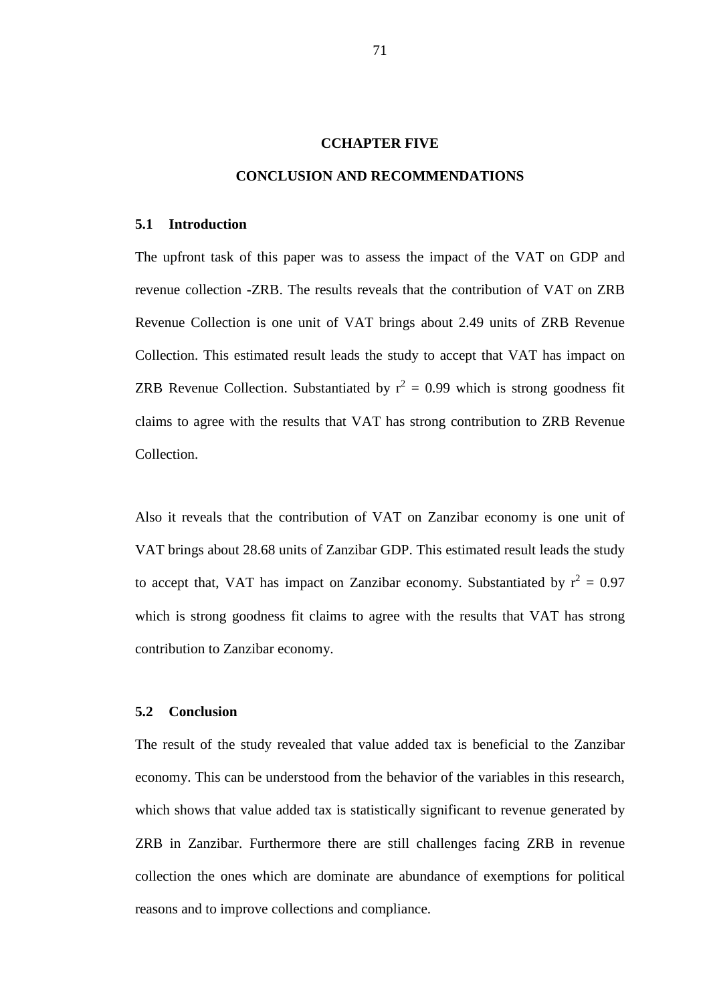#### **CCHAPTER FIVE**

### **CONCLUSION AND RECOMMENDATIONS**

#### **5.1 Introduction**

The upfront task of this paper was to assess the impact of the VAT on GDP and revenue collection -ZRB. The results reveals that the contribution of VAT on ZRB Revenue Collection is one unit of VAT brings about 2.49 units of ZRB Revenue Collection. This estimated result leads the study to accept that VAT has impact on ZRB Revenue Collection. Substantiated by  $r^2 = 0.99$  which is strong goodness fit claims to agree with the results that VAT has strong contribution to ZRB Revenue Collection.

Also it reveals that the contribution of VAT on Zanzibar economy is one unit of VAT brings about 28.68 units of Zanzibar GDP. This estimated result leads the study to accept that, VAT has impact on Zanzibar economy. Substantiated by  $r^2 = 0.97$ which is strong goodness fit claims to agree with the results that VAT has strong contribution to Zanzibar economy.

#### **5.2 Conclusion**

The result of the study revealed that value added tax is beneficial to the Zanzibar economy. This can be understood from the behavior of the variables in this research, which shows that value added tax is statistically significant to revenue generated by ZRB in Zanzibar. Furthermore there are still challenges facing ZRB in revenue collection the ones which are dominate are abundance of exemptions for political reasons and to improve collections and compliance.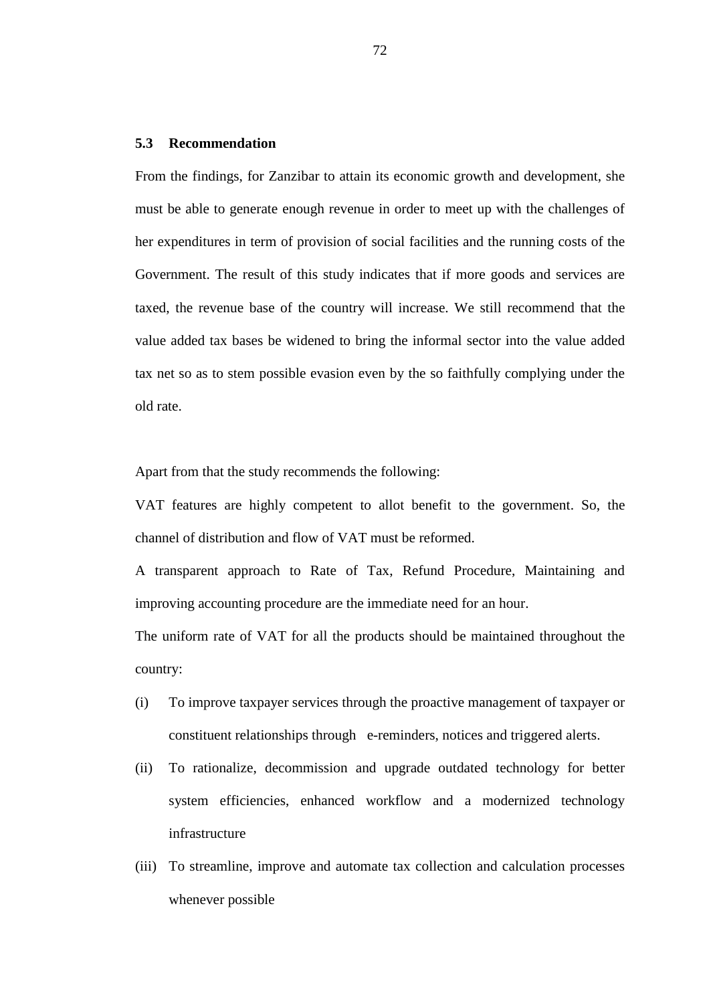#### **5.3 Recommendation**

From the findings, for Zanzibar to attain its economic growth and development, she must be able to generate enough revenue in order to meet up with the challenges of her expenditures in term of provision of social facilities and the running costs of the Government. The result of this study indicates that if more goods and services are taxed, the revenue base of the country will increase. We still recommend that the value added tax bases be widened to bring the informal sector into the value added tax net so as to stem possible evasion even by the so faithfully complying under the old rate.

Apart from that the study recommends the following:

VAT features are highly competent to allot benefit to the government. So, the channel of distribution and flow of VAT must be reformed.

A transparent approach to Rate of Tax, Refund Procedure, Maintaining and improving accounting procedure are the immediate need for an hour.

The uniform rate of VAT for all the products should be maintained throughout the country:

- (i) To improve taxpayer services through the proactive management of taxpayer or constituent relationships through e-reminders, notices and triggered alerts.
- (ii) To rationalize, decommission and upgrade outdated technology for better system efficiencies, enhanced workflow and a modernized technology infrastructure
- (iii) To streamline, improve and automate tax collection and calculation processes whenever possible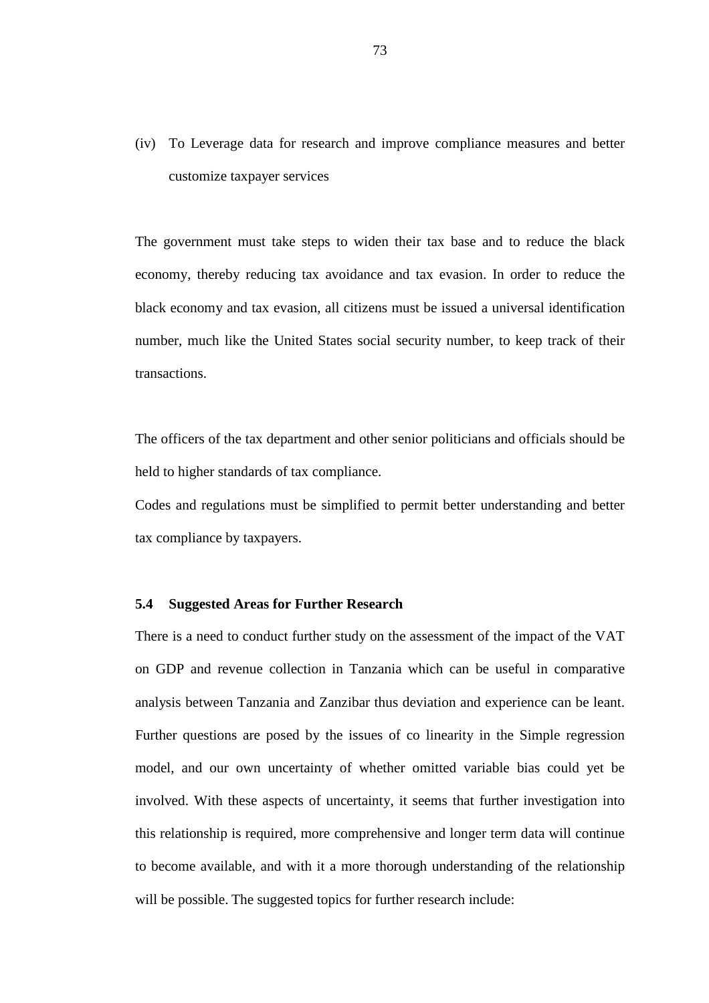(iv) To Leverage data for research and improve compliance measures and better customize taxpayer services

The government must take steps to widen their tax base and to reduce the black economy, thereby reducing tax avoidance and tax evasion. In order to reduce the black economy and tax evasion, all citizens must be issued a universal identification number, much like the United States social security number, to keep track of their transactions.

The officers of the tax department and other senior politicians and officials should be held to higher standards of tax compliance.

Codes and regulations must be simplified to permit better understanding and better tax compliance by taxpayers.

#### **5.4 Suggested Areas for Further Research**

There is a need to conduct further study on the assessment of the impact of the VAT on GDP and revenue collection in Tanzania which can be useful in comparative analysis between Tanzania and Zanzibar thus deviation and experience can be leant. Further questions are posed by the issues of co linearity in the Simple regression model, and our own uncertainty of whether omitted variable bias could yet be involved. With these aspects of uncertainty, it seems that further investigation into this relationship is required, more comprehensive and longer term data will continue to become available, and with it a more thorough understanding of the relationship will be possible. The suggested topics for further research include: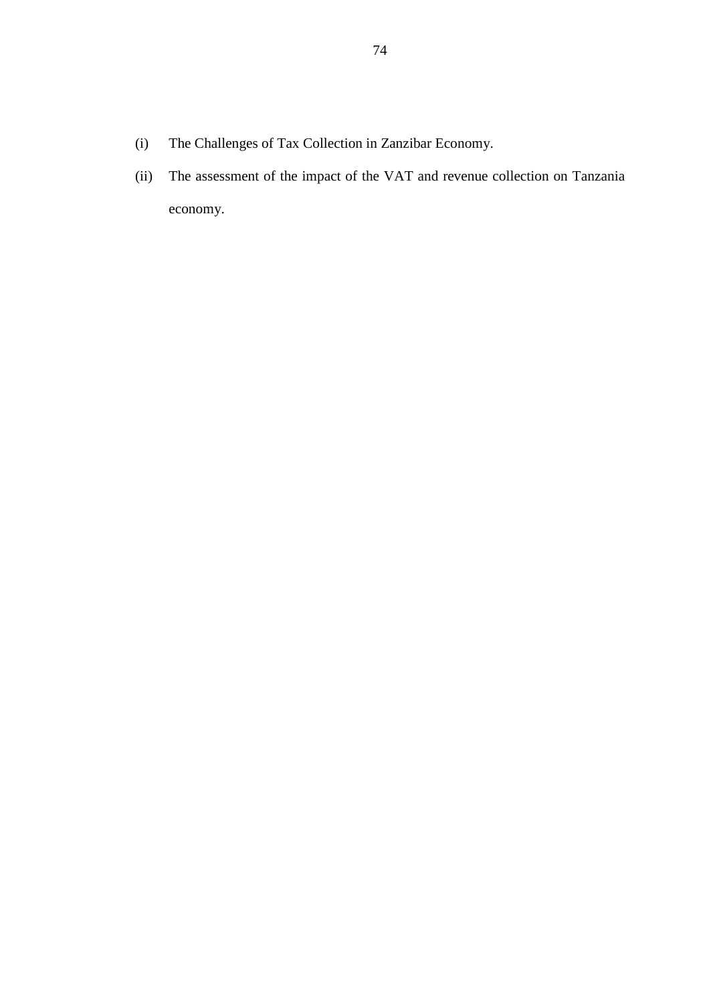- (i) The Challenges of Tax Collection in Zanzibar Economy.
- (ii) The assessment of the impact of the VAT and revenue collection on Tanzania economy.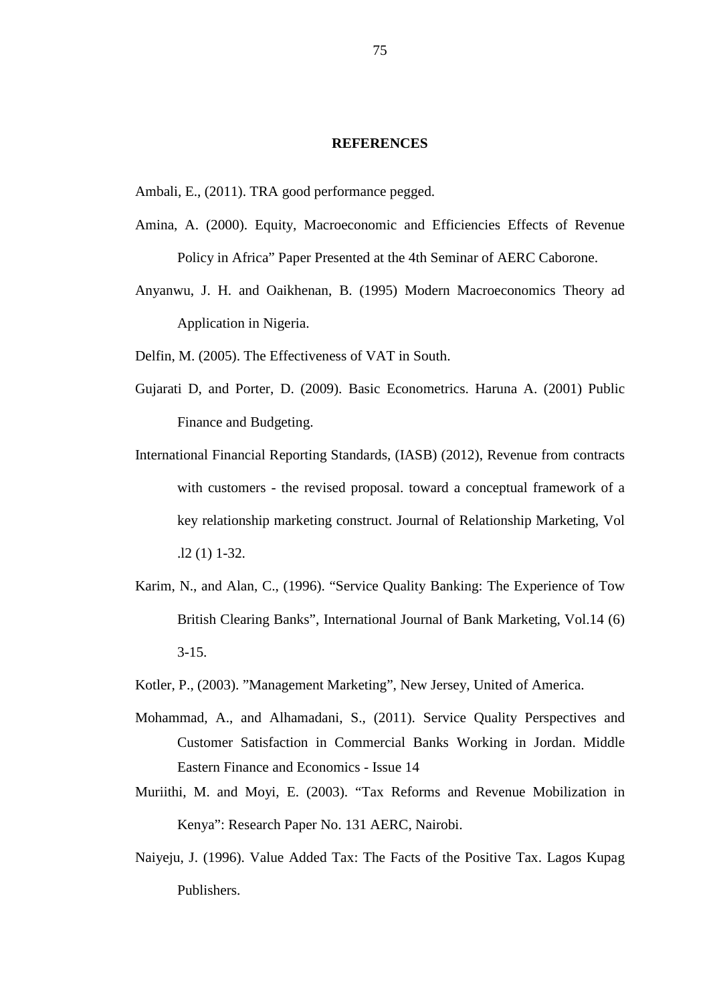#### **REFERENCES**

Ambali, E., (2011). TRA good performance pegged.

- Amina, A. (2000). Equity, Macroeconomic and Efficiencies Effects of Revenue Policy in Africa" Paper Presented at the 4th Seminar of AERC Caborone.
- Anyanwu, J. H. and Oaikhenan, B. (1995) Modern Macroeconomics Theory ad Application in Nigeria.
- Delfin, M. (2005). The Effectiveness of VAT in South.
- Gujarati D, and Porter, D. (2009). Basic Econometrics. Haruna A. (2001) Public Finance and Budgeting.
- International Financial Reporting Standards, (IASB) (2012), Revenue from contracts with customers - the revised proposal. toward a conceptual framework of a key relationship marketing construct. Journal of Relationship Marketing, Vol .l2 (1) 1-32.
- Karim, N., and Alan, C., (1996). "Service Quality Banking: The Experience of Tow British Clearing Banks", International Journal of Bank Marketing, Vol.14 (6)  $3 - 15$ .
- Kotler, P., (2003). "Management Marketing", New Jersey, United of America.
- Mohammad, A., and Alhamadani, S., (2011). Service Quality Perspectives and Customer Satisfaction in Commercial Banks Working in Jordan. Middle Eastern Finance and Economics - Issue 14
- Muriithi, M. and Moyi, E. (2003). "Tax Reforms and Revenue Mobilization in Kenya": Research Paper No. 131 AERC, Nairobi.
- Naiyeju, J. (1996). Value Added Tax: The Facts of the Positive Tax. Lagos Kupag Publishers.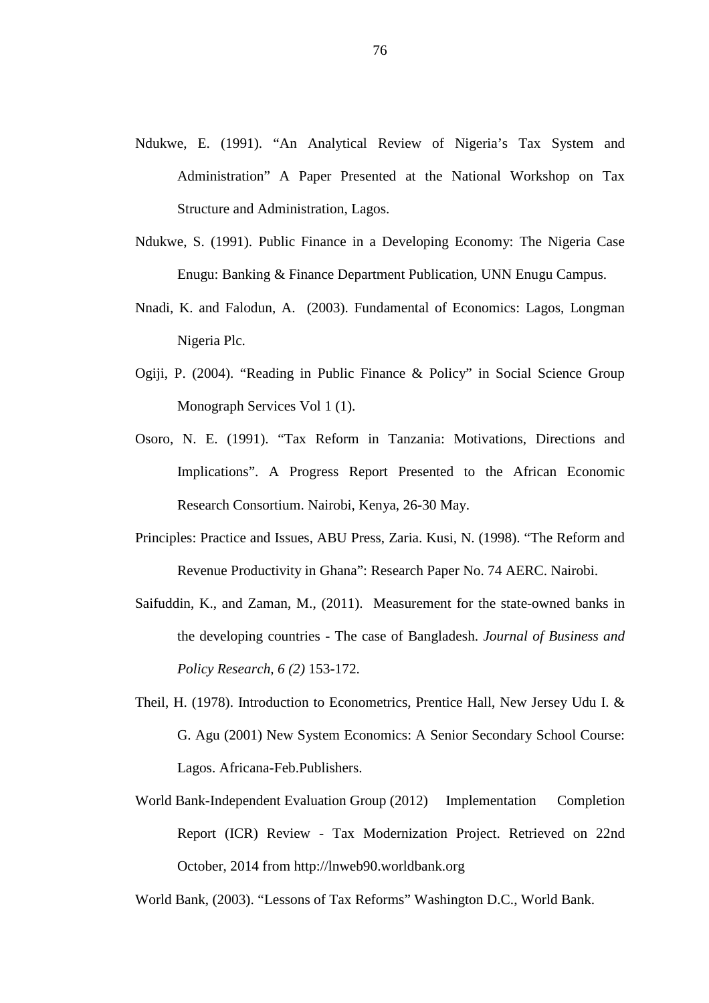- Ndukwe, E. (1991). "An Analytical Review of Nigeria's Tax System and Administration" A Paper Presented at the National Workshop on Tax Structure and Administration, Lagos.
- Ndukwe, S. (1991). Public Finance in a Developing Economy: The Nigeria Case Enugu: Banking & Finance Department Publication, UNN Enugu Campus.
- Nnadi, K. and Falodun, A. (2003). Fundamental of Economics: Lagos, Longman Nigeria Plc.
- Ogiji, P. (2004). "Reading in Public Finance & Policy" in Social Science Group Monograph Services Vol 1 (1).
- Osoro, N. E. (1991). "Tax Reform in Tanzania: Motivations, Directions and Implications". A Progress Report Presented to the African Economic Research Consortium. Nairobi, Kenya, 26-30 May.
- Principles: Practice and Issues, ABU Press, Zaria. Kusi, N. (1998). "The Reform and Revenue Productivity in Ghana": Research Paper No. 74 AERC. Nairobi.
- Saifuddin, K., and Zaman, M., (2011). Measurement for the state-owned banks in the developing countries - The case of Bangladesh. *Journal of Business and Policy Research, 6 (2)* 153-172.
- Theil, H. (1978). Introduction to Econometrics, Prentice Hall, New Jersey Udu I. & G. Agu (2001) New System Economics: A Senior Secondary School Course: Lagos. Africana-Feb.Publishers.
- World Bank-Independent Evaluation Group (2012) Implementation Completion Report (ICR) Review - Tax Modernization Project. Retrieved on 22nd October, 2014 from http://lnweb90.worldbank.org

World Bank, (2003). "Lessons of Tax Reforms" Washington D.C., World Bank.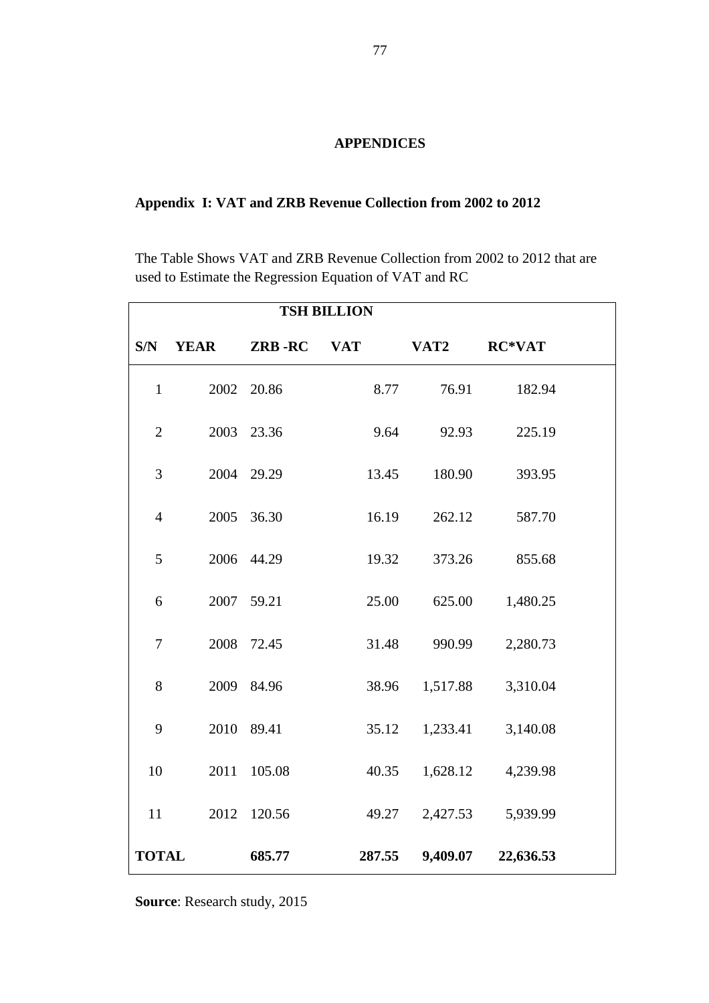## **APPENDICES**

# **Appendix I: VAT and ZRB Revenue Collection from 2002 to 2012**

The Table Shows VAT and ZRB Revenue Collection from 2002 to 2012 that are used to Estimate the Regression Equation of VAT and RC

| <b>TSH BILLION</b> |             |                   |        |          |               |  |  |
|--------------------|-------------|-------------------|--------|----------|---------------|--|--|
| S/N                | <b>YEAR</b> | <b>ZRB-RC</b> VAT |        | VAT2     | <b>RC*VAT</b> |  |  |
| $\mathbf{1}$       |             | 2002 20.86        | 8.77   | 76.91    | 182.94        |  |  |
| $\mathbf{2}$       |             | 2003 23.36        | 9.64   | 92.93    | 225.19        |  |  |
| 3                  |             | 2004 29.29        | 13.45  | 180.90   | 393.95        |  |  |
| $\overline{4}$     |             | 2005 36.30        | 16.19  | 262.12   | 587.70        |  |  |
| 5                  |             | 2006 44.29        | 19.32  | 373.26   | 855.68        |  |  |
| 6                  |             | 2007 59.21        | 25.00  | 625.00   | 1,480.25      |  |  |
| $\tau$             |             | 2008 72.45        | 31.48  | 990.99   | 2,280.73      |  |  |
| 8                  |             | 2009 84.96        | 38.96  | 1,517.88 | 3,310.04      |  |  |
| 9                  |             | 2010 89.41        | 35.12  | 1,233.41 | 3,140.08      |  |  |
| 10                 |             | 2011 105.08       | 40.35  | 1,628.12 | 4,239.98      |  |  |
| 11                 |             | 2012 120.56       | 49.27  | 2,427.53 | 5,939.99      |  |  |
| <b>TOTAL</b>       |             | 685.77            | 287.55 | 9,409.07 | 22,636.53     |  |  |

**Source**: Research study, 2015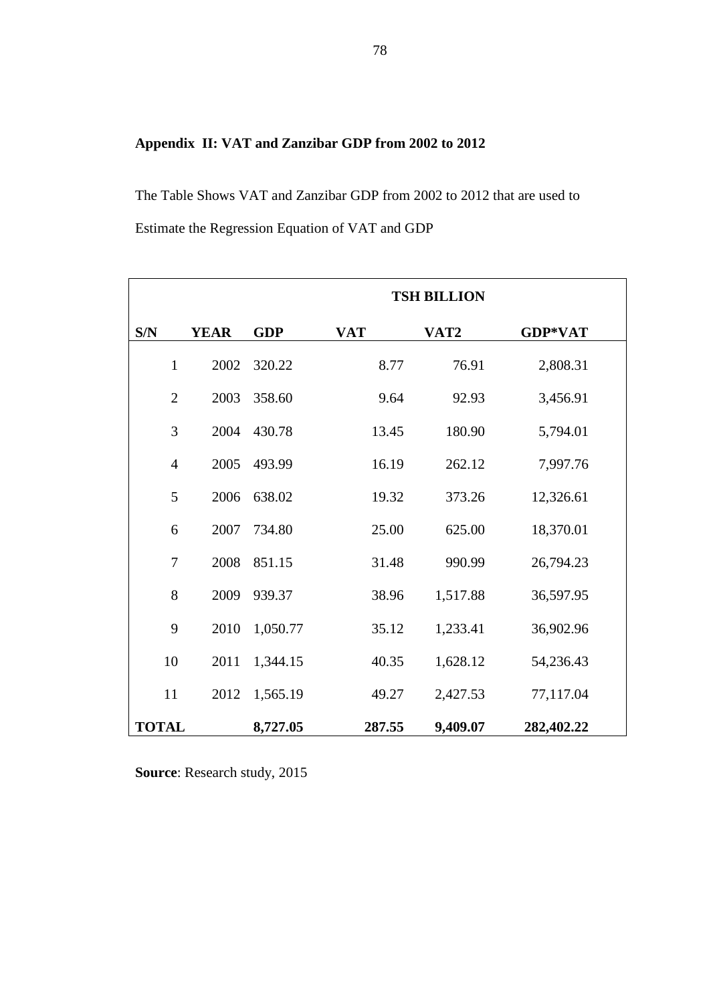# **Appendix II: VAT and Zanzibar GDP from 2002 to 2012**

The Table Shows VAT and Zanzibar GDP from 2002 to 2012 that are used to Estimate the Regression Equation of VAT and GDP

|                |             |            | <b>TSH BILLION</b> |          |            |  |  |
|----------------|-------------|------------|--------------------|----------|------------|--|--|
| S/N            | <b>YEAR</b> | <b>GDP</b> | <b>VAT</b>         | VAT2     | GDP*VAT    |  |  |
| $\mathbf{1}$   | 2002        | 320.22     | 8.77               | 76.91    | 2,808.31   |  |  |
| $\overline{2}$ | 2003        | 358.60     | 9.64               | 92.93    | 3,456.91   |  |  |
| 3              | 2004        | 430.78     | 13.45              | 180.90   | 5,794.01   |  |  |
| $\overline{4}$ | 2005        | 493.99     | 16.19              | 262.12   | 7,997.76   |  |  |
| 5              | 2006        | 638.02     | 19.32              | 373.26   | 12,326.61  |  |  |
| 6              | 2007        | 734.80     | 25.00              | 625.00   | 18,370.01  |  |  |
| $\overline{7}$ | 2008        | 851.15     | 31.48              | 990.99   | 26,794.23  |  |  |
| 8              | 2009        | 939.37     | 38.96              | 1,517.88 | 36,597.95  |  |  |
| 9              | 2010        | 1,050.77   | 35.12              | 1,233.41 | 36,902.96  |  |  |
| 10             | 2011        | 1,344.15   | 40.35              | 1,628.12 | 54,236.43  |  |  |
| 11             | 2012        | 1,565.19   | 49.27              | 2,427.53 | 77,117.04  |  |  |
| <b>TOTAL</b>   |             | 8,727.05   | 287.55             | 9,409.07 | 282,402.22 |  |  |

**Source**: Research study, 2015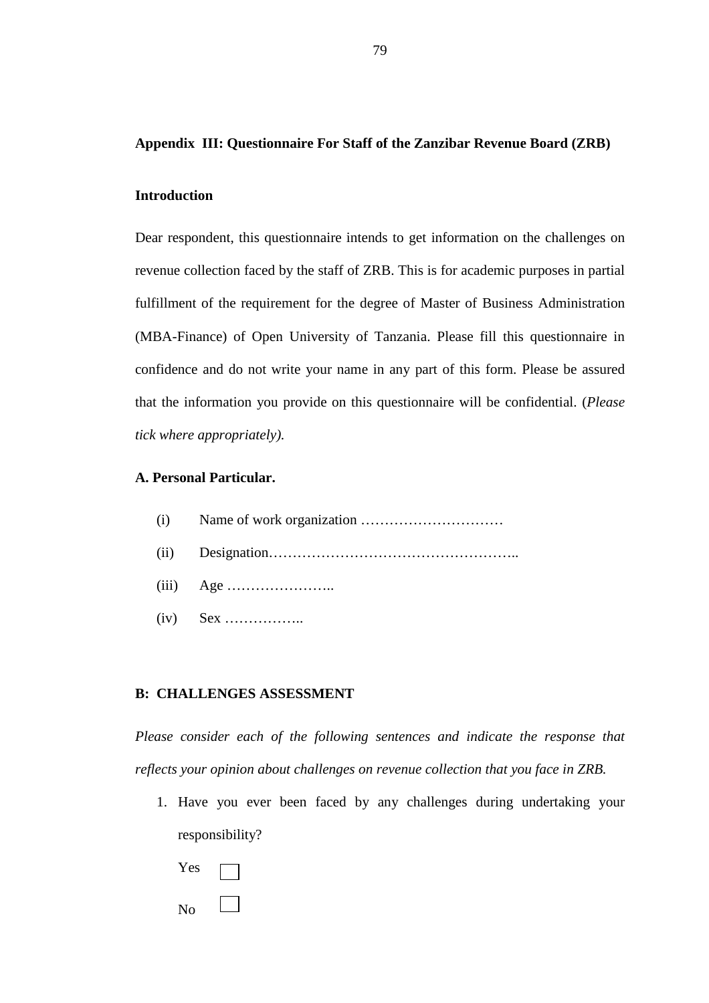#### **Appendix III: Questionnaire For Staff of the Zanzibar Revenue Board (ZRB)**

#### **Introduction**

Dear respondent, this questionnaire intends to get information on the challenges on revenue collection faced by the staff of ZRB. This is for academic purposes in partial fulfillment of the requirement for the degree of Master of Business Administration (MBA-Finance) of Open University of Tanzania. Please fill this questionnaire in confidence and do not write your name in any part of this form. Please be assured that the information you provide on this questionnaire will be confidential. (*Please tick where appropriately).* 

## **A. Personal Particular.**

- (i) Name of work organization …………………………
- (ii) Designation……………………………………………..
- (iii) Age …………………..
- (iv) Sex ……………..

#### **B: CHALLENGES ASSESSMENT**

*Please consider each of the following sentences and indicate the response that reflects your opinion about challenges on revenue collection that you face in ZRB.* 

- 1. Have you ever been faced by any challenges during undertaking your responsibility?
	- Yes No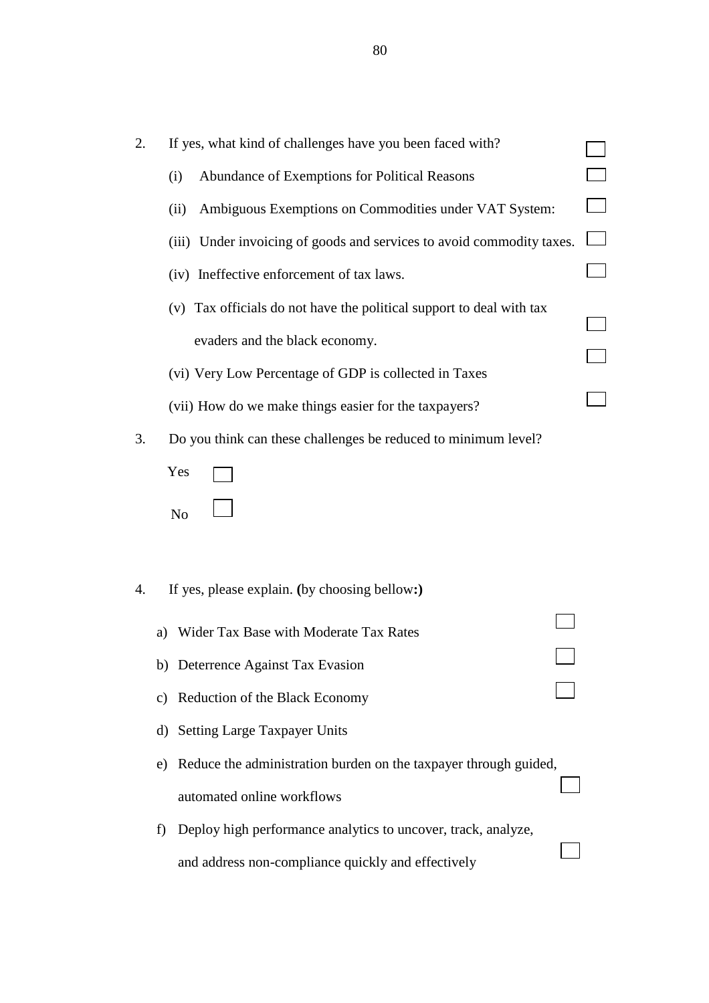| 2. | If yes, what kind of challenges have you been faced with?              |  |
|----|------------------------------------------------------------------------|--|
|    | Abundance of Exemptions for Political Reasons<br>(i)                   |  |
|    | Ambiguous Exemptions on Commodities under VAT System:<br>(ii)          |  |
|    | (iii) Under invoicing of goods and services to avoid commodity taxes.  |  |
|    | (iv) Ineffective enforcement of tax laws.                              |  |
|    | (v) Tax officials do not have the political support to deal with tax   |  |
|    | evaders and the black economy.                                         |  |
|    | (vi) Very Low Percentage of GDP is collected in Taxes                  |  |
|    | (vii) How do we make things easier for the taxpayers?                  |  |
| 3. | Do you think can these challenges be reduced to minimum level?         |  |
|    | Yes                                                                    |  |
|    | N <sub>o</sub>                                                         |  |
|    |                                                                        |  |
|    |                                                                        |  |
| 4. | If yes, please explain. (by choosing bellow:)                          |  |
|    | Wider Tax Base with Moderate Tax Rates<br>a)                           |  |
|    | b) Deterrence Against Tax Evasion                                      |  |
|    | c) Reduction of the Black Economy                                      |  |
|    | d) Setting Large Taxpayer Units                                        |  |
|    | Reduce the administration burden on the taxpayer through guided,<br>e) |  |
|    | automated online workflows                                             |  |
|    | Deploy high performance analytics to uncover, track, analyze,<br>f)    |  |
|    | and address non-compliance quickly and effectively                     |  |